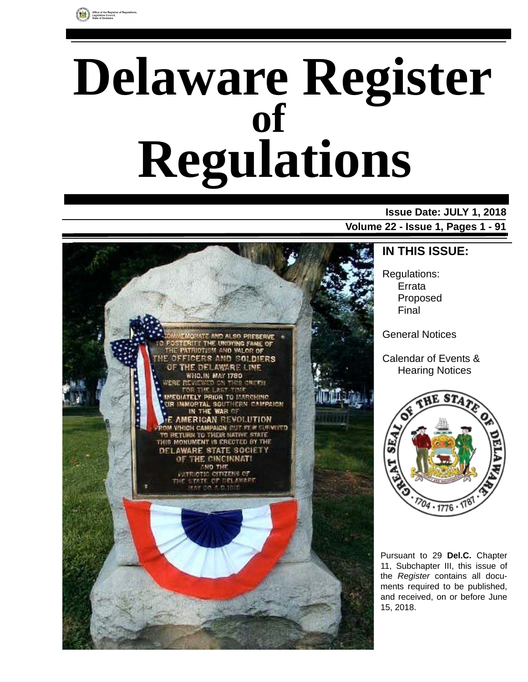

# **Delaware Register Regulations of**

# **Issue Date: JULY 1, 2018**

**Volume 22 - Issue 1, Pages 1 - 91**



**IN THIS ISSUE:**

Regulations: Errata Proposed Final

General Notices

Calendar of Events & Hearing Notices



Pursuant to 29 **Del.C.** Chapter 11, Subchapter III, this issue of the *Register* contains all documents required to be published, and received, on or before June 15, 2018.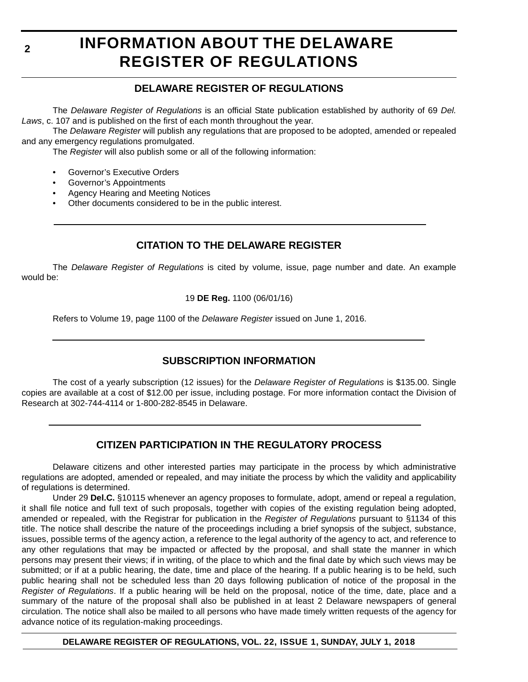# **INFORMATION ABOUT THE DELAWARE REGISTER OF REGULATIONS**

# **DELAWARE REGISTER OF REGULATIONS**

The *Delaware Register of Regulations* is an official State publication established by authority of 69 *Del. Laws*, c. 107 and is published on the first of each month throughout the year.

The *Delaware Register* will publish any regulations that are proposed to be adopted, amended or repealed and any emergency regulations promulgated.

The *Register* will also publish some or all of the following information:

- Governor's Executive Orders
- Governor's Appointments
- Agency Hearing and Meeting Notices
- Other documents considered to be in the public interest.

# **CITATION TO THE DELAWARE REGISTER**

The *Delaware Register of Regulations* is cited by volume, issue, page number and date. An example would be:

19 **DE Reg.** 1100 (06/01/16)

Refers to Volume 19, page 1100 of the *Delaware Register* issued on June 1, 2016.

# **SUBSCRIPTION INFORMATION**

The cost of a yearly subscription (12 issues) for the *Delaware Register of Regulations* is \$135.00. Single copies are available at a cost of \$12.00 per issue, including postage. For more information contact the Division of Research at 302-744-4114 or 1-800-282-8545 in Delaware.

# **CITIZEN PARTICIPATION IN THE REGULATORY PROCESS**

Delaware citizens and other interested parties may participate in the process by which administrative regulations are adopted, amended or repealed, and may initiate the process by which the validity and applicability of regulations is determined.

Under 29 **Del.C.** §10115 whenever an agency proposes to formulate, adopt, amend or repeal a regulation, it shall file notice and full text of such proposals, together with copies of the existing regulation being adopted, amended or repealed, with the Registrar for publication in the *Register of Regulations* pursuant to §1134 of this title. The notice shall describe the nature of the proceedings including a brief synopsis of the subject, substance, issues, possible terms of the agency action, a reference to the legal authority of the agency to act, and reference to any other regulations that may be impacted or affected by the proposal, and shall state the manner in which persons may present their views; if in writing, of the place to which and the final date by which such views may be submitted; or if at a public hearing, the date, time and place of the hearing. If a public hearing is to be held, such public hearing shall not be scheduled less than 20 days following publication of notice of the proposal in the *Register of Regulations*. If a public hearing will be held on the proposal, notice of the time, date, place and a summary of the nature of the proposal shall also be published in at least 2 Delaware newspapers of general circulation. The notice shall also be mailed to all persons who have made timely written requests of the agency for advance notice of its regulation-making proceedings.

# **DELAWARE REGISTER OF REGULATIONS, VOL. 22, ISSUE 1, SUNDAY, JULY 1, 2018**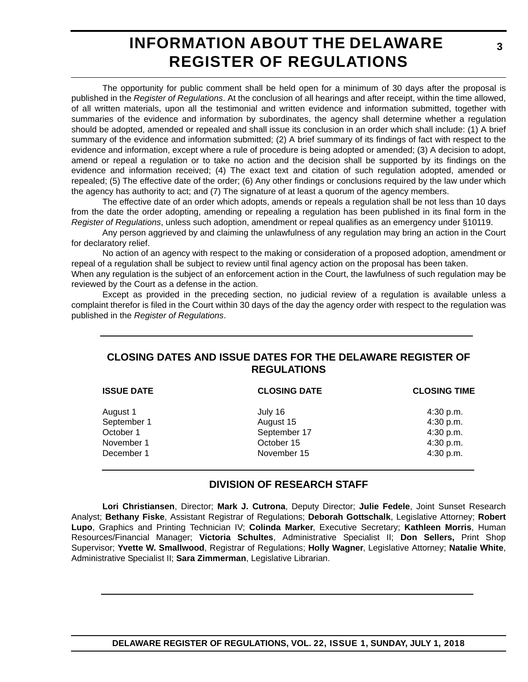# **INFORMATION ABOUT THE DELAWARE REGISTER OF REGULATIONS**

The opportunity for public comment shall be held open for a minimum of 30 days after the proposal is published in the *Register of Regulations*. At the conclusion of all hearings and after receipt, within the time allowed, of all written materials, upon all the testimonial and written evidence and information submitted, together with summaries of the evidence and information by subordinates, the agency shall determine whether a regulation should be adopted, amended or repealed and shall issue its conclusion in an order which shall include: (1) A brief summary of the evidence and information submitted; (2) A brief summary of its findings of fact with respect to the evidence and information, except where a rule of procedure is being adopted or amended; (3) A decision to adopt, amend or repeal a regulation or to take no action and the decision shall be supported by its findings on the evidence and information received; (4) The exact text and citation of such regulation adopted, amended or repealed; (5) The effective date of the order; (6) Any other findings or conclusions required by the law under which the agency has authority to act; and (7) The signature of at least a quorum of the agency members.

The effective date of an order which adopts, amends or repeals a regulation shall be not less than 10 days from the date the order adopting, amending or repealing a regulation has been published in its final form in the *Register of Regulations*, unless such adoption, amendment or repeal qualifies as an emergency under §10119.

Any person aggrieved by and claiming the unlawfulness of any regulation may bring an action in the Court for declaratory relief.

No action of an agency with respect to the making or consideration of a proposed adoption, amendment or repeal of a regulation shall be subject to review until final agency action on the proposal has been taken.

When any regulation is the subject of an enforcement action in the Court, the lawfulness of such regulation may be reviewed by the Court as a defense in the action.

Except as provided in the preceding section, no judicial review of a regulation is available unless a complaint therefor is filed in the Court within 30 days of the day the agency order with respect to the regulation was published in the *Register of Regulations*.

# **CLOSING DATES AND ISSUE DATES FOR THE DELAWARE REGISTER OF REGULATIONS**

| <b>ISSUE DATE</b> | <b>CLOSING DATE</b> | <b>CLOSING TIME</b> |
|-------------------|---------------------|---------------------|
| August 1          | July 16             | 4:30 p.m.           |
| September 1       | August 15           | 4:30 p.m.           |
| October 1         | September 17        | 4:30 p.m.           |
| November 1        | October 15          | 4:30 p.m.           |
| December 1        | November 15         | 4:30 p.m.           |

# **DIVISION OF RESEARCH STAFF**

**Lori Christiansen**, Director; **Mark J. Cutrona**, Deputy Director; **Julie Fedele**, Joint Sunset Research Analyst; **Bethany Fiske**, Assistant Registrar of Regulations; **Deborah Gottschalk**, Legislative Attorney; **Robert Lupo**, Graphics and Printing Technician IV; **Colinda Marker**, Executive Secretary; **Kathleen Morris**, Human Resources/Financial Manager; **Victoria Schultes**, Administrative Specialist II; **Don Sellers,** Print Shop Supervisor; **Yvette W. Smallwood**, Registrar of Regulations; **Holly Wagner**, Legislative Attorney; **Natalie White**, Administrative Specialist II; **Sara Zimmerman**, Legislative Librarian.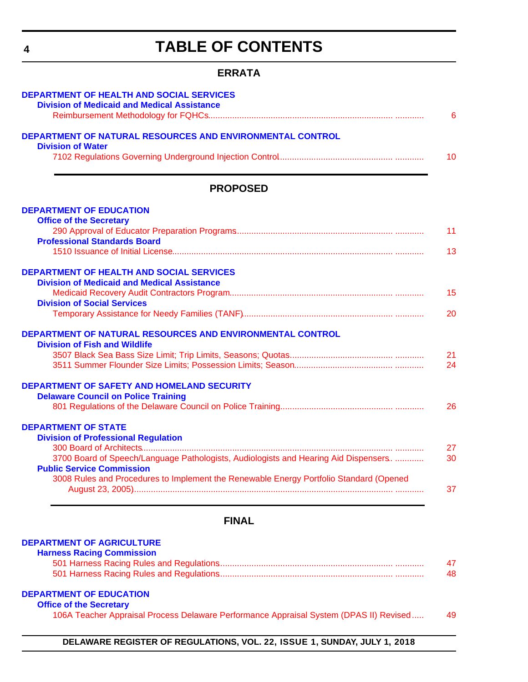# **TABLE OF CONTENTS**

# **ERRATA**

<span id="page-3-0"></span>

| <b>DEPARTMENT OF HEALTH AND SOCIAL SERVICES</b><br><b>Division of Medicaid and Medical Assistance</b>                          |
|--------------------------------------------------------------------------------------------------------------------------------|
| 6                                                                                                                              |
| DEPARTMENT OF NATURAL RESOURCES AND ENVIRONMENTAL CONTROL<br><b>Division of Water</b>                                          |
| 10                                                                                                                             |
| <b>PROPOSED</b>                                                                                                                |
| <b>DEPARTMENT OF EDUCATION</b>                                                                                                 |
| <b>Office of the Secretary</b><br>11                                                                                           |
| <b>Professional Standards Board</b>                                                                                            |
| 13                                                                                                                             |
| <b>DEPARTMENT OF HEALTH AND SOCIAL SERVICES</b>                                                                                |
| <b>Division of Medicaid and Medical Assistance</b>                                                                             |
| 15<br><b>Division of Social Services</b>                                                                                       |
| 20                                                                                                                             |
| DEPARTMENT OF NATURAL RESOURCES AND ENVIRONMENTAL CONTROL                                                                      |
| <b>Division of Fish and Wildlife</b><br>21                                                                                     |
| 24                                                                                                                             |
|                                                                                                                                |
| <b>DEPARTMENT OF SAFETY AND HOMELAND SECURITY</b>                                                                              |
| <b>Delaware Council on Police Training</b>                                                                                     |
| 26                                                                                                                             |
| <b>DEPARTMENT OF STATE</b>                                                                                                     |
| <b>Division of Professional Regulation</b>                                                                                     |
| 27                                                                                                                             |
| 3700 Board of Speech/Language Pathologists, Audiologists and Hearing Aid Dispensers.<br>30<br><b>Public Service Commission</b> |
| 3008 Rules and Procedures to Implement the Renewable Energy Portfolio Standard (Opened<br>37                                   |
| <b>FINAL</b>                                                                                                                   |

# **[DEPARTMENT OF AGRICULTURE](https://agriculture.delaware.gov/harness-racing-commission/)**

| <b>Harness Racing Commission</b> |    |
|----------------------------------|----|
|                                  |    |
|                                  | 48 |

# **[DEPARTMENT OF EDUCATION](https://www.doe.k12.de.us/)**

#### **[Office of the Secretary](https://pubapps.doe.k12.de.us/EducationalDirectoryPublic/pages/DDOE/Branches.aspx?page=branches&BID=1)**

[106A Teacher Appraisal Process Delaware Performance Appraisal System \(DPAS II\) Revised..... 49](#page-48-0)

**DELAWARE REGISTER OF REGULATIONS, VOL. 22, ISSUE 1, SUNDAY, JULY 1, 2018**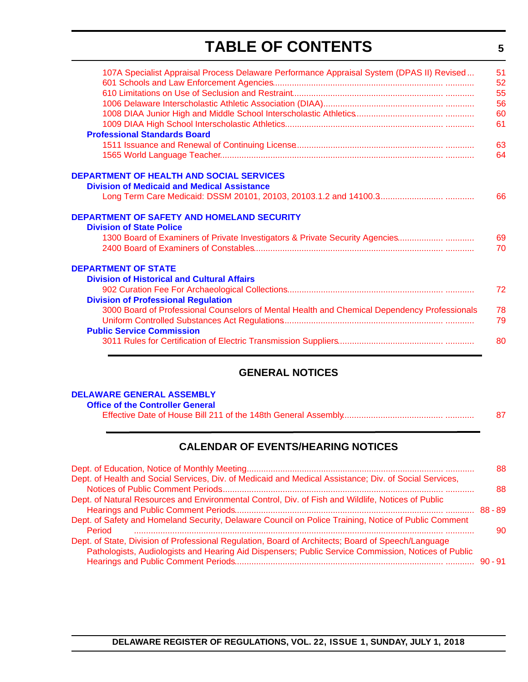# **TABLE OF CONTENTS**

**5**

| 107A Specialist Appraisal Process Delaware Performance Appraisal System (DPAS II) Revised    | 51 |
|----------------------------------------------------------------------------------------------|----|
|                                                                                              | 52 |
|                                                                                              | 55 |
|                                                                                              | 56 |
|                                                                                              | 60 |
|                                                                                              | 61 |
| <b>Professional Standards Board</b>                                                          |    |
|                                                                                              | 63 |
|                                                                                              | 64 |
| <b>DEPARTMENT OF HEALTH AND SOCIAL SERVICES</b>                                              |    |
| <b>Division of Medicaid and Medical Assistance</b>                                           |    |
|                                                                                              | 66 |
| DEPARTMENT OF SAFETY AND HOMELAND SECURITY                                                   |    |
| <b>Division of State Police</b>                                                              |    |
| 1300 Board of Examiners of Private Investigators & Private Security Agencies                 | 69 |
|                                                                                              | 70 |
| <b>DEPARTMENT OF STATE</b>                                                                   |    |
| <b>Division of Historical and Cultural Affairs</b>                                           |    |
|                                                                                              | 72 |
| <b>Division of Professional Regulation</b>                                                   |    |
| 3000 Board of Professional Counselors of Mental Health and Chemical Dependency Professionals | 78 |
|                                                                                              | 79 |
| <b>Public Service Commission</b>                                                             |    |
|                                                                                              | 80 |
|                                                                                              |    |

# **GENERAL NOTICES**

# **[DELAWARE GENERAL ASSEMBLY](https://legis.delaware.gov/)**

|--|--|--|

# **CALENDAR OF EVENTS/HEARING NOTICES**

|                                                                                                                                                                                                           | 88 |
|-----------------------------------------------------------------------------------------------------------------------------------------------------------------------------------------------------------|----|
| Dept. of Health and Social Services, Div. of Medicaid and Medical Assistance; Div. of Social Services,                                                                                                    | 88 |
| Dept. of Natural Resources and Environmental Control, Div. of Fish and Wildlife, Notices of Public                                                                                                        |    |
|                                                                                                                                                                                                           |    |
| Dept. of Safety and Homeland Security, Delaware Council on Police Training, Notice of Public Comment<br>Period                                                                                            | 90 |
| Dept. of State, Division of Professional Regulation, Board of Architects; Board of Speech/Language<br>Pathologists, Audiologists and Hearing Aid Dispensers; Public Service Commission, Notices of Public |    |
|                                                                                                                                                                                                           |    |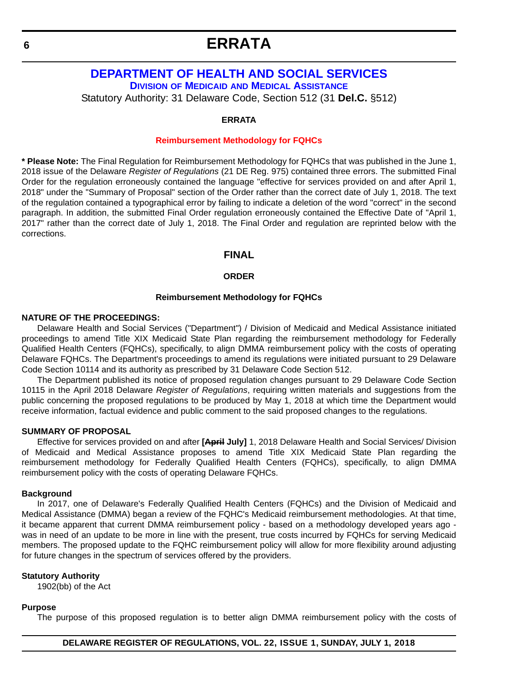# <span id="page-5-0"></span>**[DEPARTMENT OF HEALTH AND SOCIAL SERVICES](http://dhss.delaware.gov/dhss/) DIVISION OF MEDICAID [AND MEDICAL ASSISTANCE](http://dhss.delaware.gov/dhss/dmma/)**

Statutory Authority: 31 Delaware Code, Section 512 (31 **Del.C.** §512)

#### **ERRATA**

#### **[Reimbursement Methodology for FQHCs](#page-3-0)**

**\* Please Note:** The Final Regulation for Reimbursement Methodology for FQHCs that was published in the June 1, 2018 issue of the Delaware *Register of Regulations* (21 DE Reg. 975) contained three errors. The submitted Final Order for the regulation erroneously contained the language "effective for services provided on and after April 1, 2018" under the "Summary of Proposal" section of the Order rather than the correct date of July 1, 2018. The text of the regulation contained a typographical error by failing to indicate a deletion of the word "correct" in the second paragraph. In addition, the submitted Final Order regulation erroneously contained the Effective Date of "April 1, 2017" rather than the correct date of July 1, 2018. The Final Order and regulation are reprinted below with the corrections.

# **FINAL**

#### **ORDER**

#### **Reimbursement Methodology for FQHCs**

# **NATURE OF THE PROCEEDINGS:**

Delaware Health and Social Services ("Department") / Division of Medicaid and Medical Assistance initiated proceedings to amend Title XIX Medicaid State Plan regarding the reimbursement methodology for Federally Qualified Health Centers (FQHCs), specifically, to align DMMA reimbursement policy with the costs of operating Delaware FQHCs. The Department's proceedings to amend its regulations were initiated pursuant to 29 Delaware Code Section 10114 and its authority as prescribed by 31 Delaware Code Section 512.

The Department published its notice of proposed regulation changes pursuant to 29 Delaware Code Section 10115 in the April 2018 Delaware *Register of Regulations*, requiring written materials and suggestions from the public concerning the proposed regulations to be produced by May 1, 2018 at which time the Department would receive information, factual evidence and public comment to the said proposed changes to the regulations.

#### **SUMMARY OF PROPOSAL**

Effective for services provided on and after **[April July]** 1, 2018 Delaware Health and Social Services/ Division of Medicaid and Medical Assistance proposes to amend Title XIX Medicaid State Plan regarding the reimbursement methodology for Federally Qualified Health Centers (FQHCs), specifically, to align DMMA reimbursement policy with the costs of operating Delaware FQHCs.

#### **Background**

In 2017, one of Delaware's Federally Qualified Health Centers (FQHCs) and the Division of Medicaid and Medical Assistance (DMMA) began a review of the FQHC's Medicaid reimbursement methodologies. At that time, it became apparent that current DMMA reimbursement policy - based on a methodology developed years ago was in need of an update to be more in line with the present, true costs incurred by FQHCs for serving Medicaid members. The proposed update to the FQHC reimbursement policy will allow for more flexibility around adjusting for future changes in the spectrum of services offered by the providers.

#### **Statutory Authority**

1902(bb) of the Act

#### **Purpose**

The purpose of this proposed regulation is to better align DMMA reimbursement policy with the costs of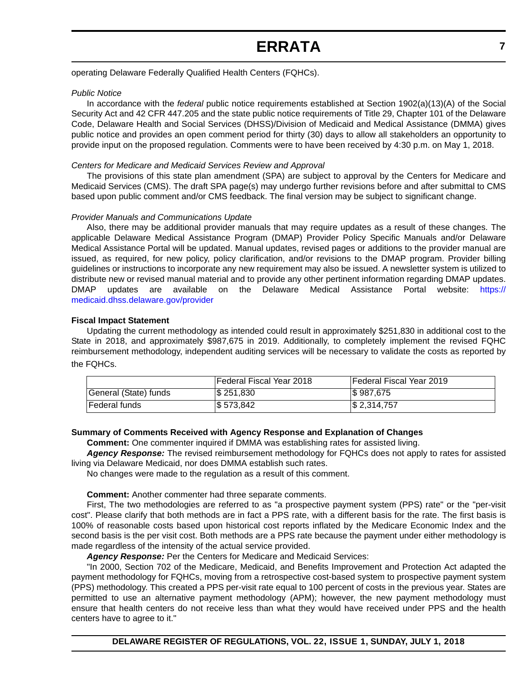operating Delaware Federally Qualified Health Centers (FQHCs).

#### *Public Notice*

In accordance with the *federal* public notice requirements established at Section 1902(a)(13)(A) of the Social Security Act and 42 CFR 447.205 and the state public notice requirements of Title 29, Chapter 101 of the Delaware Code, Delaware Health and Social Services (DHSS)/Division of Medicaid and Medical Assistance (DMMA) gives public notice and provides an open comment period for thirty (30) days to allow all stakeholders an opportunity to provide input on the proposed regulation. Comments were to have been received by 4:30 p.m. on May 1, 2018.

#### *Centers for Medicare and Medicaid Services Review and Approval*

The provisions of this state plan amendment (SPA) are subject to approval by the Centers for Medicare and Medicaid Services (CMS). The draft SPA page(s) may undergo further revisions before and after submittal to CMS based upon public comment and/or CMS feedback. The final version may be subject to significant change.

#### *Provider Manuals and Communications Update*

Also, there may be additional provider manuals that may require updates as a result of these changes. The applicable Delaware Medical Assistance Program (DMAP) Provider Policy Specific Manuals and/or Delaware Medical Assistance Portal will be updated. Manual updates, revised pages or additions to the provider manual are issued, as required, for new policy, policy clarification, and/or revisions to the DMAP program. Provider billing guidelines or instructions to incorporate any new requirement may also be issued. A newsletter system is utilized to distribute new or revised manual material and to provide any other pertinent information regarding DMAP updates. DMAP updates are available on the Delaware Medical Assistance Portal website: [https://](https://medicaid.dhss.delaware.gov/provider) [medicaid.dhss.delaware.gov/provider](https://medicaid.dhss.delaware.gov/provider)

#### **Fiscal Impact Statement**

Updating the current methodology as intended could result in approximately \$251,830 in additional cost to the State in 2018, and approximately \$987,675 in 2019. Additionally, to completely implement the revised FQHC reimbursement methodology, independent auditing services will be necessary to validate the costs as reported by the FQHCs.

|                       | lFederal Fiscal Year 2018 | <b>IFederal Fiscal Year 2019</b> |
|-----------------------|---------------------------|----------------------------------|
| General (State) funds | \$251,830                 | \$987,675                        |
| <b>IFederal funds</b> | \$573,842                 | $\frac{1}{2}$ , 2,314,757        |

#### **Summary of Comments Received with Agency Response and Explanation of Changes**

**Comment:** One commenter inquired if DMMA was establishing rates for assisted living.

*Agency Response:* The revised reimbursement methodology for FQHCs does not apply to rates for assisted living via Delaware Medicaid, nor does DMMA establish such rates.

No changes were made to the regulation as a result of this comment.

#### **Comment:** Another commenter had three separate comments.

First, The two methodologies are referred to as "a prospective payment system (PPS) rate" or the "per-visit cost". Please clarify that both methods are in fact a PPS rate, with a different basis for the rate. The first basis is 100% of reasonable costs based upon historical cost reports inflated by the Medicare Economic Index and the second basis is the per visit cost. Both methods are a PPS rate because the payment under either methodology is made regardless of the intensity of the actual service provided.

*Agency Response:* Per the Centers for Medicare and Medicaid Services:

"In 2000, Section 702 of the Medicare, Medicaid, and Benefits Improvement and Protection Act adapted the payment methodology for FQHCs, moving from a retrospective cost-based system to prospective payment system (PPS) methodology. This created a PPS per-visit rate equal to 100 percent of costs in the previous year. States are permitted to use an alternative payment methodology (APM); however, the new payment methodology must ensure that health centers do not receive less than what they would have received under PPS and the health centers have to agree to it."

**DELAWARE REGISTER OF REGULATIONS, VOL. 22, ISSUE 1, SUNDAY, JULY 1, 2018**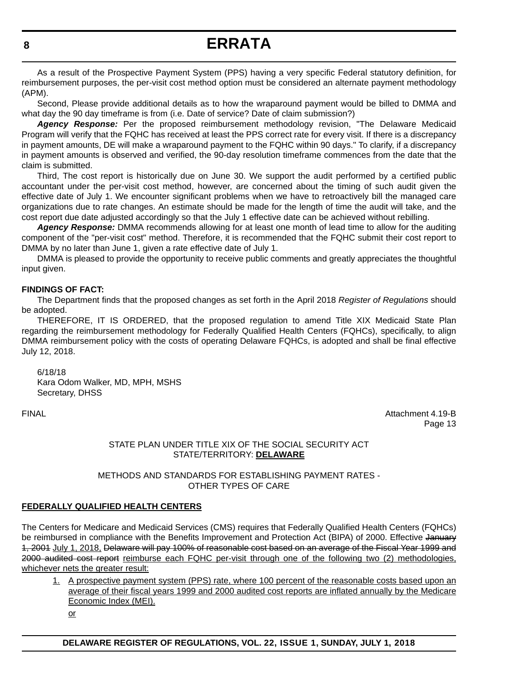As a result of the Prospective Payment System (PPS) having a very specific Federal statutory definition, for reimbursement purposes, the per-visit cost method option must be considered an alternate payment methodology (APM).

Second, Please provide additional details as to how the wraparound payment would be billed to DMMA and what day the 90 day timeframe is from (i.e. Date of service? Date of claim submission?)

*Agency Response:* Per the proposed reimbursement methodology revision, "The Delaware Medicaid Program will verify that the FQHC has received at least the PPS correct rate for every visit. If there is a discrepancy in payment amounts, DE will make a wraparound payment to the FQHC within 90 days." To clarify, if a discrepancy in payment amounts is observed and verified, the 90-day resolution timeframe commences from the date that the claim is submitted.

Third, The cost report is historically due on June 30. We support the audit performed by a certified public accountant under the per-visit cost method, however, are concerned about the timing of such audit given the effective date of July 1. We encounter significant problems when we have to retroactively bill the managed care organizations due to rate changes. An estimate should be made for the length of time the audit will take, and the cost report due date adjusted accordingly so that the July 1 effective date can be achieved without rebilling.

*Agency Response:* DMMA recommends allowing for at least one month of lead time to allow for the auditing component of the "per-visit cost" method. Therefore, it is recommended that the FQHC submit their cost report to DMMA by no later than June 1, given a rate effective date of July 1.

DMMA is pleased to provide the opportunity to receive public comments and greatly appreciates the thoughtful input given.

# **FINDINGS OF FACT:**

The Department finds that the proposed changes as set forth in the April 2018 *Register of Regulations* should be adopted.

THEREFORE, IT IS ORDERED, that the proposed regulation to amend Title XIX Medicaid State Plan regarding the reimbursement methodology for Federally Qualified Health Centers (FQHCs), specifically, to align DMMA reimbursement policy with the costs of operating Delaware FQHCs, is adopted and shall be final effective July 12, 2018.

6/18/18 Kara Odom Walker, MD, MPH, MSHS Secretary, DHSS

FINAL Attachment 4.19-B Page 13

#### STATE PLAN UNDER TITLE XIX OF THE SOCIAL SECURITY ACT STATE/TERRITORY: **DELAWARE**

#### METHODS AND STANDARDS FOR ESTABLISHING PAYMENT RATES - OTHER TYPES OF CARE

# **FEDERALLY QUALIFIED HEALTH CENTERS**

The Centers for Medicare and Medicaid Services (CMS) requires that Federally Qualified Health Centers (FQHCs) be reimbursed in compliance with the Benefits Improvement and Protection Act (BIPA) of 2000. Effective January 1, 2001 July 1, 2018, Delaware will pay 100% of reasonable cost based on an average of the Fiscal Year 1999 and 2000 audited cost report reimburse each FQHC per-visit through one of the following two (2) methodologies, whichever nets the greater result:

1. A prospective payment system (PPS) rate, where 100 percent of the reasonable costs based upon an average of their fiscal years 1999 and 2000 audited cost reports are inflated annually by the Medicare Economic Index (MEI).

or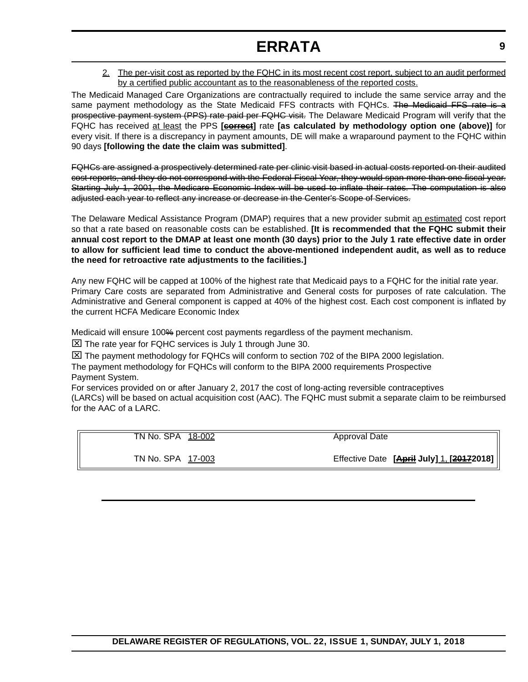2. The per-visit cost as reported by the FQHC in its most recent cost report, subject to an audit performed by a certified public accountant as to the reasonableness of the reported costs.

The Medicaid Managed Care Organizations are contractually required to include the same service array and the same payment methodology as the State Medicaid FFS contracts with FQHCs. The Medicaid FFS rate is a prospective payment system (PPS) rate paid per FQHC visit. The Delaware Medicaid Program will verify that the FQHC has received at least the PPS **[correct]** rate **[as calculated by methodology option one (above)]** for every visit. If there is a discrepancy in payment amounts, DE will make a wraparound payment to the FQHC within 90 days **[following the date the claim was submitted]**.

FQHCs are assigned a prospectively determined rate per clinic visit based in actual costs reported on their audited cost reports, and they do not correspond with the Federal Fiscal Year, they would span more than one fiscal year. Starting July 1, 2001, the Medicare Economic Index will be used to inflate their rates. The computation is also adjusted each year to reflect any increase or decrease in the Center's Scope of Services.

The Delaware Medical Assistance Program (DMAP) requires that a new provider submit an estimated cost report so that a rate based on reasonable costs can be established. **[It is recommended that the FQHC submit their annual cost report to the DMAP at least one month (30 days) prior to the July 1 rate effective date in order to allow for sufficient lead time to conduct the above-mentioned independent audit, as well as to reduce the need for retroactive rate adjustments to the facilities.]**

Any new FQHC will be capped at 100% of the highest rate that Medicaid pays to a FQHC for the initial rate year. Primary Care costs are separated from Administrative and General costs for purposes of rate calculation. The Administrative and General component is capped at 40% of the highest cost. Each cost component is inflated by the current HCFA Medicare Economic Index

Medicaid will ensure 100% percent cost payments regardless of the payment mechanism.

 $\Sigma$  The rate year for FQHC services is July 1 through June 30.

 $\boxtimes$  The payment methodology for FQHCs will conform to section 702 of the BIPA 2000 legislation.

The payment methodology for FQHCs will conform to the BIPA 2000 requirements Prospective Payment System.

For services provided on or after January 2, 2017 the cost of long-acting reversible contraceptives (LARCs) will be based on actual acquisition cost (AAC). The FQHC must submit a separate claim to be reimbursed for the AAC of a LARC.

| TN No. SPA 18-002 | Approval Date                               |
|-------------------|---------------------------------------------|
| TN No. SPA 17-003 | Effective Date [April July] 1, [2017] 2018] |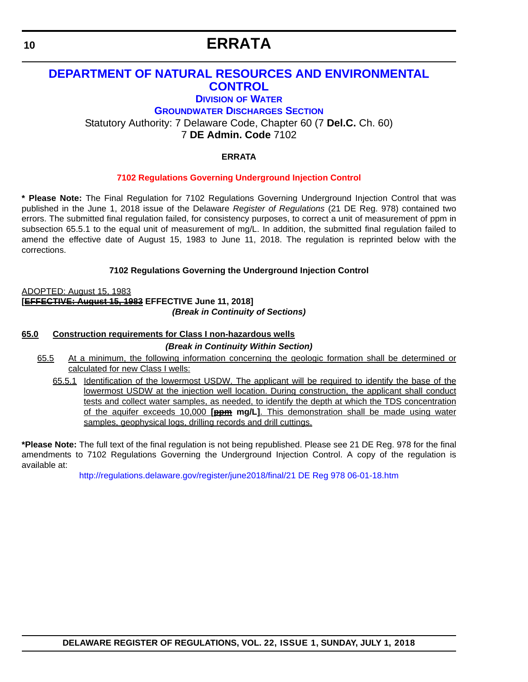# <span id="page-9-0"></span>**[DEPARTMENT OF NATURAL RESOURCES AND ENVIRONMENTAL](https://dnrec.alpha.delaware.gov/)  CONTROL**

# **DIVISION [OF WATER](https://dnrec.alpha.delaware.gov/water/)**

**[GROUNDWATER DISCHARGES SECTION](http://www.dnrec.delaware.gov/wr/Services/Pages/GroundWaterDischarges.aspx)**

Statutory Authority: 7 Delaware Code, Chapter 60 (7 **Del.C.** Ch. 60)

7 **DE Admin. Code** 7102

# **ERRATA**

# **[7102 Regulations Governing Underground Injection Control](#page-3-0)**

**\* Please Note:** The Final Regulation for 7102 Regulations Governing Underground Injection Control that was published in the June 1, 2018 issue of the Delaware *Register of Regulations* (21 DE Reg. 978) contained two errors. The submitted final regulation failed, for consistency purposes, to correct a unit of measurement of ppm in subsection 65.5.1 to the equal unit of measurement of mg/L. In addition, the submitted final regulation failed to amend the effective date of August 15, 1983 to June 11, 2018. The regulation is reprinted below with the corrections.

**7102 Regulations Governing the Underground Injection Control**

ADOPTED: August 15, 1983 **[EFFECTIVE: August 15, 1983 EFFECTIVE June 11, 2018]** *(Break in Continuity of Sections)*

# **65.0 Construction requirements for Class I non-hazardous wells**

*(Break in Continuity Within Section)*

- 65.5 At a minimum, the following information concerning the geologic formation shall be determined or calculated for new Class I wells:
	- 65.5.1 Identification of the lowermost USDW. The applicant will be required to identify the base of the lowermost USDW at the injection well location. During construction, the applicant shall conduct tests and collect water samples, as needed, to identify the depth at which the TDS concentration of the aquifer exceeds 10,000 **[ppm mg/L]**. This demonstration shall be made using water samples, geophysical logs, drilling records and drill cuttings.

**\*Please Note:** The full text of the final regulation is not being republished. Please see 21 DE Reg. 978 for the final amendments to 7102 Regulations Governing the Underground Injection Control. A copy of the regulation is available at:

<http://regulations.delaware.gov/register/june2018/final/21 DE Reg 978 06-01-18.htm>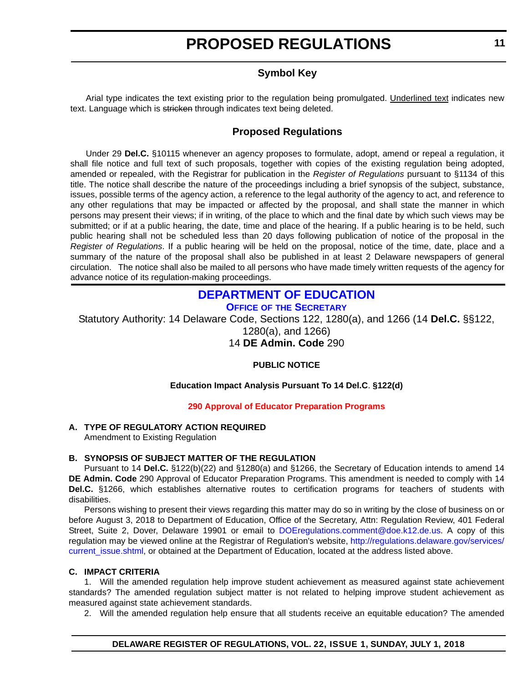# **Symbol Key**

<span id="page-10-0"></span>Arial type indicates the text existing prior to the regulation being promulgated. Underlined text indicates new text. Language which is stricken through indicates text being deleted.

# **Proposed Regulations**

Under 29 **Del.C.** §10115 whenever an agency proposes to formulate, adopt, amend or repeal a regulation, it shall file notice and full text of such proposals, together with copies of the existing regulation being adopted, amended or repealed, with the Registrar for publication in the *Register of Regulations* pursuant to §1134 of this title. The notice shall describe the nature of the proceedings including a brief synopsis of the subject, substance, issues, possible terms of the agency action, a reference to the legal authority of the agency to act, and reference to any other regulations that may be impacted or affected by the proposal, and shall state the manner in which persons may present their views; if in writing, of the place to which and the final date by which such views may be submitted; or if at a public hearing, the date, time and place of the hearing. If a public hearing is to be held, such public hearing shall not be scheduled less than 20 days following publication of notice of the proposal in the *Register of Regulations*. If a public hearing will be held on the proposal, notice of the time, date, place and a summary of the nature of the proposal shall also be published in at least 2 Delaware newspapers of general circulation. The notice shall also be mailed to all persons who have made timely written requests of the agency for advance notice of its regulation-making proceedings.

# **[DEPARTMENT OF EDUCATION](https://www.doe.k12.de.us/) OFFICE OF [THE SECRETARY](https://www.doe.k12.de.us/domain/9)**

Statutory Authority: 14 Delaware Code, Sections 122, 1280(a), and 1266 (14 **Del.C.** §§122, 1280(a), and 1266)

14 **DE Admin. Code** 290

# **PUBLIC NOTICE**

# **Education Impact Analysis Pursuant To 14 Del.C**. **§122(d)**

# **[290 Approval of Educator Preparation Programs](#page-3-0)**

# **A. TYPE OF REGULATORY ACTION REQUIRED**

Amendment to Existing Regulation

# **B. SYNOPSIS OF SUBJECT MATTER OF THE REGULATION**

Pursuant to 14 **Del.C.** §122(b)(22) and §1280(a) and §1266, the Secretary of Education intends to amend 14 **DE Admin. Code** 290 Approval of Educator Preparation Programs. This amendment is needed to comply with 14 **Del.C.** §1266, which establishes alternative routes to certification programs for teachers of students with disabilities.

Persons wishing to present their views regarding this matter may do so in writing by the close of business on or before August 3, 2018 to Department of Education, Office of the Secretary, Attn: Regulation Review, 401 Federal Street, Suite 2, Dover, Delaware 19901 or email to [DOEregulations.comment@doe.k12.de.us](mailto:DOEregulations.comment@doe.k12.de.us). A copy of this regulation may be viewed online at the Registrar of Regulation's website, [http://regulations.delaware.gov/services/](http://regulations.delaware.gov/services/current_issue.shtml) current issue.shtml, or obtained at the Department of Education, located at the address listed above.

# **C. IMPACT CRITERIA**

1. Will the amended regulation help improve student achievement as measured against state achievement standards? The amended regulation subject matter is not related to helping improve student achievement as measured against state achievement standards.

2. Will the amended regulation help ensure that all students receive an equitable education? The amended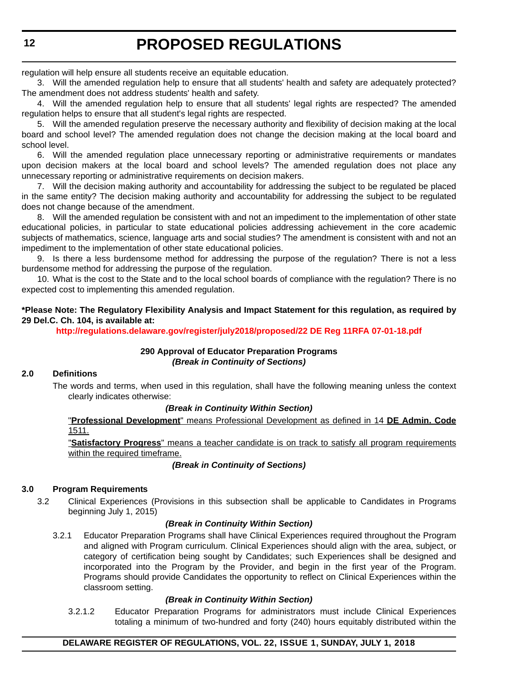regulation will help ensure all students receive an equitable education.

3. Will the amended regulation help to ensure that all students' health and safety are adequately protected? The amendment does not address students' health and safety.

4. Will the amended regulation help to ensure that all students' legal rights are respected? The amended regulation helps to ensure that all student's legal rights are respected.

5. Will the amended regulation preserve the necessary authority and flexibility of decision making at the local board and school level? The amended regulation does not change the decision making at the local board and school level.

6. Will the amended regulation place unnecessary reporting or administrative requirements or mandates upon decision makers at the local board and school levels? The amended regulation does not place any unnecessary reporting or administrative requirements on decision makers.

7. Will the decision making authority and accountability for addressing the subject to be regulated be placed in the same entity? The decision making authority and accountability for addressing the subject to be regulated does not change because of the amendment.

8. Will the amended regulation be consistent with and not an impediment to the implementation of other state educational policies, in particular to state educational policies addressing achievement in the core academic subjects of mathematics, science, language arts and social studies? The amendment is consistent with and not an impediment to the implementation of other state educational policies.

9. Is there a less burdensome method for addressing the purpose of the regulation? There is not a less burdensome method for addressing the purpose of the regulation.

10. What is the cost to the State and to the local school boards of compliance with the regulation? There is no expected cost to implementing this amended regulation.

# **\*Please Note: The Regulatory Flexibility Analysis and Impact Statement for this regulation, as required by 29 Del.C. Ch. 104, is available at:**

**<http://regulations.delaware.gov/register/july2018/proposed/22 DE Reg 11RFA 07-01-18.pdf>**

# **290 Approval of Educator Preparation Programs** *(Break in Continuity of Sections)*

# **2.0 Definitions**

The words and terms, when used in this regulation, shall have the following meaning unless the context clearly indicates otherwise:

#### *(Break in Continuity Within Section)*

"**Professional Development**" means Professional Development as defined in 14 **DE Admin. Code** 1511.

"**Satisfactory Progress**" means a teacher candidate is on track to satisfy all program requirements within the required timeframe.

# *(Break in Continuity of Sections)*

# **3.0 Program Requirements**

3.2 Clinical Experiences (Provisions in this subsection shall be applicable to Candidates in Programs beginning July 1, 2015)

#### *(Break in Continuity Within Section)*

3.2.1 Educator Preparation Programs shall have Clinical Experiences required throughout the Program and aligned with Program curriculum. Clinical Experiences should align with the area, subject, or category of certification being sought by Candidates; such Experiences shall be designed and incorporated into the Program by the Provider, and begin in the first year of the Program. Programs should provide Candidates the opportunity to reflect on Clinical Experiences within the classroom setting.

# *(Break in Continuity Within Section)*

3.2.1.2 Educator Preparation Programs for administrators must include Clinical Experiences totaling a minimum of two-hundred and forty (240) hours equitably distributed within the

# **DELAWARE REGISTER OF REGULATIONS, VOL. 22, ISSUE 1, SUNDAY, JULY 1, 2018**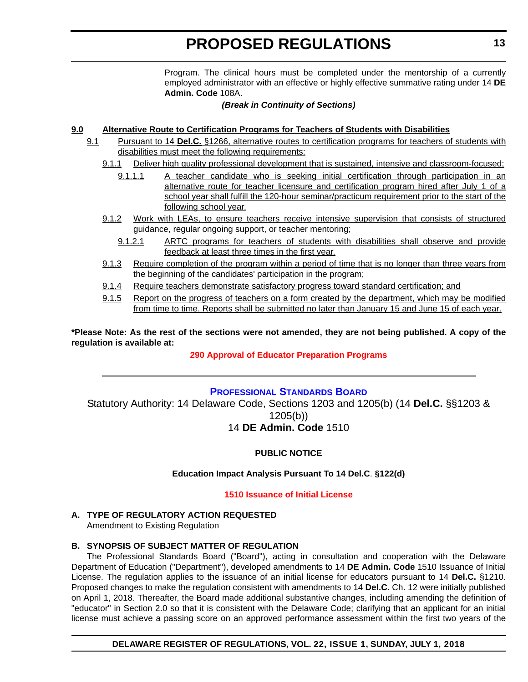Program. The clinical hours must be completed under the mentorship of a currently employed administrator with an effective or highly effective summative rating under 14 **DE Admin. Code** 108A.

#### *(Break in Continuity of Sections)*

# <span id="page-12-0"></span>**9.0 Alternative Route to Certification Programs for Teachers of Students with Disabilities**

- 9.1 Pursuant to 14 **Del.C.** §1266, alternative routes to certification programs for teachers of students with disabilities must meet the following requirements:
	- 9.1.1 Deliver high quality professional development that is sustained, intensive and classroom-focused;
		- 9.1.1.1 A teacher candidate who is seeking initial certification through participation in an alternative route for teacher licensure and certification program hired after July 1 of a school year shall fulfill the 120-hour seminar/practicum requirement prior to the start of the following school year.
	- 9.1.2 Work with LEAs, to ensure teachers receive intensive supervision that consists of structured guidance, regular ongoing support, or teacher mentoring;
		- 9.1.2.1 ARTC programs for teachers of students with disabilities shall observe and provide feedback at least three times in the first year.
	- 9.1.3 Require completion of the program within a period of time that is no longer than three years from the beginning of the candidates' participation in the program;
	- 9.1.4 Require teachers demonstrate satisfactory progress toward standard certification; and
	- 9.1.5 Report on the progress of teachers on a form created by the department, which may be modified from time to time. Reports shall be submitted no later than January 15 and June 15 of each year.

**\*Please Note: As the rest of the sections were not amended, they are not being published. A copy of the regulation is available at:**

# **[290 Approval of Educator Preparation Programs](http://regulations.delaware.gov/register/july2018/proposed/22 DE Reg 11 07-01-18.htm)**

# **[PROFESSIONAL STANDARDS BOARD](https://pubapps.doe.k12.de.us/EducationalDirectoryPublic/pages/DDOE/WorkGroupStaff.aspx?page=branches&WGID=75&BID=1)**

Statutory Authority: 14 Delaware Code, Sections 1203 and 1205(b) (14 **Del.C.** §§1203 & 1205(b)) 14 **DE Admin. Code** 1510

# **PUBLIC NOTICE**

# **Education Impact Analysis Pursuant To 14 Del.C**. **§122(d)**

#### **[1510 Issuance of Initial License](#page-3-0)**

# **A. TYPE OF REGULATORY ACTION REQUESTED**

Amendment to Existing Regulation

# **B. SYNOPSIS OF SUBJECT MATTER OF REGULATION**

The Professional Standards Board ("Board"), acting in consultation and cooperation with the Delaware Department of Education ("Department"), developed amendments to 14 **DE Admin. Code** 1510 Issuance of Initial License. The regulation applies to the issuance of an initial license for educators pursuant to 14 **Del.C.** §1210. Proposed changes to make the regulation consistent with amendments to 14 **Del.C.** Ch. 12 were initially published on April 1, 2018. Thereafter, the Board made additional substantive changes, including amending the definition of "educator" in Section 2.0 so that it is consistent with the Delaware Code; clarifying that an applicant for an initial license must achieve a passing score on an approved performance assessment within the first two years of the

# **DELAWARE REGISTER OF REGULATIONS, VOL. 22, ISSUE 1, SUNDAY, JULY 1, 2018**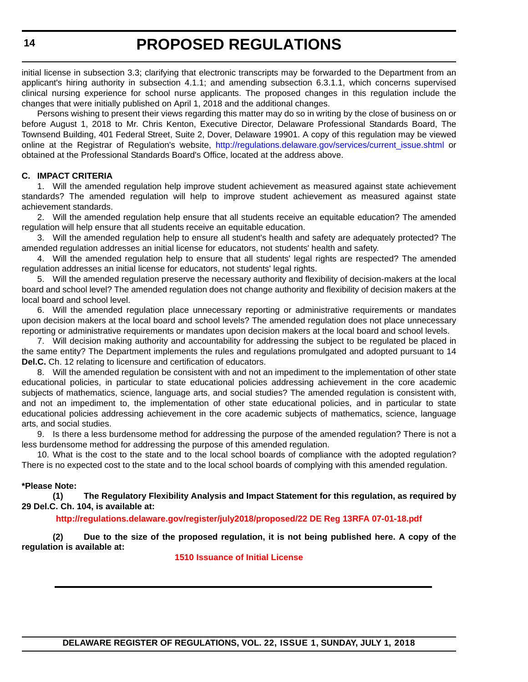initial license in subsection 3.3; clarifying that electronic transcripts may be forwarded to the Department from an applicant's hiring authority in subsection 4.1.1; and amending subsection 6.3.1.1, which concerns supervised clinical nursing experience for school nurse applicants. The proposed changes in this regulation include the changes that were initially published on April 1, 2018 and the additional changes.

Persons wishing to present their views regarding this matter may do so in writing by the close of business on or before August 1, 2018 to Mr. Chris Kenton, Executive Director, Delaware Professional Standards Board, The Townsend Building, 401 Federal Street, Suite 2, Dover, Delaware 19901. A copy of this regulation may be viewed online at the Registrar of Regulation's website, [http://regulations.delaware.gov/services/current\\_issue.shtml](http://regulations.delaware.gov/services/current_issue.shtml) or obtained at the Professional Standards Board's Office, located at the address above.

# **C. IMPACT CRITERIA**

1. Will the amended regulation help improve student achievement as measured against state achievement standards? The amended regulation will help to improve student achievement as measured against state achievement standards.

2. Will the amended regulation help ensure that all students receive an equitable education? The amended regulation will help ensure that all students receive an equitable education.

3. Will the amended regulation help to ensure all student's health and safety are adequately protected? The amended regulation addresses an initial license for educators, not students' health and safety.

4. Will the amended regulation help to ensure that all students' legal rights are respected? The amended regulation addresses an initial license for educators, not students' legal rights.

5. Will the amended regulation preserve the necessary authority and flexibility of decision-makers at the local board and school level? The amended regulation does not change authority and flexibility of decision makers at the local board and school level.

6. Will the amended regulation place unnecessary reporting or administrative requirements or mandates upon decision makers at the local board and school levels? The amended regulation does not place unnecessary reporting or administrative requirements or mandates upon decision makers at the local board and school levels.

7. Will decision making authority and accountability for addressing the subject to be regulated be placed in the same entity? The Department implements the rules and regulations promulgated and adopted pursuant to 14 **Del.C.** Ch. 12 relating to licensure and certification of educators.

8. Will the amended regulation be consistent with and not an impediment to the implementation of other state educational policies, in particular to state educational policies addressing achievement in the core academic subjects of mathematics, science, language arts, and social studies? The amended regulation is consistent with, and not an impediment to, the implementation of other state educational policies, and in particular to state educational policies addressing achievement in the core academic subjects of mathematics, science, language arts, and social studies.

9. Is there a less burdensome method for addressing the purpose of the amended regulation? There is not a less burdensome method for addressing the purpose of this amended regulation.

10. What is the cost to the state and to the local school boards of compliance with the adopted regulation? There is no expected cost to the state and to the local school boards of complying with this amended regulation.

#### **\*Please Note:**

**(1) The Regulatory Flexibility Analysis and Impact Statement for this regulation, as required by 29 Del.C. Ch. 104, is available at:**

#### **<http://regulations.delaware.gov/register/july2018/proposed/22 DE Reg 13RFA 07-01-18.pdf>**

**(2) Due to the size of the proposed regulation, it is not being published here. A copy of the regulation is available at:**

**[1510 Issuance of Initial License](http://regulations.delaware.gov/register/july2018/proposed/22 DE Reg 13 07-01-18.htm)**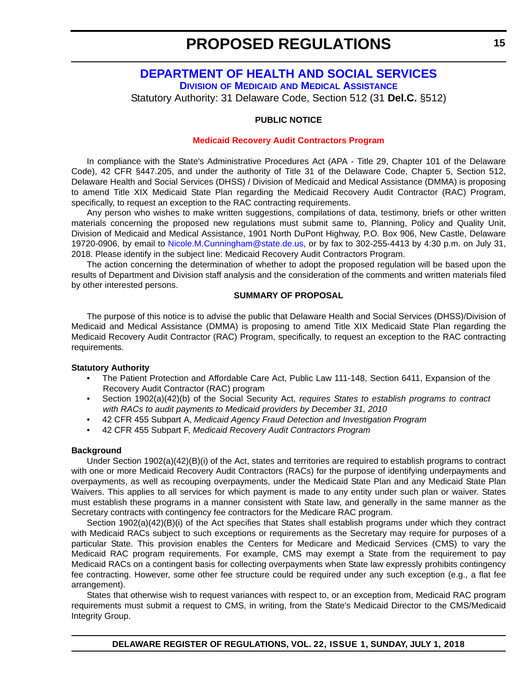# <span id="page-14-0"></span>**[DEPARTMENT OF HEALTH AND SOCIAL SERVICES](http://dhss.delaware.gov/dhss/) DIVISION OF MEDICAID [AND MEDICAL ASSISTANCE](http://dhss.delaware.gov/dhss/dmma/)**

Statutory Authority: 31 Delaware Code, Section 512 (31 **Del.C.** §512)

#### **PUBLIC NOTICE**

#### **[Medicaid Recovery Audit Contractors Program](#page-3-0)**

In compliance with the State's Administrative Procedures Act (APA - Title 29, Chapter 101 of the Delaware Code), 42 CFR §447.205, and under the authority of Title 31 of the Delaware Code, Chapter 5, Section 512, Delaware Health and Social Services (DHSS) / Division of Medicaid and Medical Assistance (DMMA) is proposing to amend Title XIX Medicaid State Plan regarding the Medicaid Recovery Audit Contractor (RAC) Program, specifically, to request an exception to the RAC contracting requirements.

Any person who wishes to make written suggestions, compilations of data, testimony, briefs or other written materials concerning the proposed new regulations must submit same to, Planning, Policy and Quality Unit, Division of Medicaid and Medical Assistance, 1901 North DuPont Highway, P.O. Box 906, New Castle, Delaware 19720-0906, by email to [Nicole.M.Cunningham@state.de.us](mailto:Nicole.M.Cunningham@state.de.us), or by fax to 302-255-4413 by 4:30 p.m. on July 31, 2018. Please identify in the subject line: Medicaid Recovery Audit Contractors Program.

The action concerning the determination of whether to adopt the proposed regulation will be based upon the results of Department and Division staff analysis and the consideration of the comments and written materials filed by other interested persons.

#### **SUMMARY OF PROPOSAL**

The purpose of this notice is to advise the public that Delaware Health and Social Services (DHSS)/Division of Medicaid and Medical Assistance (DMMA) is proposing to amend Title XIX Medicaid State Plan regarding the Medicaid Recovery Audit Contractor (RAC) Program, specifically, to request an exception to the RAC contracting requirements.

#### **Statutory Authority**

- The Patient Protection and Affordable Care Act, Public Law 111-148, Section 6411, Expansion of the Recovery Audit Contractor (RAC) program
- Section 1902(a)(42)(b) of the Social Security Act, *requires States to establish programs to contract with RACs to audit payments to Medicaid providers by December 31, 2010*
- 42 CFR 455 Subpart A, *Medicaid Agency Fraud Detection and Investigation Program*
- 42 CFR 455 Subpart F, *Medicaid Recovery Audit Contractors Program*

#### **Background**

Under Section 1902(a)(42)(B)(i) of the Act, states and territories are required to establish programs to contract with one or more Medicaid Recovery Audit Contractors (RACs) for the purpose of identifying underpayments and overpayments, as well as recouping overpayments, under the Medicaid State Plan and any Medicaid State Plan Waivers. This applies to all services for which payment is made to any entity under such plan or waiver. States must establish these programs in a manner consistent with State law, and generally in the same manner as the Secretary contracts with contingency fee contractors for the Medicare RAC program.

Section 1902(a)(42)(B)(i) of the Act specifies that States shall establish programs under which they contract with Medicaid RACs subject to such exceptions or requirements as the Secretary may require for purposes of a particular State. This provision enables the Centers for Medicare and Medicaid Services (CMS) to vary the Medicaid RAC program requirements. For example, CMS may exempt a State from the requirement to pay Medicaid RACs on a contingent basis for collecting overpayments when State law expressly prohibits contingency fee contracting. However, some other fee structure could be required under any such exception (e.g., a flat fee arrangement).

States that otherwise wish to request variances with respect to, or an exception from, Medicaid RAC program requirements must submit a request to CMS, in writing, from the State's Medicaid Director to the CMS/Medicaid Integrity Group.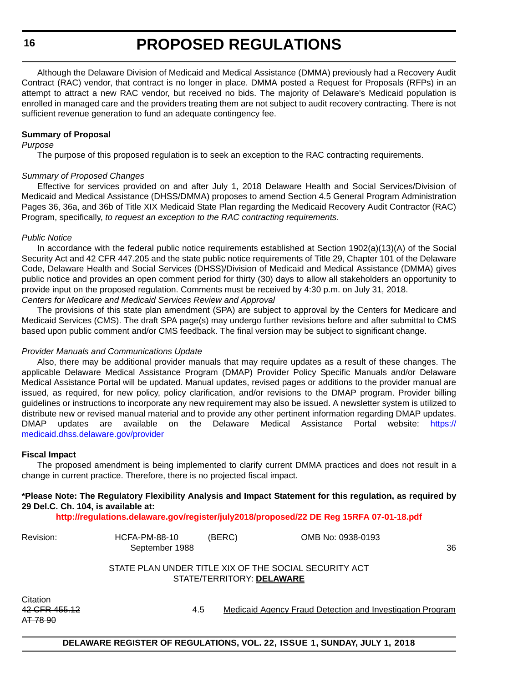Although the Delaware Division of Medicaid and Medical Assistance (DMMA) previously had a Recovery Audit Contract (RAC) vendor, that contract is no longer in place. DMMA posted a Request for Proposals (RFPs) in an attempt to attract a new RAC vendor, but received no bids. The majority of Delaware's Medicaid population is enrolled in managed care and the providers treating them are not subject to audit recovery contracting. There is not sufficient revenue generation to fund an adequate contingency fee.

#### **Summary of Proposal**

#### *Purpose*

The purpose of this proposed regulation is to seek an exception to the RAC contracting requirements.

#### *Summary of Proposed Changes*

Effective for services provided on and after July 1, 2018 Delaware Health and Social Services/Division of Medicaid and Medical Assistance (DHSS/DMMA) proposes to amend Section 4.5 General Program Administration Pages 36, 36a, and 36b of Title XIX Medicaid State Plan regarding the Medicaid Recovery Audit Contractor (RAC) Program, specifically, *to request an exception to the RAC contracting requirements.*

#### *Public Notice*

In accordance with the federal public notice requirements established at Section 1902(a)(13)(A) of the Social Security Act and 42 CFR 447.205 and the state public notice requirements of Title 29, Chapter 101 of the Delaware Code, Delaware Health and Social Services (DHSS)/Division of Medicaid and Medical Assistance (DMMA) gives public notice and provides an open comment period for thirty (30) days to allow all stakeholders an opportunity to provide input on the proposed regulation. Comments must be received by 4:30 p.m. on July 31, 2018. *Centers for Medicare and Medicaid Services Review and Approval*

The provisions of this state plan amendment (SPA) are subject to approval by the Centers for Medicare and Medicaid Services (CMS). The draft SPA page(s) may undergo further revisions before and after submittal to CMS based upon public comment and/or CMS feedback. The final version may be subject to significant change.

#### *Provider Manuals and Communications Update*

Also, there may be additional provider manuals that may require updates as a result of these changes. The applicable Delaware Medical Assistance Program (DMAP) Provider Policy Specific Manuals and/or Delaware Medical Assistance Portal will be updated. Manual updates, revised pages or additions to the provider manual are issued, as required, for new policy, policy clarification, and/or revisions to the DMAP program. Provider billing guidelines or instructions to incorporate any new requirement may also be issued. A newsletter system is utilized to distribute new or revised manual material and to provide any other pertinent information regarding DMAP updates. DMAP updates are available on the Delaware Medical Assistance Portal website: [https://](https://medicaid.dhss.delaware.gov/provider) [medicaid.dhss.delaware.gov/provider](https://medicaid.dhss.delaware.gov/provider)

#### **Fiscal Impact**

The proposed amendment is being implemented to clarify current DMMA practices and does not result in a change in current practice. Therefore, there is no projected fiscal impact.

# **\*Please Note: The Regulatory Flexibility Analysis and Impact Statement for this regulation, as required by 29 Del.C. Ch. 104, is available at:**

**<http://regulations.delaware.gov/register/july2018/proposed/22 DE Reg 15RFA 07-01-18.pdf>**

| Revision: | HCFA-PM-88-10<br>September 1988 | (BERC) | OMB No: 0938-0193                                           | 36 |
|-----------|---------------------------------|--------|-------------------------------------------------------------|----|
|           |                                 |        | $QTATF$ DLAN LINIDER TITLE VIV OF THE OOOLAL OF QURITY A OT |    |

#### STATE PLAN UNDER TITLE XIX OF THE SOCIAL SECURITY ACT STATE/TERRITORY: **DELAWARE**

Citation AT 78 90

42 CFR 455.12 **4.5** Medicaid Agency Fraud Detection and Investigation Program

# **DELAWARE REGISTER OF REGULATIONS, VOL. 22, ISSUE 1, SUNDAY, JULY 1, 2018**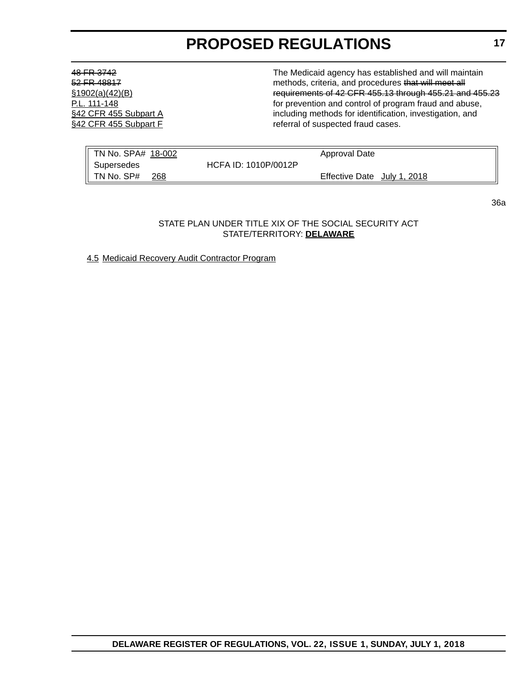48 FR 3742 The Medicaid agency has established and will maintain 52 FR 48817 **52 FR 48817** methods, criteria, and procedures that will meet all §1902(a)(42)(B) requirements of 42 CFR 455.13 through 455.21 and 455.23 P.L. 111-148 **P.L. 111-148 F.C. 111-148** *P.L. 111-148 P.C. 111-148 P.C. 111-148 P.C. 111-148 P.C. 111-148 P.C. 111-148 P.C. 111-148 P.C. 111-148 P.C. 111-148* **<b>***P.C. 111-148 P.C. 111* §42 CFR 455 Subpart A including methods for identification, investigation, and §42 CFR 455 Subpart F referral of suspected fraud cases.

| TN No. SPA# 18-002 |                      | Approval Date               |
|--------------------|----------------------|-----------------------------|
| Supersedes         | HCFA ID: 1010P/0012P |                             |
| TN No. SP#<br>268  |                      | Effective Date July 1, 2018 |

STATE PLAN UNDER TITLE XIX OF THE SOCIAL SECURITY ACT STATE/TERRITORY: **DELAWARE**

4.5 Medicaid Recovery Audit Contractor Program

36a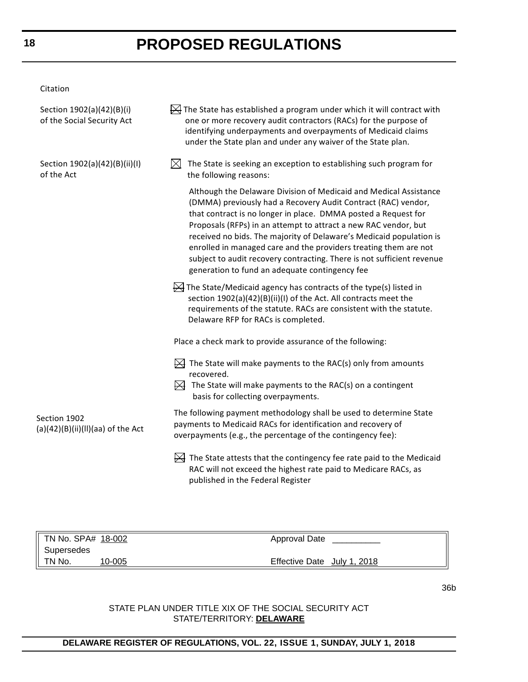Citation

| Section 1902(a)(42)(B)(i)<br>of the Social Security Act | $\overline{\mathbb{R}}$ The State has established a program under which it will contract with<br>one or more recovery audit contractors (RACs) for the purpose of<br>identifying underpayments and overpayments of Medicaid claims<br>under the State plan and under any waiver of the State plan.                                                                                                                                                                                                                                             |
|---------------------------------------------------------|------------------------------------------------------------------------------------------------------------------------------------------------------------------------------------------------------------------------------------------------------------------------------------------------------------------------------------------------------------------------------------------------------------------------------------------------------------------------------------------------------------------------------------------------|
| Section 1902(a)(42)(B)(ii)(I)<br>of the Act             | $\bowtie$<br>The State is seeking an exception to establishing such program for<br>the following reasons:                                                                                                                                                                                                                                                                                                                                                                                                                                      |
|                                                         | Although the Delaware Division of Medicaid and Medical Assistance<br>(DMMA) previously had a Recovery Audit Contract (RAC) vendor,<br>that contract is no longer in place. DMMA posted a Request for<br>Proposals (RFPs) in an attempt to attract a new RAC vendor, but<br>received no bids. The majority of Delaware's Medicaid population is<br>enrolled in managed care and the providers treating them are not<br>subject to audit recovery contracting. There is not sufficient revenue<br>generation to fund an adequate contingency fee |
|                                                         | $\cancel{\bowtie}$ The State/Medicaid agency has contracts of the type(s) listed in<br>section 1902(a)(42)(B)(ii)(I) of the Act. All contracts meet the<br>requirements of the statute. RACs are consistent with the statute.<br>Delaware RFP for RACs is completed.                                                                                                                                                                                                                                                                           |
|                                                         | Place a check mark to provide assurance of the following:                                                                                                                                                                                                                                                                                                                                                                                                                                                                                      |
|                                                         | $\mathbb H$ The State will make payments to the RAC(s) only from amounts<br>recovered.<br>$\bowtie$<br>The State will make payments to the RAC(s) on a contingent                                                                                                                                                                                                                                                                                                                                                                              |
|                                                         | basis for collecting overpayments.                                                                                                                                                                                                                                                                                                                                                                                                                                                                                                             |
| Section 1902<br>$(a)(42)(B)(ii)(II)(aa)$ of the Act     | The following payment methodology shall be used to determine State<br>payments to Medicaid RACs for identification and recovery of<br>overpayments (e.g., the percentage of the contingency fee):                                                                                                                                                                                                                                                                                                                                              |
|                                                         | $\mathbb H$ The State attests that the contingency fee rate paid to the Medicaid<br>RAC will not exceed the highest rate paid to Medicare RACs, as<br>published in the Federal Register                                                                                                                                                                                                                                                                                                                                                        |

| TN No. SPA# 18-002 |        | Approval Date               |  |
|--------------------|--------|-----------------------------|--|
| Supersedes         |        |                             |  |
| TN No.             | 10-005 | Effective Date July 1, 2018 |  |

# STATE PLAN UNDER TITLE XIX OF THE SOCIAL SECURITY ACT STATE/TERRITORY: **DELAWARE**

# **DELAWARE REGISTER OF REGULATIONS, VOL. 22, ISSUE 1, SUNDAY, JULY 1, 2018**

36b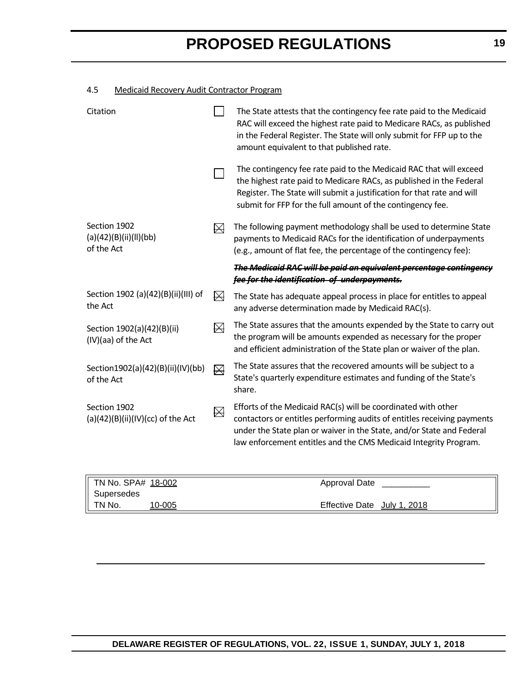# 4.5 Medicaid Recovery Audit Contractor Program

| Citation                                             |   | The State attests that the contingency fee rate paid to the Medicaid<br>RAC will exceed the highest rate paid to Medicare RACs, as published<br>in the Federal Register. The State will only submit for FFP up to the<br>amount equivalent to that published rate.                    |
|------------------------------------------------------|---|---------------------------------------------------------------------------------------------------------------------------------------------------------------------------------------------------------------------------------------------------------------------------------------|
|                                                      |   | The contingency fee rate paid to the Medicaid RAC that will exceed<br>the highest rate paid to Medicare RACs, as published in the Federal<br>Register. The State will submit a justification for that rate and will<br>submit for FFP for the full amount of the contingency fee.     |
| Section 1902<br>(a)(42)(B)(ii)(II)(bb)<br>of the Act | ₩ | The following payment methodology shall be used to determine State<br>payments to Medicaid RACs for the identification of underpayments<br>(e.g., amount of flat fee, the percentage of the contingency fee):                                                                         |
|                                                      |   | The Medicaid RAC will be paid an equivalent percentage contingency<br>fee for the identification of underpayments.                                                                                                                                                                    |
| Section 1902 (a)(42)(B)(ii)(III) of<br>the Act       | ₩ | The State has adequate appeal process in place for entitles to appeal<br>any adverse determination made by Medicaid RAC(s).                                                                                                                                                           |
| Section 1902(a)(42)(B)(ii)<br>(IV)(aa) of the Act    | ⊠ | The State assures that the amounts expended by the State to carry out<br>the program will be amounts expended as necessary for the proper<br>and efficient administration of the State plan or waiver of the plan.                                                                    |
| Section1902(a)(42)(B)(ii)(IV)(bb)<br>of the Act      | ⊠ | The State assures that the recovered amounts will be subject to a<br>State's quarterly expenditure estimates and funding of the State's<br>share.                                                                                                                                     |
| Section 1902<br>$(a)(42)(B)(ii)(IV)(cc)$ of the Act  | ⊠ | Efforts of the Medicaid RAC(s) will be coordinated with other<br>contactors or entitles performing audits of entitles receiving payments<br>under the State plan or waiver in the State, and/or State and Federal<br>law enforcement entitles and the CMS Medicaid Integrity Program. |

| TN No. SPA# 18-002 |        | Approval Date                         |
|--------------------|--------|---------------------------------------|
| Supersedes         |        |                                       |
| TN No.             | 10-005 | <b>Effective Date</b><br>July 1, 2018 |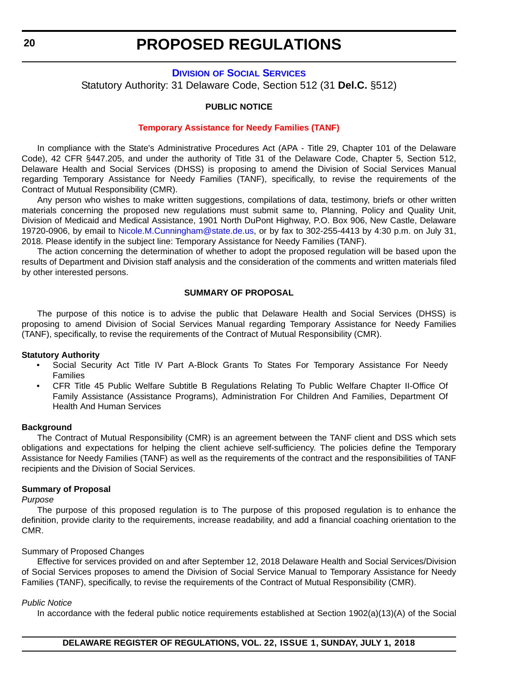# **DIVISION [OF SOCIAL SERVICES](http://dhss.delaware.gov/dhss/dss/)**

<span id="page-19-0"></span>Statutory Authority: 31 Delaware Code, Section 512 (31 **Del.C.** §512)

#### **PUBLIC NOTICE**

#### **[Temporary Assistance for Needy Families \(TANF\)](#page-3-0)**

In compliance with the State's Administrative Procedures Act (APA - Title 29, Chapter 101 of the Delaware Code), 42 CFR §447.205, and under the authority of Title 31 of the Delaware Code, Chapter 5, Section 512, Delaware Health and Social Services (DHSS) is proposing to amend the Division of Social Services Manual regarding Temporary Assistance for Needy Families (TANF), specifically, to revise the requirements of the Contract of Mutual Responsibility (CMR).

Any person who wishes to make written suggestions, compilations of data, testimony, briefs or other written materials concerning the proposed new regulations must submit same to, Planning, Policy and Quality Unit, Division of Medicaid and Medical Assistance, 1901 North DuPont Highway, P.O. Box 906, New Castle, Delaware 19720-0906, by email to [Nicole.M.Cunningham@state.de.us](mailto:Nicole.M.Cunningham@state.de.us), or by fax to 302-255-4413 by 4:30 p.m. on July 31, 2018. Please identify in the subject line: Temporary Assistance for Needy Families (TANF).

The action concerning the determination of whether to adopt the proposed regulation will be based upon the results of Department and Division staff analysis and the consideration of the comments and written materials filed by other interested persons.

#### **SUMMARY OF PROPOSAL**

The purpose of this notice is to advise the public that Delaware Health and Social Services (DHSS) is proposing to amend Division of Social Services Manual regarding Temporary Assistance for Needy Families (TANF), specifically, to revise the requirements of the Contract of Mutual Responsibility (CMR).

#### **Statutory Authority**

- Social Security Act Title IV Part A-Block Grants To States For Temporary Assistance For Needy Families
- CFR Title 45 Public Welfare Subtitle B Regulations Relating To Public Welfare Chapter II-Office Of Family Assistance (Assistance Programs), Administration For Children And Families, Department Of Health And Human Services

#### **Background**

The Contract of Mutual Responsibility (CMR) is an agreement between the TANF client and DSS which sets obligations and expectations for helping the client achieve self-sufficiency. The policies define the Temporary Assistance for Needy Families (TANF) as well as the requirements of the contract and the responsibilities of TANF recipients and the Division of Social Services.

#### **Summary of Proposal**

*Purpose*

The purpose of this proposed regulation is to The purpose of this proposed regulation is to enhance the definition, provide clarity to the requirements, increase readability, and add a financial coaching orientation to the CMR.

#### Summary of Proposed Changes

Effective for services provided on and after September 12, 2018 Delaware Health and Social Services/Division of Social Services proposes to amend the Division of Social Service Manual to Temporary Assistance for Needy Families (TANF), specifically, to revise the requirements of the Contract of Mutual Responsibility (CMR).

#### *Public Notice*

In accordance with the federal public notice requirements established at Section 1902(a)(13)(A) of the Social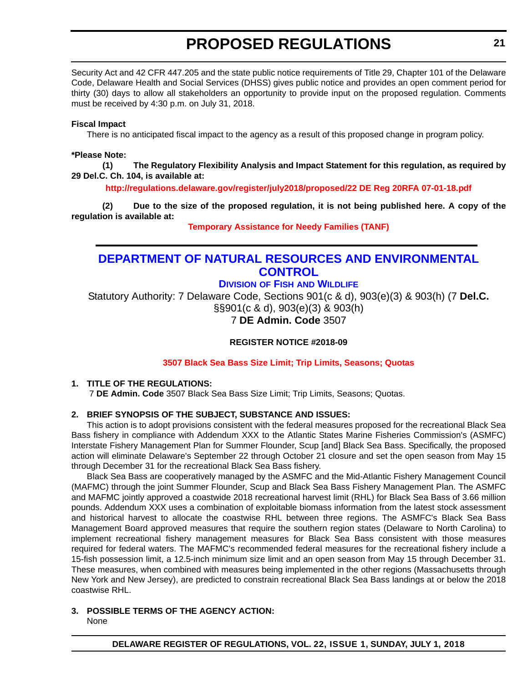<span id="page-20-0"></span>Security Act and 42 CFR 447.205 and the state public notice requirements of Title 29, Chapter 101 of the Delaware Code, Delaware Health and Social Services (DHSS) gives public notice and provides an open comment period for thirty (30) days to allow all stakeholders an opportunity to provide input on the proposed regulation. Comments must be received by 4:30 p.m. on July 31, 2018.

#### **Fiscal Impact**

There is no anticipated fiscal impact to the agency as a result of this proposed change in program policy.

#### **\*Please Note:**

**(1) The Regulatory Flexibility Analysis and Impact Statement for this regulation, as required by 29 Del.C. Ch. 104, is available at:**

**<http://regulations.delaware.gov/register/july2018/proposed/22 DE Reg 20RFA 07-01-18.pdf>**

**(2) Due to the size of the proposed regulation, it is not being published here. A copy of the regulation is available at:**

**[Temporary Assistance for Needy Families \(TANF\)](http://regulations.delaware.gov/register/july2018/proposed/22 DE Reg 20 07-01-18.htm)** 

# **[DEPARTMENT OF NATURAL RESOURCES AND ENVIRONMENTAL](https://dnrec.alpha.delaware.gov/)  CONTROL**

# **DIVISION OF FISH [AND WILDLIFE](https://dnrec.alpha.delaware.gov/fish-wildlife/)**

Statutory Authority: 7 Delaware Code, Sections 901(c & d), 903(e)(3) & 903(h) (7 **Del.C.**  §§901(c & d), 903(e)(3) & 903(h)

7 **DE Admin. Code** 3507

# **REGISTER NOTICE #2018-09**

# **[3507 Black Sea Bass Size Limit; Trip Limits, Seasons; Quotas](#page-3-0)**

# **1. TITLE OF THE REGULATIONS:**

7 **DE Admin. Code** 3507 Black Sea Bass Size Limit; Trip Limits, Seasons; Quotas.

# **2. BRIEF SYNOPSIS OF THE SUBJECT, SUBSTANCE AND ISSUES:**

This action is to adopt provisions consistent with the federal measures proposed for the recreational Black Sea Bass fishery in compliance with Addendum XXX to the Atlantic States Marine Fisheries Commission's (ASMFC) Interstate Fishery Management Plan for Summer Flounder, Scup [and] Black Sea Bass. Specifically, the proposed action will eliminate Delaware's September 22 through October 21 closure and set the open season from May 15 through December 31 for the recreational Black Sea Bass fishery.

Black Sea Bass are cooperatively managed by the ASMFC and the Mid-Atlantic Fishery Management Council (MAFMC) through the joint Summer Flounder, Scup and Black Sea Bass Fishery Management Plan. The ASMFC and MAFMC jointly approved a coastwide 2018 recreational harvest limit (RHL) for Black Sea Bass of 3.66 million pounds. Addendum XXX uses a combination of exploitable biomass information from the latest stock assessment and historical harvest to allocate the coastwise RHL between three regions. The ASMFC's Black Sea Bass Management Board approved measures that require the southern region states (Delaware to North Carolina) to implement recreational fishery management measures for Black Sea Bass consistent with those measures required for federal waters. The MAFMC's recommended federal measures for the recreational fishery include a 15-fish possession limit, a 12.5-inch minimum size limit and an open season from May 15 through December 31. These measures, when combined with measures being implemented in the other regions (Massachusetts through New York and New Jersey), are predicted to constrain recreational Black Sea Bass landings at or below the 2018 coastwise RHL.

# **3. POSSIBLE TERMS OF THE AGENCY ACTION:**

None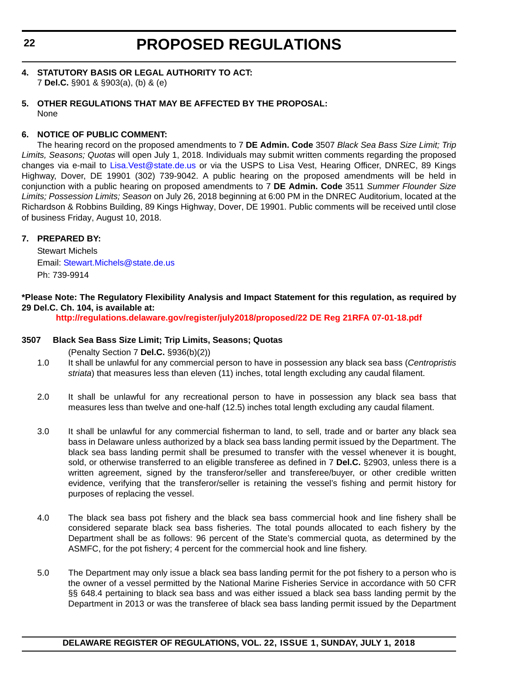- **4. STATUTORY BASIS OR LEGAL AUTHORITY TO ACT:** 7 **Del.C.** §901 & §903(a), (b) & (e)
- **5. OTHER REGULATIONS THAT MAY BE AFFECTED BY THE PROPOSAL:** None

# **6. NOTICE OF PUBLIC COMMENT:**

The hearing record on the proposed amendments to 7 **DE Admin. Code** 3507 *Black Sea Bass Size Limit; Trip Limits, Seasons; Quotas* will open July 1, 2018. Individuals may submit written comments regarding the proposed changes via e-mail to [Lisa.Vest@state.de.us](mailto:Lisa.Vest@state.de.us) or via the USPS to Lisa Vest, Hearing Officer, DNREC, 89 Kings Highway, Dover, DE 19901 (302) 739-9042. A public hearing on the proposed amendments will be held in conjunction with a public hearing on proposed amendments to 7 **DE Admin. Code** 3511 *Summer Flounder Size Limits; Possession Limits; Season* on July 26, 2018 beginning at 6:00 PM in the DNREC Auditorium, located at the Richardson & Robbins Building, 89 Kings Highway, Dover, DE 19901. Public comments will be received until close of business Friday, August 10, 2018.

# **7. PREPARED BY:**

Stewart Michels Email: [Stewart.Michels@state.de.us](mailto:Stewart.Michels@state.de.us) Ph: 739-9914

# **\*Please Note: The Regulatory Flexibility Analysis and Impact Statement for this regulation, as required by 29 Del.C. Ch. 104, is available at:**

**<http://regulations.delaware.gov/register/july2018/proposed/22 DE Reg 21RFA 07-01-18.pdf>**

# **3507 Black Sea Bass Size Limit; Trip Limits, Seasons; Quotas**

(Penalty Section 7 **Del.C.** §936(b)(2))

- 1.0 It shall be unlawful for any commercial person to have in possession any black sea bass (*Centropristis striata*) that measures less than eleven (11) inches, total length excluding any caudal filament.
- 2.0 It shall be unlawful for any recreational person to have in possession any black sea bass that measures less than twelve and one-half (12.5) inches total length excluding any caudal filament.
- 3.0 It shall be unlawful for any commercial fisherman to land, to sell, trade and or barter any black sea bass in Delaware unless authorized by a black sea bass landing permit issued by the Department. The black sea bass landing permit shall be presumed to transfer with the vessel whenever it is bought, sold, or otherwise transferred to an eligible transferee as defined in 7 **Del.C.** §2903, unless there is a written agreement, signed by the transferor/seller and transferee/buyer, or other credible written evidence, verifying that the transferor/seller is retaining the vessel's fishing and permit history for purposes of replacing the vessel.
- 4.0 The black sea bass pot fishery and the black sea bass commercial hook and line fishery shall be considered separate black sea bass fisheries. The total pounds allocated to each fishery by the Department shall be as follows: 96 percent of the State's commercial quota, as determined by the ASMFC, for the pot fishery; 4 percent for the commercial hook and line fishery.
- 5.0 The Department may only issue a black sea bass landing permit for the pot fishery to a person who is the owner of a vessel permitted by the National Marine Fisheries Service in accordance with 50 CFR §§ 648.4 pertaining to black sea bass and was either issued a black sea bass landing permit by the Department in 2013 or was the transferee of black sea bass landing permit issued by the Department

**DELAWARE REGISTER OF REGULATIONS, VOL. 22, ISSUE 1, SUNDAY, JULY 1, 2018**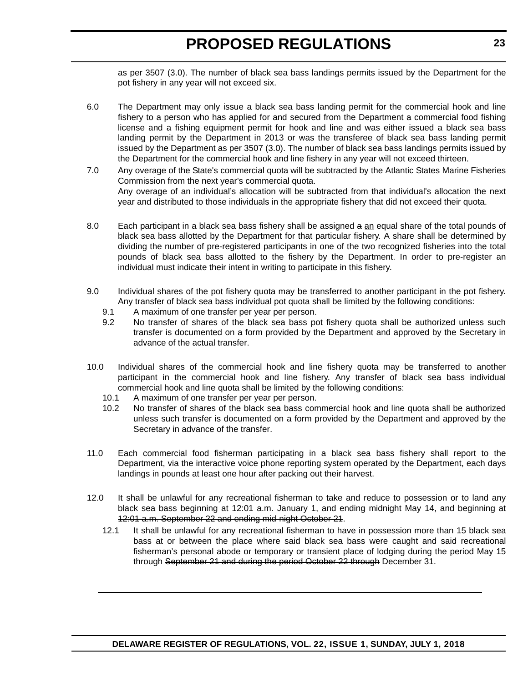as per 3507 (3.0). The number of black sea bass landings permits issued by the Department for the pot fishery in any year will not exceed six.

- 6.0 The Department may only issue a black sea bass landing permit for the commercial hook and line fishery to a person who has applied for and secured from the Department a commercial food fishing license and a fishing equipment permit for hook and line and was either issued a black sea bass landing permit by the Department in 2013 or was the transferee of black sea bass landing permit issued by the Department as per 3507 (3.0). The number of black sea bass landings permits issued by the Department for the commercial hook and line fishery in any year will not exceed thirteen.
- 7.0 Any overage of the State's commercial quota will be subtracted by the Atlantic States Marine Fisheries Commission from the next year's commercial quota. Any overage of an individual's allocation will be subtracted from that individual's allocation the next year and distributed to those individuals in the appropriate fishery that did not exceed their quota.
- 8.0 Each participant in a black sea bass fishery shall be assigned a an equal share of the total pounds of black sea bass allotted by the Department for that particular fishery. A share shall be determined by dividing the number of pre-registered participants in one of the two recognized fisheries into the total pounds of black sea bass allotted to the fishery by the Department. In order to pre-register an individual must indicate their intent in writing to participate in this fishery.
- 9.0 Individual shares of the pot fishery quota may be transferred to another participant in the pot fishery. Any transfer of black sea bass individual pot quota shall be limited by the following conditions:
	- 9.1 A maximum of one transfer per year per person.
	- 9.2 No transfer of shares of the black sea bass pot fishery quota shall be authorized unless such transfer is documented on a form provided by the Department and approved by the Secretary in advance of the actual transfer.
- 10.0 Individual shares of the commercial hook and line fishery quota may be transferred to another participant in the commercial hook and line fishery. Any transfer of black sea bass individual commercial hook and line quota shall be limited by the following conditions:
	- 10.1 A maximum of one transfer per year per person.
	- 10.2 No transfer of shares of the black sea bass commercial hook and line quota shall be authorized unless such transfer is documented on a form provided by the Department and approved by the Secretary in advance of the transfer.
- 11.0 Each commercial food fisherman participating in a black sea bass fishery shall report to the Department, via the interactive voice phone reporting system operated by the Department, each days landings in pounds at least one hour after packing out their harvest.
- 12.0 It shall be unlawful for any recreational fisherman to take and reduce to possession or to land any black sea bass beginning at 12:01 a.m. January 1, and ending midnight May 14, and beginning at 12:01 a.m. September 22 and ending mid-night October 21.
	- 12.1 It shall be unlawful for any recreational fisherman to have in possession more than 15 black sea bass at or between the place where said black sea bass were caught and said recreational fisherman's personal abode or temporary or transient place of lodging during the period May 15 through September 21 and during the period October 22 through December 31.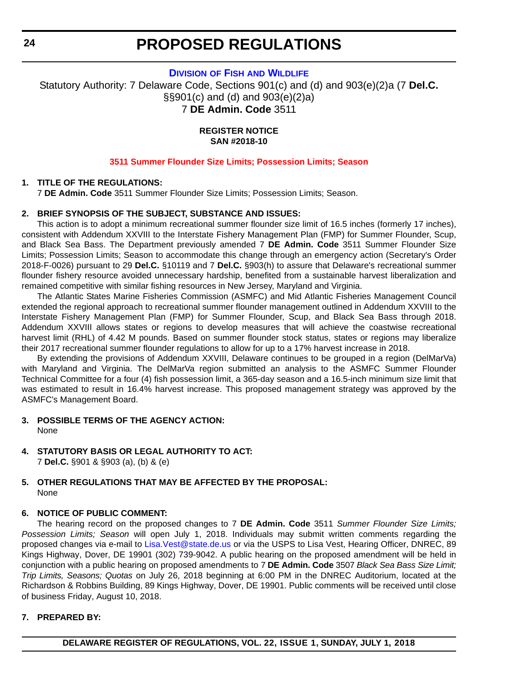**DIVISION OF FISH [AND WILDLIFE](https://dnrec.alpha.delaware.gov/fish-wildlife/)**

<span id="page-23-0"></span>Statutory Authority: 7 Delaware Code, Sections 901(c) and (d) and 903(e)(2)a (7 **Del.C.** §§901(c) and (d) and 903(e)(2)a) 7 **DE Admin. Code** 3511

> **REGISTER NOTICE SAN #2018-10**

#### **[3511 Summer Flounder Size Limits; Possession Limits; Season](#page-3-0)**

#### **1. TITLE OF THE REGULATIONS:**

7 **DE Admin. Code** 3511 Summer Flounder Size Limits; Possession Limits; Season.

#### **2. BRIEF SYNOPSIS OF THE SUBJECT, SUBSTANCE AND ISSUES:**

This action is to adopt a minimum recreational summer flounder size limit of 16.5 inches (formerly 17 inches), consistent with Addendum XXVIII to the Interstate Fishery Management Plan (FMP) for Summer Flounder, Scup, and Black Sea Bass. The Department previously amended 7 **DE Admin. Code** 3511 Summer Flounder Size Limits; Possession Limits; Season to accommodate this change through an emergency action (Secretary's Order 2018-F-0026) pursuant to 29 **Del.C.** §10119 and 7 **Del.C.** §903(h) to assure that Delaware's recreational summer flounder fishery resource avoided unnecessary hardship, benefited from a sustainable harvest liberalization and remained competitive with similar fishing resources in New Jersey, Maryland and Virginia.

The Atlantic States Marine Fisheries Commission (ASMFC) and Mid Atlantic Fisheries Management Council extended the regional approach to recreational summer flounder management outlined in Addendum XXVIII to the Interstate Fishery Management Plan (FMP) for Summer Flounder, Scup, and Black Sea Bass through 2018. Addendum XXVIII allows states or regions to develop measures that will achieve the coastwise recreational harvest limit (RHL) of 4.42 M pounds. Based on summer flounder stock status, states or regions may liberalize their 2017 recreational summer flounder regulations to allow for up to a 17% harvest increase in 2018.

By extending the provisions of Addendum XXVIII, Delaware continues to be grouped in a region (DelMarVa) with Maryland and Virginia. The DelMarVa region submitted an analysis to the ASMFC Summer Flounder Technical Committee for a four (4) fish possession limit, a 365-day season and a 16.5-inch minimum size limit that was estimated to result in 16.4% harvest increase. This proposed management strategy was approved by the ASMFC's Management Board.

- **3. POSSIBLE TERMS OF THE AGENCY ACTION:** None
- **4. STATUTORY BASIS OR LEGAL AUTHORITY TO ACT:**

7 **Del.C.** §901 & §903 (a), (b) & (e)

#### **5. OTHER REGULATIONS THAT MAY BE AFFECTED BY THE PROPOSAL:** None

# **6. NOTICE OF PUBLIC COMMENT:**

The hearing record on the proposed changes to 7 **DE Admin. Code** 3511 *Summer Flounder Size Limits; Possession Limits; Season* will open July 1, 2018. Individuals may submit written comments regarding the proposed changes via e-mail to Lisa. Vest@state.de.us or via the USPS to Lisa Vest, Hearing Officer, DNREC, 89 Kings Highway, Dover, DE 19901 (302) 739-9042. A public hearing on the proposed amendment will be held in conjunction with a public hearing on proposed amendments to 7 **DE Admin. Code** 3507 *Black Sea Bass Size Limit; Trip Limits, Seasons; Quotas* on July 26, 2018 beginning at 6:00 PM in the DNREC Auditorium, located at the Richardson & Robbins Building, 89 Kings Highway, Dover, DE 19901. Public comments will be received until close of business Friday, August 10, 2018.

# **7. PREPARED BY:**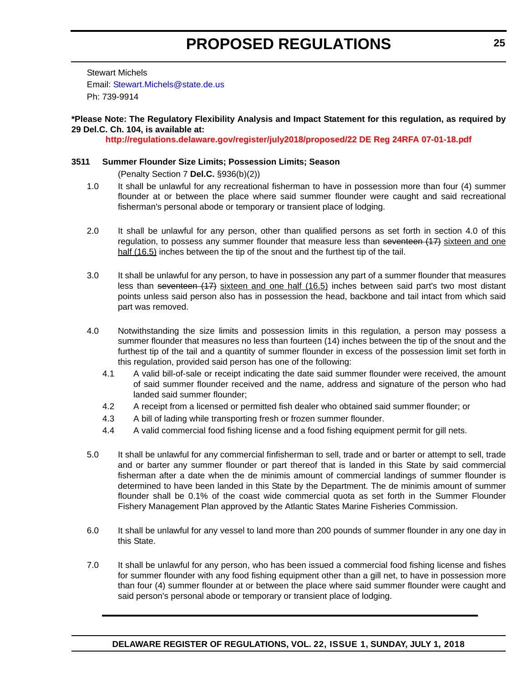Stewart Michels Email: [Stewart.Michels@state.de.us](mailto:Stewart.Michels@state.de.us) Ph: 739-9914

# **\*Please Note: The Regulatory Flexibility Analysis and Impact Statement for this regulation, as required by 29 Del.C. Ch. 104, is available at:**

**<http://regulations.delaware.gov/register/july2018/proposed/22 DE Reg 24RFA 07-01-18.pdf>**

# **3511 Summer Flounder Size Limits; Possession Limits; Season**

(Penalty Section 7 **Del.C.** §936(b)(2))

- 1.0 It shall be unlawful for any recreational fisherman to have in possession more than four (4) summer flounder at or between the place where said summer flounder were caught and said recreational fisherman's personal abode or temporary or transient place of lodging.
- 2.0 It shall be unlawful for any person, other than qualified persons as set forth in section 4.0 of this regulation, to possess any summer flounder that measure less than seventeen  $(17)$  sixteen and one half (16.5) inches between the tip of the snout and the furthest tip of the tail.
- 3.0 It shall be unlawful for any person, to have in possession any part of a summer flounder that measures less than seventeen (17) sixteen and one half (16.5) inches between said part's two most distant points unless said person also has in possession the head, backbone and tail intact from which said part was removed.
- 4.0 Notwithstanding the size limits and possession limits in this regulation, a person may possess a summer flounder that measures no less than fourteen (14) inches between the tip of the snout and the furthest tip of the tail and a quantity of summer flounder in excess of the possession limit set forth in this regulation, provided said person has one of the following:
	- 4.1 A valid bill-of-sale or receipt indicating the date said summer flounder were received, the amount of said summer flounder received and the name, address and signature of the person who had landed said summer flounder;
	- 4.2 A receipt from a licensed or permitted fish dealer who obtained said summer flounder; or
	- 4.3 A bill of lading while transporting fresh or frozen summer flounder.
	- 4.4 A valid commercial food fishing license and a food fishing equipment permit for gill nets.
- 5.0 It shall be unlawful for any commercial finfisherman to sell, trade and or barter or attempt to sell, trade and or barter any summer flounder or part thereof that is landed in this State by said commercial fisherman after a date when the de minimis amount of commercial landings of summer flounder is determined to have been landed in this State by the Department. The de minimis amount of summer flounder shall be 0.1% of the coast wide commercial quota as set forth in the Summer Flounder Fishery Management Plan approved by the Atlantic States Marine Fisheries Commission.
- 6.0 It shall be unlawful for any vessel to land more than 200 pounds of summer flounder in any one day in this State.
- 7.0 It shall be unlawful for any person, who has been issued a commercial food fishing license and fishes for summer flounder with any food fishing equipment other than a gill net, to have in possession more than four (4) summer flounder at or between the place where said summer flounder were caught and said person's personal abode or temporary or transient place of lodging.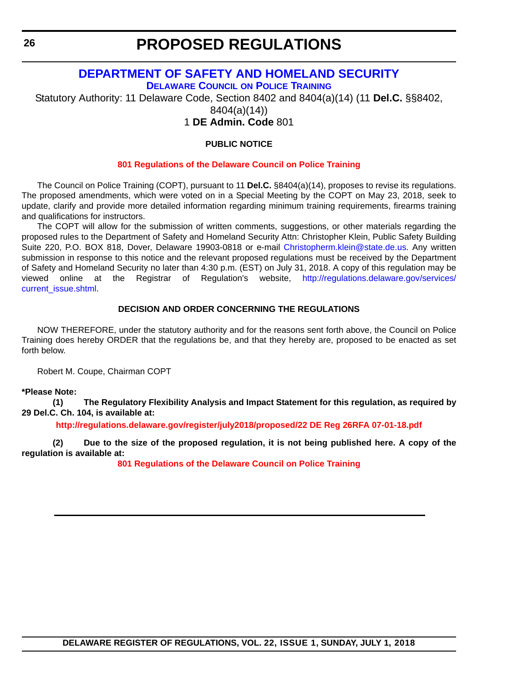# **[DEPARTMENT OF SAFETY AND HOMELAND SECURITY](https://dshs.delaware.gov/) [DELAWARE COUNCIL](https://dshs.delaware.gov/) ON POLICE TRAINING**

<span id="page-25-0"></span>Statutory Authority: 11 Delaware Code, Section 8402 and 8404(a)(14) (11 **Del.C.** §§8402,

8404(a)(14))

1 **DE Admin. Code** 801

# **PUBLIC NOTICE**

# **[801 Regulations of the Delaware Council on Police Training](#page-3-0)**

The Council on Police Training (COPT), pursuant to 11 **Del.C.** §8404(a)(14), proposes to revise its regulations. The proposed amendments, which were voted on in a Special Meeting by the COPT on May 23, 2018, seek to update, clarify and provide more detailed information regarding minimum training requirements, firearms training and qualifications for instructors.

The COPT will allow for the submission of written comments, suggestions, or other materials regarding the proposed rules to the Department of Safety and Homeland Security Attn: Christopher Klein, Public Safety Building Suite 220, P.O. BOX 818, Dover, Delaware 19903-0818 or e-mail [Christopherm.klein@state.de.us.](mailto:Christopherm.klein@state.de.us) Any written submission in response to this notice and the relevant proposed regulations must be received by the Department of Safety and Homeland Security no later than 4:30 p.m. (EST) on July 31, 2018. A copy of this regulation may be viewed online at the Registrar of Regulation's website, [http://regulations.delaware.gov/services/](http://regulations.delaware.gov/services/current_issue.shtml) [current\\_issue.shtml.](http://regulations.delaware.gov/services/current_issue.shtml)

# **DECISION AND ORDER CONCERNING THE REGULATIONS**

NOW THEREFORE, under the statutory authority and for the reasons sent forth above, the Council on Police Training does hereby ORDER that the regulations be, and that they hereby are, proposed to be enacted as set forth below.

Robert M. Coupe, Chairman COPT

# **\*Please Note:**

**(1) The Regulatory Flexibility Analysis and Impact Statement for this regulation, as required by 29 Del.C. Ch. 104, is available at:**

**<http://regulations.delaware.gov/register/july2018/proposed/22 DE Reg 26RFA 07-01-18.pdf>**

**(2) Due to the size of the proposed regulation, it is not being published here. A copy of the regulation is available at:**

**[801 Regulations of the Delaware Council on Police Training](http://regulations.delaware.gov/register/july2018/proposed/22 DE Reg 26 07-01-18.htm)**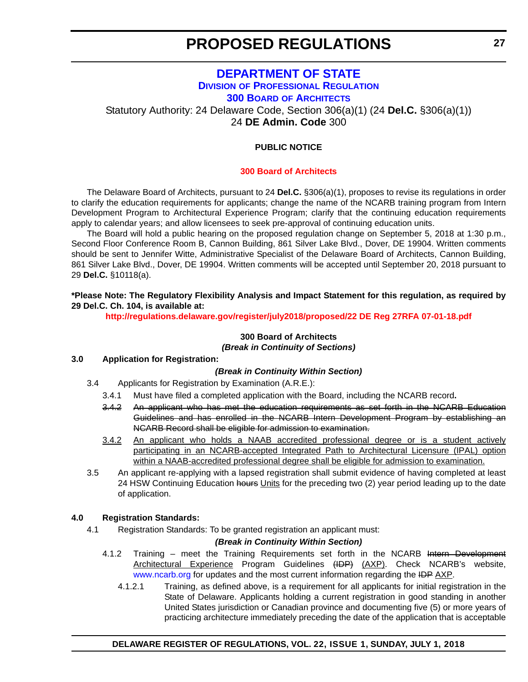# **[DEPARTMENT OF STATE](https://sos.delaware.gov/) DIVISION [OF PROFESSIONAL REGULATION](https://dpr.delaware.gov/) 300 BOARD [OF ARCHITECTS](https://dpr.delaware.gov/boards/architects/)**

<span id="page-26-0"></span>Statutory Authority: 24 Delaware Code, Section 306(a)(1) (24 **Del.C.** §306(a)(1)) 24 **DE Admin. Code** 300

# **PUBLIC NOTICE**

#### **[300 Board of Architects](#page-3-0)**

The Delaware Board of Architects, pursuant to 24 **Del.C.** §306(a)(1), proposes to revise its regulations in order to clarify the education requirements for applicants; change the name of the NCARB training program from Intern Development Program to Architectural Experience Program; clarify that the continuing education requirements apply to calendar years; and allow licensees to seek pre-approval of continuing education units.

The Board will hold a public hearing on the proposed regulation change on September 5, 2018 at 1:30 p.m., Second Floor Conference Room B, Cannon Building, 861 Silver Lake Blvd., Dover, DE 19904. Written comments should be sent to Jennifer Witte, Administrative Specialist of the Delaware Board of Architects, Cannon Building, 861 Silver Lake Blvd., Dover, DE 19904. Written comments will be accepted until September 20, 2018 pursuant to 29 **Del.C.** §10118(a).

# **\*Please Note: The Regulatory Flexibility Analysis and Impact Statement for this regulation, as required by 29 Del.C. Ch. 104, is available at:**

**<http://regulations.delaware.gov/register/july2018/proposed/22 DE Reg 27RFA 07-01-18.pdf>**

# **300 Board of Architects** *(Break in Continuity of Sections)*

#### **3.0 Application for Registration:**

# *(Break in Continuity Within Section)*

- 3.4 Applicants for Registration by Examination (A.R.E.):
	- 3.4.1 Must have filed a completed application with the Board, including the NCARB record**.**
	- 3.4.2 An applicant who has met the education requirements as set forth in the NCARB Education Guidelines and has enrolled in the NCARB Intern Development Program by establishing an NCARB Record shall be eligible for admission to examination.
	- 3.4.2 An applicant who holds a NAAB accredited professional degree or is a student actively participating in an NCARB-accepted Integrated Path to Architectural Licensure (IPAL) option within a NAAB-accredited professional degree shall be eligible for admission to examination.
- 3.5 An applicant re-applying with a lapsed registration shall submit evidence of having completed at least 24 HSW Continuing Education hours Units for the preceding two (2) year period leading up to the date of application.

# **4.0 Registration Standards:**

4.1 Registration Standards: To be granted registration an applicant must:

# *(Break in Continuity Within Section)*

- 4.1.2 Training meet the Training Requirements set forth in the NCARB Intern Development Architectural Experience Program Guidelines (IDP) (AXP). Check NCARB's website, [www.ncarb.org](http://www.ncarb.org) for updates and the most current information regarding the IDP AXP.
	- 4.1.2.1 Training, as defined above, is a requirement for all applicants for initial registration in the State of Delaware. Applicants holding a current registration in good standing in another United States jurisdiction or Canadian province and documenting five (5) or more years of practicing architecture immediately preceding the date of the application that is acceptable

# **DELAWARE REGISTER OF REGULATIONS, VOL. 22, ISSUE 1, SUNDAY, JULY 1, 2018**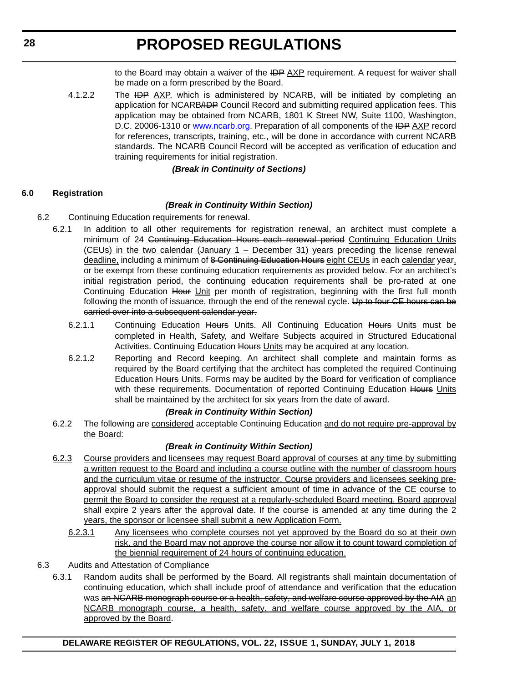to the Board may obtain a waiver of the IDP AXP requirement. A request for waiver shall be made on a form prescribed by the Board.

4.1.2.2 The IDP AXP, which is administered by NCARB, will be initiated by completing an application for NCARBADP Council Record and submitting required application fees. This application may be obtained from NCARB, 1801 K Street NW, Suite 1100, Washington, D.C. 20006-1310 or [www.ncarb.org.](http://www.ncarb.org) Preparation of all components of the IDP AXP record for references, transcripts, training, etc., will be done in accordance with current NCARB standards. The NCARB Council Record will be accepted as verification of education and training requirements for initial registration.

# *(Break in Continuity of Sections)*

# **6.0 Registration**

# *(Break in Continuity Within Section)*

- 6.2 Continuing Education requirements for renewal.
	- 6.2.1 In addition to all other requirements for registration renewal, an architect must complete a minimum of 24 Continuing Education Hours each renewal period Continuing Education Units (CEUs) in the two calendar (January 1 – December 31) years preceding the license renewal deadline, including a minimum of 8 Continuing Education Hours eight CEUs in each calendar year, or be exempt from these continuing education requirements as provided below. For an architect's initial registration period, the continuing education requirements shall be pro-rated at one Continuing Education Hour Unit per month of registration, beginning with the first full month following the month of issuance, through the end of the renewal cycle. Up to four CE hours can be carried over into a subsequent calendar year.
		- 6.2.1.1 Continuing Education Hours Units. All Continuing Education Hours Units must be completed in Health, Safety, and Welfare Subjects acquired in Structured Educational Activities. Continuing Education Hours Units may be acquired at any location.
		- 6.2.1.2 Reporting and Record keeping. An architect shall complete and maintain forms as required by the Board certifying that the architect has completed the required Continuing Education Hours Units. Forms may be audited by the Board for verification of compliance with these requirements. Documentation of reported Continuing Education Hours Units shall be maintained by the architect for six years from the date of award.

# *(Break in Continuity Within Section)*

6.2.2 The following are considered acceptable Continuing Education and do not require pre-approval by the Board:

# *(Break in Continuity Within Section)*

- 6.2.3 Course providers and licensees may request Board approval of courses at any time by submitting a written request to the Board and including a course outline with the number of classroom hours and the curriculum vitae or resume of the instructor. Course providers and licensees seeking preapproval should submit the request a sufficient amount of time in advance of the CE course to permit the Board to consider the request at a regularly-scheduled Board meeting. Board approval shall expire 2 years after the approval date. If the course is amended at any time during the 2 years, the sponsor or licensee shall submit a new Application Form.
	- 6.2.3.1 Any licensees who complete courses not yet approved by the Board do so at their own risk, and the Board may not approve the course nor allow it to count toward completion of the biennial requirement of 24 hours of continuing education.
- 6.3 Audits and Attestation of Compliance
	- 6.3.1 Random audits shall be performed by the Board. All registrants shall maintain documentation of continuing education, which shall include proof of attendance and verification that the education was an NCARB monograph course or a health, safety, and welfare course approved by the AIA an NCARB monograph course, a health, safety, and welfare course approved by the AIA, or approved by the Board.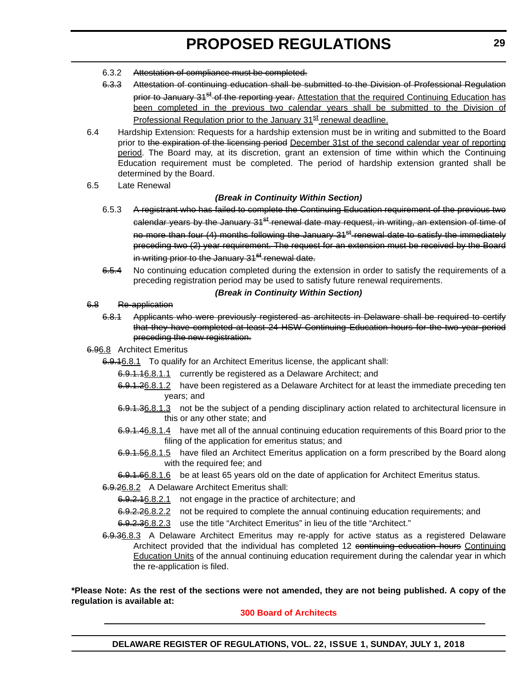- 6.3.2 Attestation of compliance must be completed.
- 6.3.3 Attestation of continuing education shall be submitted to the Division of Professional Regulation prior to January 31<sup>st</sup> of the reporting year. Attestation that the required Continuing Education has been completed in the previous two calendar years shall be submitted to the Division of Professional Regulation prior to the January 31<sup>st</sup> renewal deadline.
- 6.4 Hardship Extension: Requests for a hardship extension must be in writing and submitted to the Board prior to the expiration of the licensing period December 31st of the second calendar year of reporting period. The Board may, at its discretion, grant an extension of time within which the Continuing Education requirement must be completed. The period of hardship extension granted shall be determined by the Board.
- 6.5 Late Renewal

# *(Break in Continuity Within Section)*

- 6.5.3 A registrant who has failed to complete the Continuing Education requirement of the previous two calendar years by the January 31<sup>st</sup> renewal date may request, in writing, an extension of time of no more than four (4) months following the January 31<sup>st</sup> renewal date to satisfy the immediately preceding two (2) year requirement. The request for an extension must be received by the Board in writing prior to the January 31<sup>st</sup> renewal date.
- 6.5.4 No continuing education completed during the extension in order to satisfy the requirements of a preceding registration period may be used to satisfy future renewal requirements.

#### *(Break in Continuity Within Section)*

#### 6.8 Re-application

- 6.8.1 Applicants who were previously registered as architects in Delaware shall be required to certify that they have completed at least 24 HSW Continuing Education hours for the two year period preceding the new registration.
- 6.96.8 Architect Emeritus
	- 6.9.16.8.1 To qualify for an Architect Emeritus license, the applicant shall:
		- 6.9.1.16.8.1.1 currently be registered as a Delaware Architect; and
		- 6.9.1.26.8.1.2 have been registered as a Delaware Architect for at least the immediate preceding ten years; and
		- 6.9.1.36.8.1.3 not be the subject of a pending disciplinary action related to architectural licensure in this or any other state; and
		- 6.9.1.46.8.1.4 have met all of the annual continuing education requirements of this Board prior to the filing of the application for emeritus status; and
		- 6.9.1.56.8.1.5 have filed an Architect Emeritus application on a form prescribed by the Board along with the required fee; and
		- 6.9.1.66.8.1.6 be at least 65 years old on the date of application for Architect Emeritus status.
	- 6.9.26.8.2 A Delaware Architect Emeritus shall:
		- 6.9.2.16.8.2.1 not engage in the practice of architecture; and
		- 6.9.2.26.8.2.2 not be required to complete the annual continuing education requirements; and
		- 6.9.2.36.8.2.3 use the title "Architect Emeritus" in lieu of the title "Architect."
	- 6.9.36.8.3 A Delaware Architect Emeritus may re-apply for active status as a registered Delaware Architect provided that the individual has completed 12 continuing education hours Continuing Education Units of the annual continuing education requirement during the calendar year in which the re-application is filed.

**\*Please Note: As the rest of the sections were not amended, they are not being published. A copy of the regulation is available at:**

# **[300 Board of Architects](http://regulations.delaware.gov/register/july2018/proposed/22 DE Reg 27 07-01-18.htm)**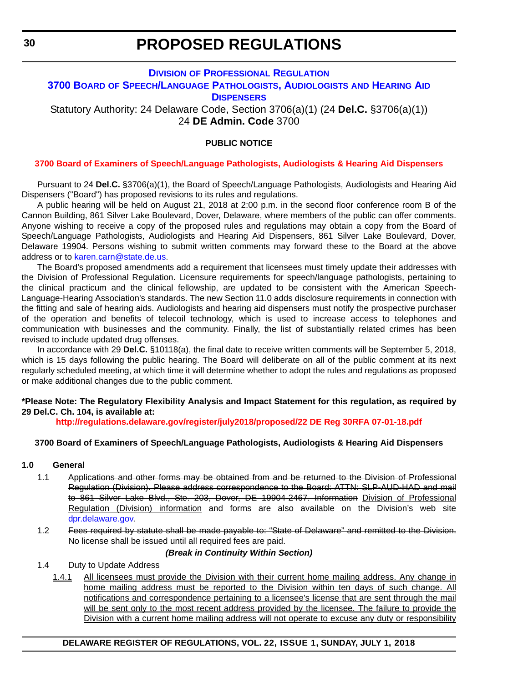# <span id="page-29-0"></span>**DIVISION [OF PROFESSIONAL REGULATION](https://dpr.delaware.gov/) 3700 BOARD [OF SPEECH/LANGUAGE PATHOLOGISTS, AUDIOLOGISTS](https://dpr.delaware.gov/boards/speechaudio/) AND HEARING AID DISPENSERS**

Statutory Authority: 24 Delaware Code, Section 3706(a)(1) (24 **Del.C.** §3706(a)(1)) 24 **DE Admin. Code** 3700

# **PUBLIC NOTICE**

# **[3700 Board of Examiners of Speech/Language Pathologists, Audiologists & Hearing Aid Dispensers](#page-3-0)**

Pursuant to 24 **Del.C.** §3706(a)(1), the Board of Speech/Language Pathologists, Audiologists and Hearing Aid Dispensers ("Board") has proposed revisions to its rules and regulations.

A public hearing will be held on August 21, 2018 at 2:00 p.m. in the second floor conference room B of the Cannon Building, 861 Silver Lake Boulevard, Dover, Delaware, where members of the public can offer comments. Anyone wishing to receive a copy of the proposed rules and regulations may obtain a copy from the Board of Speech/Language Pathologists, Audiologists and Hearing Aid Dispensers, 861 Silver Lake Boulevard, Dover, Delaware 19904. Persons wishing to submit written comments may forward these to the Board at the above address or to [karen.carn@state.de.us](mailto:karen.carn@state.de.us).

The Board's proposed amendments add a requirement that licensees must timely update their addresses with the Division of Professional Regulation. Licensure requirements for speech/language pathologists, pertaining to the clinical practicum and the clinical fellowship, are updated to be consistent with the American Speech-Language-Hearing Association's standards. The new Section 11.0 adds disclosure requirements in connection with the fitting and sale of hearing aids. Audiologists and hearing aid dispensers must notify the prospective purchaser of the operation and benefits of telecoil technology, which is used to increase access to telephones and communication with businesses and the community. Finally, the list of substantially related crimes has been revised to include updated drug offenses.

In accordance with 29 **Del.C.** §10118(a), the final date to receive written comments will be September 5, 2018, which is 15 days following the public hearing. The Board will deliberate on all of the public comment at its next regularly scheduled meeting, at which time it will determine whether to adopt the rules and regulations as proposed or make additional changes due to the public comment.

# **\*Please Note: The Regulatory Flexibility Analysis and Impact Statement for this regulation, as required by 29 Del.C. Ch. 104, is available at:**

**<http://regulations.delaware.gov/register/july2018/proposed/22 DE Reg 30RFA 07-01-18.pdf>**

# **3700 Board of Examiners of Speech/Language Pathologists, Audiologists & Hearing Aid Dispensers**

#### **1.0 General**

- 1.1 Applications and other forms may be obtained from and be returned to the Division of Professional Regulation (Division). Please address correspondence to the Board: ATTN: SLP-AUD-HAD and mail to 861 Silver Lake Blvd., Ste. 203, Dover, DE 19904-2467. Information Division of Professional Regulation (Division) information and forms are also available on the Division's web site [dpr.delaware.gov.](dpr.delaware.gov)
- 1.2 Fees required by statute shall be made payable to: "State of Delaware" and remitted to the Division. No license shall be issued until all required fees are paid.

#### *(Break in Continuity Within Section)*

- 1.4 Duty to Update Address
	- 1.4.1 All licensees must provide the Division with their current home mailing address. Any change in home mailing address must be reported to the Division within ten days of such change. All notifications and correspondence pertaining to a licensee's license that are sent through the mail will be sent only to the most recent address provided by the licensee. The failure to provide the Division with a current home mailing address will not operate to excuse any duty or responsibility

# **DELAWARE REGISTER OF REGULATIONS, VOL. 22, ISSUE 1, SUNDAY, JULY 1, 2018**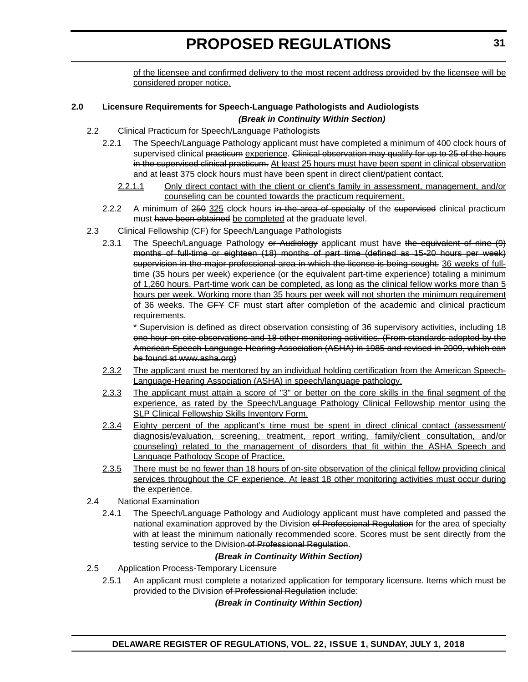of the licensee and confirmed delivery to the most recent address provided by the licensee will be considered proper notice.

# **2.0 Licensure Requirements for Speech-Language Pathologists and Audiologists**  *(Break in Continuity Within Section)*

- 2.2 Clinical Practicum for Speech/Language Pathologists
	- 2.2.1 The Speech/Language Pathology applicant must have completed a minimum of 400 clock hours of supervised clinical practicum experience. Clinical observation may qualify for up to 25 of the hours in the supervised clinical practicum. At least 25 hours must have been spent in clinical observation and at least 375 clock hours must have been spent in direct client/patient contact.
		- 2.2.1.1 Only direct contact with the client or client's family in assessment, management, and/or counseling can be counted towards the practicum requirement.
	- 2.2.2 A minimum of 250 325 clock hours in the area of specialty of the supervised clinical practicum must have been obtained be completed at the graduate level.
- 2.3 Clinical Fellowship (CF) for Speech/Language Pathologists
	- 2.3.1 The Speech/Language Pathology or Audiology applicant must have the equivalent of nine (9) months of full-time or eighteen (18) months of part time (defined as 15-20 hours per week) supervision in the major professional area in which the license is being sought. 36 weeks of fulltime (35 hours per week) experience (or the equivalent part-time experience) totaling a minimum of 1,260 hours. Part-time work can be completed, as long as the clinical fellow works more than 5 hours per week. Working more than 35 hours per week will not shorten the minimum requirement of 36 weeks. The GFY CF must start after completion of the academic and clinical practicum requirements.

\* Supervision is defined as direct observation consisting of 36 supervisory activities, including 18 one hour on-site observations and 18 other monitoring activities. (From standards adopted by the American Speech-Language-Hearing Association (ASHA) in 1985 and revised in 2009, which can be found at www.asha.org)

- 2.3.2 The applicant must be mentored by an individual holding certification from the American Speech-Language-Hearing Association (ASHA) in speech/language pathology.
- 2.3.3 The applicant must attain a score of "3" or better on the core skills in the final segment of the experience, as rated by the Speech/Language Pathology Clinical Fellowship mentor using the SLP Clinical Fellowship Skills Inventory Form.
- 2.3.4 Eighty percent of the applicant's time must be spent in direct clinical contact (assessment/ diagnosis/evaluation, screening, treatment, report writing, family/client consultation, and/or counseling) related to the management of disorders that fit within the ASHA Speech and Language Pathology Scope of Practice.
- 2.3.5 There must be no fewer than 18 hours of on-site observation of the clinical fellow providing clinical services throughout the CF experience. At least 18 other monitoring activities must occur during the experience.
- 2.4 National Examination
	- 2.4.1 The Speech/Language Pathology and Audiology applicant must have completed and passed the national examination approved by the Division of Professional Regulation for the area of specialty with at least the minimum nationally recommended score. Scores must be sent directly from the testing service to the Division of Professional Regulation.

# *(Break in Continuity Within Section)*

- 2.5 Application Process-Temporary Licensure
	- 2.5.1 An applicant must complete a notarized application for temporary licensure. Items which must be provided to the Division of Professional Regulation include:

# *(Break in Continuity Within Section)*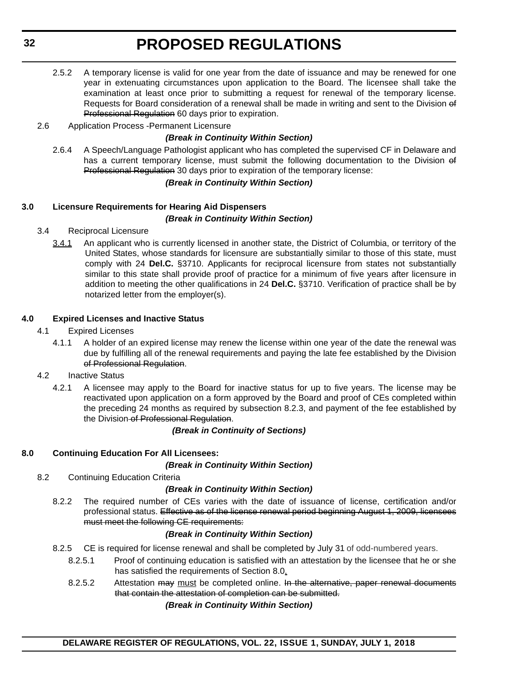- 2.5.2 A temporary license is valid for one year from the date of issuance and may be renewed for one year in extenuating circumstances upon application to the Board. The licensee shall take the examination at least once prior to submitting a request for renewal of the temporary license. Requests for Board consideration of a renewal shall be made in writing and sent to the Division of Professional Regulation 60 days prior to expiration.
- 2.6 Application Process -Permanent Licensure

#### *(Break in Continuity Within Section)*

2.6.4 A Speech/Language Pathologist applicant who has completed the supervised CF in Delaware and has a current temporary license, must submit the following documentation to the Division of Professional Regulation 30 days prior to expiration of the temporary license:

#### *(Break in Continuity Within Section)*

# **3.0 Licensure Requirements for Hearing Aid Dispensers** *(Break in Continuity Within Section)*

- 3.4 Reciprocal Licensure
	- 3.4.1 An applicant who is currently licensed in another state, the District of Columbia, or territory of the United States, whose standards for licensure are substantially similar to those of this state, must comply with 24 **Del.C.** §3710. Applicants for reciprocal licensure from states not substantially similar to this state shall provide proof of practice for a minimum of five years after licensure in addition to meeting the other qualifications in 24 **Del.C.** §3710. Verification of practice shall be by notarized letter from the employer(s).

# **4.0 Expired Licenses and Inactive Status**

- 4.1 Expired Licenses
	- 4.1.1 A holder of an expired license may renew the license within one year of the date the renewal was due by fulfilling all of the renewal requirements and paying the late fee established by the Division of Professional Regulation.
- 4.2 Inactive Status
	- 4.2.1 A licensee may apply to the Board for inactive status for up to five years. The license may be reactivated upon application on a form approved by the Board and proof of CEs completed within the preceding 24 months as required by subsection 8.2.3, and payment of the fee established by the Division of Professional Regulation.

#### *(Break in Continuity of Sections)*

# **8.0 Continuing Education For All Licensees:**

#### *(Break in Continuity Within Section)*

8.2 Continuing Education Criteria

#### *(Break in Continuity Within Section)*

8.2.2 The required number of CEs varies with the date of issuance of license, certification and/or professional status. Effective as of the license renewal period beginning August 1, 2009, licensees must meet the following CE requirements:

#### *(Break in Continuity Within Section)*

- 8.2.5 CE is required for license renewal and shall be completed by July 31 of odd-numbered years.
	- 8.2.5.1 Proof of continuing education is satisfied with an attestation by the licensee that he or she has satisfied the requirements of Section 8.0.
	- 8.2.5.2 Attestation may must be completed online. In the alternative, paper renewal documents that contain the attestation of completion can be submitted.

#### *(Break in Continuity Within Section)*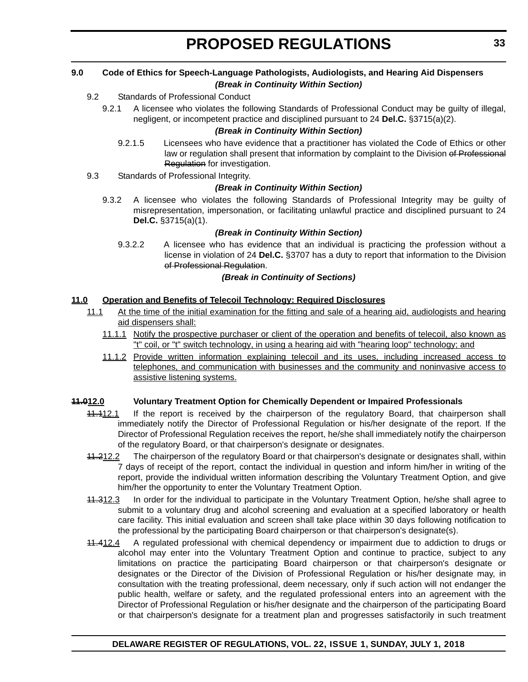#### **9.0 Code of Ethics for Speech-Language Pathologists, Audiologists, and Hearing Aid Dispensers** *(Break in Continuity Within Section)*

# 9.2 Standards of Professional Conduct

9.2.1 A licensee who violates the following Standards of Professional Conduct may be guilty of illegal, negligent, or incompetent practice and disciplined pursuant to 24 **Del.C.** §3715(a)(2).

# *(Break in Continuity Within Section)*

- 9.2.1.5 Licensees who have evidence that a practitioner has violated the Code of Ethics or other law or regulation shall present that information by complaint to the Division of Professional Regulation for investigation.
- 9.3 Standards of Professional Integrity.

# *(Break in Continuity Within Section)*

9.3.2 A licensee who violates the following Standards of Professional Integrity may be guilty of misrepresentation, impersonation, or facilitating unlawful practice and disciplined pursuant to 24 **Del.C.** §3715(a)(1).

# *(Break in Continuity Within Section)*

9.3.2.2 A licensee who has evidence that an individual is practicing the profession without a license in violation of 24 **Del.C.** §3707 has a duty to report that information to the Division of Professional Regulation.

# *(Break in Continuity of Sections)*

# **11.0 Operation and Benefits of Telecoil Technology: Required Disclosures**

- 11.1 At the time of the initial examination for the fitting and sale of a hearing aid, audiologists and hearing aid dispensers shall:
	- 11.1.1 Notify the prospective purchaser or client of the operation and benefits of telecoil, also known as "t" coil, or "t" switch technology, in using a hearing aid with "hearing loop" technology; and
	- 11.1.2 Provide written information explaining telecoil and its uses, including increased access to telephones, and communication with businesses and the community and noninvasive access to assistive listening systems.

# **11.012.0 Voluntary Treatment Option for Chemically Dependent or Impaired Professionals**

- 11.112.1 If the report is received by the chairperson of the regulatory Board, that chairperson shall immediately notify the Director of Professional Regulation or his/her designate of the report. If the Director of Professional Regulation receives the report, he/she shall immediately notify the chairperson of the regulatory Board, or that chairperson's designate or designates.
- 11.212.2 The chairperson of the regulatory Board or that chairperson's designate or designates shall, within 7 days of receipt of the report, contact the individual in question and inform him/her in writing of the report, provide the individual written information describing the Voluntary Treatment Option, and give him/her the opportunity to enter the Voluntary Treatment Option.
- 11.312.3 In order for the individual to participate in the Voluntary Treatment Option, he/she shall agree to submit to a voluntary drug and alcohol screening and evaluation at a specified laboratory or health care facility. This initial evaluation and screen shall take place within 30 days following notification to the professional by the participating Board chairperson or that chairperson's designate(s).
- 11.412.4 A regulated professional with chemical dependency or impairment due to addiction to drugs or alcohol may enter into the Voluntary Treatment Option and continue to practice, subject to any limitations on practice the participating Board chairperson or that chairperson's designate or designates or the Director of the Division of Professional Regulation or his/her designate may, in consultation with the treating professional, deem necessary, only if such action will not endanger the public health, welfare or safety, and the regulated professional enters into an agreement with the Director of Professional Regulation or his/her designate and the chairperson of the participating Board or that chairperson's designate for a treatment plan and progresses satisfactorily in such treatment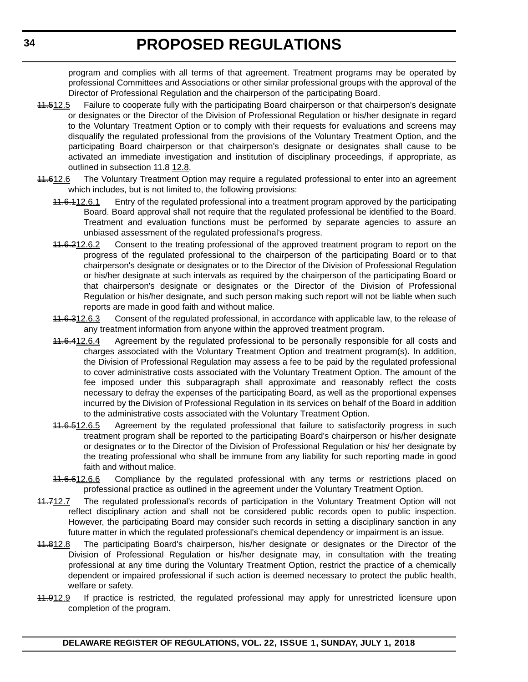program and complies with all terms of that agreement. Treatment programs may be operated by professional Committees and Associations or other similar professional groups with the approval of the Director of Professional Regulation and the chairperson of the participating Board.

- 11.512.5 Failure to cooperate fully with the participating Board chairperson or that chairperson's designate or designates or the Director of the Division of Professional Regulation or his/her designate in regard to the Voluntary Treatment Option or to comply with their requests for evaluations and screens may disqualify the regulated professional from the provisions of the Voluntary Treatment Option, and the participating Board chairperson or that chairperson's designate or designates shall cause to be activated an immediate investigation and institution of disciplinary proceedings, if appropriate, as outlined in subsection 44.8 12.8.
- 11.612.6 The Voluntary Treatment Option may require a regulated professional to enter into an agreement which includes, but is not limited to, the following provisions:
	- 41.6.112.6.1 Entry of the regulated professional into a treatment program approved by the participating Board. Board approval shall not require that the regulated professional be identified to the Board. Treatment and evaluation functions must be performed by separate agencies to assure an unbiased assessment of the regulated professional's progress.
	- 41.6.212.6.2 Consent to the treating professional of the approved treatment program to report on the progress of the regulated professional to the chairperson of the participating Board or to that chairperson's designate or designates or to the Director of the Division of Professional Regulation or his/her designate at such intervals as required by the chairperson of the participating Board or that chairperson's designate or designates or the Director of the Division of Professional Regulation or his/her designate, and such person making such report will not be liable when such reports are made in good faith and without malice.
	- 11.6.312.6.3 Consent of the regulated professional, in accordance with applicable law, to the release of any treatment information from anyone within the approved treatment program.
	- 41.6.412.6.4 Agreement by the regulated professional to be personally responsible for all costs and charges associated with the Voluntary Treatment Option and treatment program(s). In addition, the Division of Professional Regulation may assess a fee to be paid by the regulated professional to cover administrative costs associated with the Voluntary Treatment Option. The amount of the fee imposed under this subparagraph shall approximate and reasonably reflect the costs necessary to defray the expenses of the participating Board, as well as the proportional expenses incurred by the Division of Professional Regulation in its services on behalf of the Board in addition to the administrative costs associated with the Voluntary Treatment Option.
	- 41.6.512.6.5 Agreement by the regulated professional that failure to satisfactorily progress in such treatment program shall be reported to the participating Board's chairperson or his/her designate or designates or to the Director of the Division of Professional Regulation or his/ her designate by the treating professional who shall be immune from any liability for such reporting made in good faith and without malice.
	- 41.6.612.6.6 Compliance by the regulated professional with any terms or restrictions placed on professional practice as outlined in the agreement under the Voluntary Treatment Option.
- 11.712.7 The regulated professional's records of participation in the Voluntary Treatment Option will not reflect disciplinary action and shall not be considered public records open to public inspection. However, the participating Board may consider such records in setting a disciplinary sanction in any future matter in which the regulated professional's chemical dependency or impairment is an issue.
- 11.812.8 The participating Board's chairperson, his/her designate or designates or the Director of the Division of Professional Regulation or his/her designate may, in consultation with the treating professional at any time during the Voluntary Treatment Option, restrict the practice of a chemically dependent or impaired professional if such action is deemed necessary to protect the public health, welfare or safety.
- 41.912.9 If practice is restricted, the regulated professional may apply for unrestricted licensure upon completion of the program.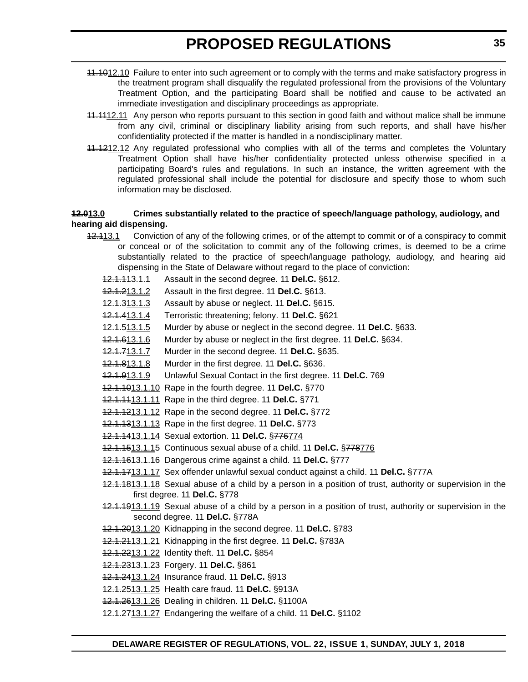- 11.1012.10 Failure to enter into such agreement or to comply with the terms and make satisfactory progress in the treatment program shall disqualify the regulated professional from the provisions of the Voluntary Treatment Option, and the participating Board shall be notified and cause to be activated an immediate investigation and disciplinary proceedings as appropriate.
- 11.1112.11 Any person who reports pursuant to this section in good faith and without malice shall be immune from any civil, criminal or disciplinary liability arising from such reports, and shall have his/her confidentiality protected if the matter is handled in a nondisciplinary matter.
- 11.1212.12 Any regulated professional who complies with all of the terms and completes the Voluntary Treatment Option shall have his/her confidentiality protected unless otherwise specified in a participating Board's rules and regulations. In such an instance, the written agreement with the regulated professional shall include the potential for disclosure and specify those to whom such information may be disclosed.

#### **12.013.0 Crimes substantially related to the practice of speech/language pathology, audiology, and hearing aid dispensing.**

- 12.113.1 Conviction of any of the following crimes, or of the attempt to commit or of a conspiracy to commit or conceal or of the solicitation to commit any of the following crimes, is deemed to be a crime substantially related to the practice of speech/language pathology, audiology, and hearing aid dispensing in the State of Delaware without regard to the place of conviction:
	- 12.1.113.1.1 Assault in the second degree. 11 **Del.C.** §612.
	- 12.1.213.1.2 Assault in the first degree. 11 **Del.C.** §613.
	- 12.1.313.1.3 Assault by abuse or neglect. 11 **Del.C.** §615.
	- 12.1.413.1.4 Terroristic threatening; felony. 11 **Del.C.** §621
	- 12.1.513.1.5 Murder by abuse or neglect in the second degree. 11 **Del.C.** §633.
	- 12.1.613.1.6 Murder by abuse or neglect in the first degree. 11 **Del.C.** §634.
	- 12.1.713.1.7 Murder in the second degree. 11 **Del.C.** §635.
	- 12.1.813.1.8 Murder in the first degree. 11 **Del.C.** §636.
	- 12.1.913.1.9 Unlawful Sexual Contact in the first degree. 11 **Del.C.** 769
	- 12.1.1013.1.10 Rape in the fourth degree. 11 **Del.C.** §770
	- 12.1.1113.1.11 Rape in the third degree. 11 **Del.C.** §771
	- 12.1.1213.1.12 Rape in the second degree. 11 **Del.C.** §772
	- 12.1.1313.1.13 Rape in the first degree. 11 **Del.C.** §773
	- 12.1.1413.1.14 Sexual extortion. 11 **Del.C.** §776774
	- 12.1.1513.1.15 Continuous sexual abuse of a child. 11 **Del.C.** §778776
	- 12.1.1613.1.16 Dangerous crime against a child. 11 **Del.C.** §777
	- 12.1.1713.1.17 Sex offender unlawful sexual conduct against a child. 11 **Del.C.** §777A
	- 12.1.1813.1.18 Sexual abuse of a child by a person in a position of trust, authority or supervision in the first degree. 11 **Del.C.** §778
	- 12.1.1913.1.19 Sexual abuse of a child by a person in a position of trust, authority or supervision in the second degree. 11 **Del.C.** §778A
	- 12.1.2013.1.20 Kidnapping in the second degree. 11 **Del.C.** §783
	- 12.1.2113.1.21 Kidnapping in the first degree. 11 **Del.C.** §783A
	- 12.1.2213.1.22 Identity theft. 11 **Del.C.** §854
	- 12.1.2313.1.23 Forgery. 11 **Del.C.** §861
	- 12.1.2413.1.24 Insurance fraud. 11 **Del.C.** §913
	- 12.1.2513.1.25 Health care fraud. 11 **Del.C.** §913A
	- 12.1.2613.1.26 Dealing in children. 11 **Del.C.** §1100A
	- 12.1.2713.1.27 Endangering the welfare of a child. 11 **Del.C.** §1102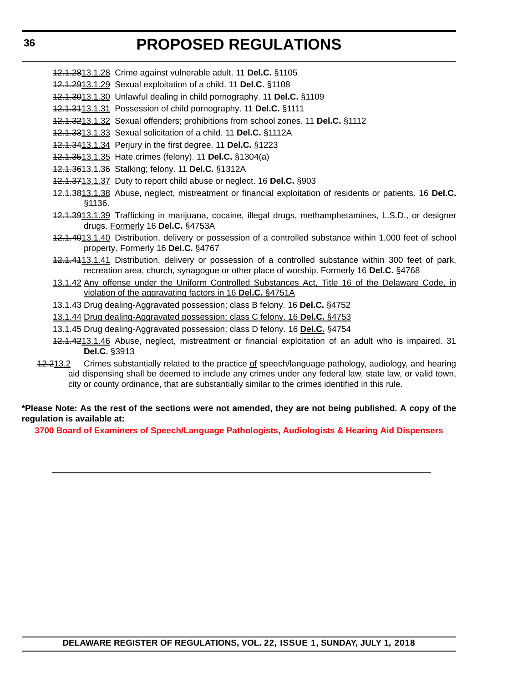- 12.1.2813.1.28 Crime against vulnerable adult. 11 **Del.C.** §1105
- 12.1.2913.1.29 Sexual exploitation of a child. 11 **Del.C.** §1108
- 12.1.3013.1.30 Unlawful dealing in child pornography. 11 **Del.C.** §1109
- 12.1.3113.1.31 Possession of child pornography. 11 **Del.C.** §1111
- 12.1.3213.1.32 Sexual offenders; prohibitions from school zones. 11 **Del.C.** §1112
- 12.1.3313.1.33 Sexual solicitation of a child. 11 **Del.C.** §1112A
- 12.1.3413.1.34 Perjury in the first degree. 11 **Del.C.** §1223
- 12.1.3513.1.35 Hate crimes (felony). 11 **Del.C.** §1304(a)
- 12.1.3613.1.36 Stalking; felony. 11 **Del.C.** §1312A
- 12.1.3713.1.37 Duty to report child abuse or neglect. 16 **Del.C.** §903
- 12.1.3813.1.38 Abuse, neglect, mistreatment or financial exploitation of residents or patients. 16 **Del.C.** §1136.
- 12.1.3913.1.39 Trafficking in marijuana, cocaine, illegal drugs, methamphetamines, L.S.D., or designer drugs. Formerly 16 **Del.C.** §4753A
- 12.1.4013.1.40 Distribution, delivery or possession of a controlled substance within 1,000 feet of school property. Formerly 16 **Del.C.** §4767
- 12.1.4113.1.41 Distribution, delivery or possession of a controlled substance within 300 feet of park, recreation area, church, synagogue or other place of worship. Formerly 16 **Del.C.** §4768
- 13.1.42 Any offense under the Uniform Controlled Substances Act, Title 16 of the Delaware Code, in violation of the aggravating factors in 16 **Del.C.** §4751A
- 13.1.43 Drug dealing-Aggravated possession; class B felony. 16 **Del.C.** §4752
- 13.1.44 Drug dealing-Aggravated possession; class C felony. 16 **Del.C.** §4753
- 13.1.45 Drug dealing-Aggravated possession; class D felony. 16 **Del.C.** §4754
- 12.1.4213.1.46 Abuse, neglect, mistreatment or financial exploitation of an adult who is impaired. 31 **Del.C.** §3913
- 42.213.2 Crimes substantially related to the practice of speech/language pathology, audiology, and hearing aid dispensing shall be deemed to include any crimes under any federal law, state law, or valid town, city or county ordinance, that are substantially similar to the crimes identified in this rule.

# **\*Please Note: As the rest of the sections were not amended, they are not being published. A copy of the regulation is available at:**

**[3700 Board of Examiners of Speech/Language Pathologists, Audiologists & Hearing Aid Dispensers](http://regulations.delaware.gov/register/july2018/proposed/22 DE Reg 30 07-01-18.htm)**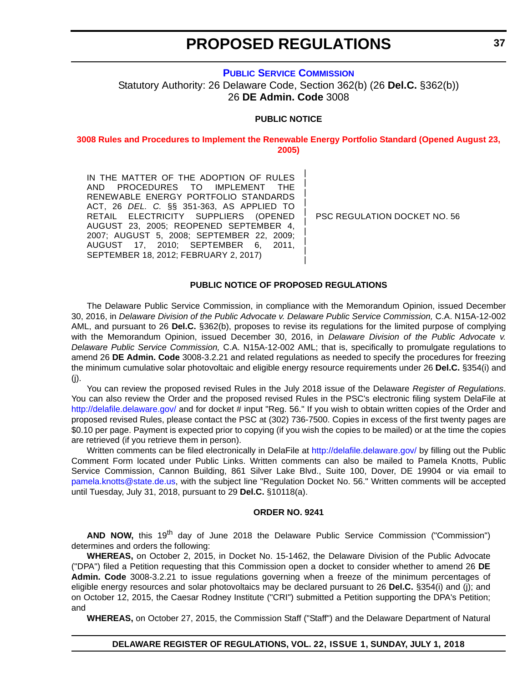## **[PUBLIC SERVICE COMMISSION](https://depsc.delaware.gov/contact-information/)** Statutory Authority: 26 Delaware Code, Section 362(b) (26 **Del.C.** §362(b)) 26 **DE Admin. Code** 3008

## **PUBLIC NOTICE**

**[3008 Rules and Procedures to Implement the Renewable Energy Portfolio Standard \(Opened August 23,](#page-3-0)  2005)**

> | | | | | | | | | |

IN THE MATTER OF THE ADOPTION OF RULES AND PROCEDURES TO IMPLEMENT THE RENEWABLE ENERGY PORTFOLIO STANDARDS ACT, 26 *DEL. C.* §§ 351-363, AS APPLIED TO RETAIL ELECTRICITY SUPPLIERS (OPENED AUGUST 23, 2005; REOPENED SEPTEMBER 4, 2007; AUGUST 5, 2008; SEPTEMBER 22, 2009; AUGUST 17, 2010; SEPTEMBER 6, 2011, SEPTEMBER 18, 2012; FEBRUARY 2, 2017)

PSC REGULATION DOCKET NO. 56

## **PUBLIC NOTICE OF PROPOSED REGULATIONS**

The Delaware Public Service Commission, in compliance with the Memorandum Opinion, issued December 30, 2016, in *Delaware Division of the Public Advocate v. Delaware Public Service Commission,* C.A. N15A-12-002 AML, and pursuant to 26 **Del.C.** §362(b), proposes to revise its regulations for the limited purpose of complying with the Memorandum Opinion, issued December 30, 2016, in *Delaware Division of the Public Advocate v. Delaware Public Service Commission,* C.A. N15A-12-002 AML; that is, specifically to promulgate regulations to amend 26 **DE Admin. Code** 3008-3.2.21 and related regulations as needed to specify the procedures for freezing the minimum cumulative solar photovoltaic and eligible energy resource requirements under 26 **Del.C.** §354(i) and (j).

You can review the proposed revised Rules in the July 2018 issue of the Delaware *Register of Regulations*. You can also review the Order and the proposed revised Rules in the PSC's electronic filing system DelaFile at <http://delafile.delaware.gov/> and for docket # input "Reg. 56." If you wish to obtain written copies of the Order and proposed revised Rules, please contact the PSC at (302) 736-7500. Copies in excess of the first twenty pages are \$0.10 per page. Payment is expected prior to copying (if you wish the copies to be mailed) or at the time the copies are retrieved (if you retrieve them in person).

Written comments can be filed electronically in DelaFile at <http://delafile.delaware.gov/> by filling out the Public Comment Form located under Public Links. Written comments can also be mailed to Pamela Knotts, Public Service Commission, Cannon Building, 861 Silver Lake Blvd., Suite 100, Dover, DE 19904 or via email to [pamela.knotts@state.de.us,](mailto:pamela.knotts@state.de.us) with the subject line "Regulation Docket No. 56." Written comments will be accepted until Tuesday, July 31, 2018, pursuant to 29 **Del.C.** §10118(a).

## **ORDER NO. 9241**

AND NOW, this 19<sup>th</sup> day of June 2018 the Delaware Public Service Commission ("Commission") determines and orders the following:

**WHEREAS,** on October 2, 2015, in Docket No. 15-1462, the Delaware Division of the Public Advocate ("DPA") filed a Petition requesting that this Commission open a docket to consider whether to amend 26 **DE Admin. Code** 3008-3.2.21 to issue regulations governing when a freeze of the minimum percentages of eligible energy resources and solar photovoltaics may be declared pursuant to 26 **Del.C.** §354(i) and (j); and on October 12, 2015, the Caesar Rodney Institute ("CRI") submitted a Petition supporting the DPA's Petition; and

**WHEREAS,** on October 27, 2015, the Commission Staff ("Staff") and the Delaware Department of Natural

## **DELAWARE REGISTER OF REGULATIONS, VOL. 22, ISSUE 1, SUNDAY, JULY 1, 2018**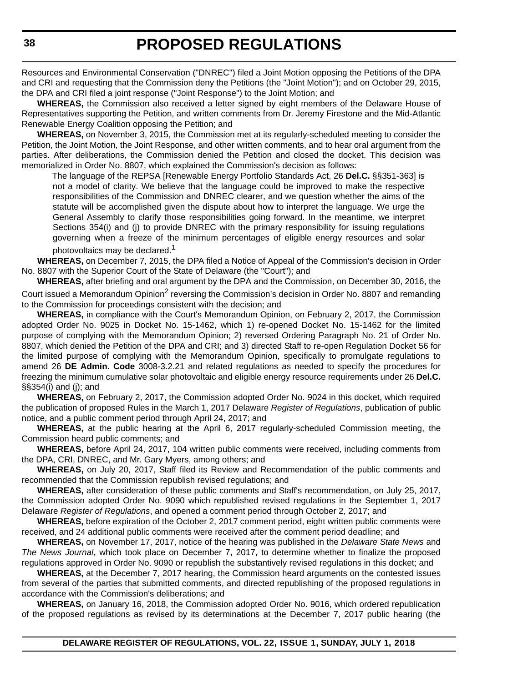Resources and Environmental Conservation ("DNREC") filed a Joint Motion opposing the Petitions of the DPA and CRI and requesting that the Commission deny the Petitions (the "Joint Motion"); and on October 29, 2015, the DPA and CRI filed a joint response ("Joint Response") to the Joint Motion; and

**WHEREAS,** the Commission also received a letter signed by eight members of the Delaware House of Representatives supporting the Petition, and written comments from Dr. Jeremy Firestone and the Mid-Atlantic Renewable Energy Coalition opposing the Petition; and

**WHEREAS,** on November 3, 2015, the Commission met at its regularly-scheduled meeting to consider the Petition, the Joint Motion, the Joint Response, and other written comments, and to hear oral argument from the parties. After deliberations, the Commission denied the Petition and closed the docket. This decision was memorialized in Order No. 8807, which explained the Commission's decision as follows:

The language of the REPSA [Renewable Energy Portfolio Standards Act, 26 **Del.C.** §§351-363] is not a model of clarity. We believe that the language could be improved to make the respective responsibilities of the Commission and DNREC clearer, and we question whether the aims of the statute will be accomplished given the dispute about how to interpret the language. We urge the General Assembly to clarify those responsibilities going forward. In the meantime, we interpret Sections 354(i) and (j) to provide DNREC with the primary responsibility for issuing regulations governing when a freeze of the minimum percentages of eligible energy resources and solar photovoltaics may be declared.<sup>1</sup>

**WHEREAS,** on December 7, 2015, the DPA filed a Notice of Appeal of the Commission's decision in Order No. 8807 with the Superior Court of the State of Delaware (the "Court"); and

**WHEREAS,** after briefing and oral argument by the DPA and the Commission, on December 30, 2016, the Court issued a Memorandum Opinion<sup>2</sup> reversing the Commission's decision in Order No. 8807 and remanding to the Commission for proceedings consistent with the decision; and

**WHEREAS,** in compliance with the Court's Memorandum Opinion, on February 2, 2017, the Commission adopted Order No. 9025 in Docket No. 15-1462, which 1) re-opened Docket No. 15-1462 for the limited purpose of complying with the Memorandum Opinion; 2) reversed Ordering Paragraph No. 21 of Order No. 8807, which denied the Petition of the DPA and CRI; and 3) directed Staff to re-open Regulation Docket 56 for the limited purpose of complying with the Memorandum Opinion, specifically to promulgate regulations to amend 26 **DE Admin. Code** 3008-3.2.21 and related regulations as needed to specify the procedures for freezing the minimum cumulative solar photovoltaic and eligible energy resource requirements under 26 **Del.C.** §§354(i) and (j); and

**WHEREAS,** on February 2, 2017, the Commission adopted Order No. 9024 in this docket, which required the publication of proposed Rules in the March 1, 2017 Delaware *Register of Regulations*, publication of public notice, and a public comment period through April 24, 2017; and

**WHEREAS,** at the public hearing at the April 6, 2017 regularly-scheduled Commission meeting, the Commission heard public comments; and

**WHEREAS,** before April 24, 2017, 104 written public comments were received, including comments from the DPA, CRI, DNREC, and Mr. Gary Myers, among others; and

**WHEREAS,** on July 20, 2017, Staff filed its Review and Recommendation of the public comments and recommended that the Commission republish revised regulations; and

**WHEREAS,** after consideration of these public comments and Staff's recommendation, on July 25, 2017, the Commission adopted Order No. 9090 which republished revised regulations in the September 1, 2017 Delaware *Register of Regulations*, and opened a comment period through October 2, 2017; and

**WHEREAS,** before expiration of the October 2, 2017 comment period, eight written public comments were received, and 24 additional public comments were received after the comment period deadline; and

**WHEREAS,** on November 17, 2017, notice of the hearing was published in the *Delaware State News* and *The News Journal*, which took place on December 7, 2017, to determine whether to finalize the proposed regulations approved in Order No. 9090 or republish the substantively revised regulations in this docket; and

**WHEREAS,** at the December 7, 2017 hearing, the Commission heard arguments on the contested issues from several of the parties that submitted comments, and directed republishing of the proposed regulations in accordance with the Commission's deliberations; and

**WHEREAS,** on January 16, 2018, the Commission adopted Order No. 9016, which ordered republication of the proposed regulations as revised by its determinations at the December 7, 2017 public hearing (the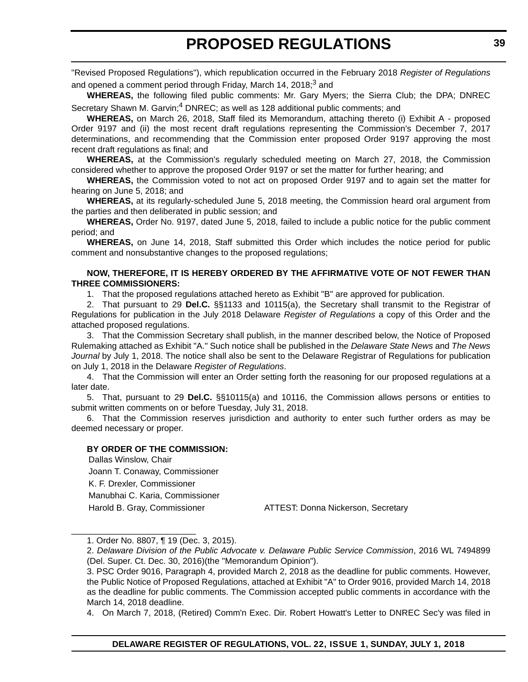"Revised Proposed Regulations"), which republication occurred in the February 2018 *Register of Regulations* and opened a comment period through Friday, March 14, 2018; $^3$  and

**WHEREAS,** the following filed public comments: Mr. Gary Myers; the Sierra Club; the DPA; DNREC Secretary Shawn M. Garvin;<sup>4</sup> DNREC; as well as 128 additional public comments; and

**WHEREAS,** on March 26, 2018, Staff filed its Memorandum, attaching thereto (i) Exhibit A - proposed Order 9197 and (ii) the most recent draft regulations representing the Commission's December 7, 2017 determinations, and recommending that the Commission enter proposed Order 9197 approving the most recent draft regulations as final; and

**WHEREAS,** at the Commission's regularly scheduled meeting on March 27, 2018, the Commission considered whether to approve the proposed Order 9197 or set the matter for further hearing; and

**WHEREAS,** the Commission voted to not act on proposed Order 9197 and to again set the matter for hearing on June 5, 2018; and

**WHEREAS,** at its regularly-scheduled June 5, 2018 meeting, the Commission heard oral argument from the parties and then deliberated in public session; and

**WHEREAS,** Order No. 9197, dated June 5, 2018, failed to include a public notice for the public comment period; and

**WHEREAS,** on June 14, 2018, Staff submitted this Order which includes the notice period for public comment and nonsubstantive changes to the proposed regulations;

## **NOW, THEREFORE, IT IS HEREBY ORDERED BY THE AFFIRMATIVE VOTE OF NOT FEWER THAN THREE COMMISSIONERS:**

1. That the proposed regulations attached hereto as Exhibit "B" are approved for publication.

2. That pursuant to 29 **Del.C.** §§1133 and 10115(a), the Secretary shall transmit to the Registrar of Regulations for publication in the July 2018 Delaware *Register of Regulations* a copy of this Order and the attached proposed regulations.

3. That the Commission Secretary shall publish, in the manner described below, the Notice of Proposed Rulemaking attached as Exhibit "A." Such notice shall be published in the *Delaware State News* and *The News Journal* by July 1, 2018. The notice shall also be sent to the Delaware Registrar of Regulations for publication on July 1, 2018 in the Delaware *Register of Regulations*.

4. That the Commission will enter an Order setting forth the reasoning for our proposed regulations at a later date.

5. That, pursuant to 29 **Del.C.** §§10115(a) and 10116, the Commission allows persons or entities to submit written comments on or before Tuesday, July 31, 2018.

6. That the Commission reserves jurisdiction and authority to enter such further orders as may be deemed necessary or proper.

## **BY ORDER OF THE COMMISSION:**

Dallas Winslow, Chair Joann T. Conaway, Commissioner K. F. Drexler, Commissioner Manubhai C. Karia, Commissioner

Harold B. Gray, Commissioner **ATTEST: Donna Nickerson, Secretary** 

4. On March 7, 2018, (Retired) Comm'n Exec. Dir. Robert Howatt's Letter to DNREC Sec'y was filed in

\_\_\_\_\_\_\_\_\_\_\_\_\_\_\_\_\_\_\_\_\_\_\_\_\_\_ 1. Order No. 8807, ¶ 19 (Dec. 3, 2015).

<sup>2.</sup> *Delaware Division of the Public Advocate v. Delaware Public Service Commission*, 2016 WL 7494899 (Del. Super. Ct. Dec. 30, 2016)(the "Memorandum Opinion").

<sup>3.</sup> PSC Order 9016, Paragraph 4, provided March 2, 2018 as the deadline for public comments. However, the Public Notice of Proposed Regulations, attached at Exhibit "A" to Order 9016, provided March 14, 2018 as the deadline for public comments. The Commission accepted public comments in accordance with the March 14, 2018 deadline.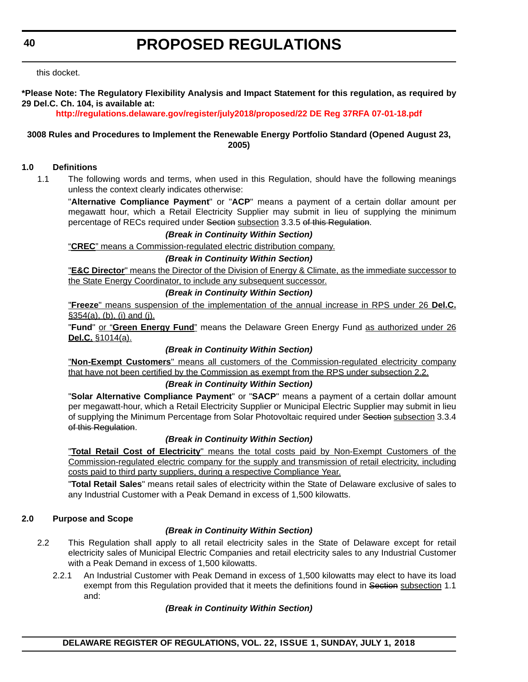this docket.

**\*Please Note: The Regulatory Flexibility Analysis and Impact Statement for this regulation, as required by 29 Del.C. Ch. 104, is available at:**

## **<http://regulations.delaware.gov/register/july2018/proposed/22 DE Reg 37RFA 07-01-18.pdf>**

## **3008 Rules and Procedures to Implement the Renewable Energy Portfolio Standard (Opened August 23, 2005)**

## **1.0 Definitions**

1.1 The following words and terms, when used in this Regulation, should have the following meanings unless the context clearly indicates otherwise:

"**Alternative Compliance Payment**" or "**ACP**" means a payment of a certain dollar amount per megawatt hour, which a Retail Electricity Supplier may submit in lieu of supplying the minimum percentage of RECs required under Section subsection 3.3.5 of this Regulation.

## *(Break in Continuity Within Section)*

"**CREC**" means a Commission-regulated electric distribution company.

## *(Break in Continuity Within Section)*

"**E&C Director**" means the Director of the Division of Energy & Climate, as the immediate successor to the State Energy Coordinator, to include any subsequent successor.

#### *(Break in Continuity Within Section)*

"**Freeze**" means suspension of the implementation of the annual increase in RPS under 26 **Del.C.** §354(a), (b), (i) and (j).

"**Fund**" or "**Green Energy Fund**" means the Delaware Green Energy Fund as authorized under 26 **Del.C.** §1014(a).

#### *(Break in Continuity Within Section)*

"**Non-Exempt Customers**" means all customers of the Commission-regulated electricity company that have not been certified by the Commission as exempt from the RPS under subsection 2.2.

## *(Break in Continuity Within Section)*

"**Solar Alternative Compliance Payment**" or "**SACP**" means a payment of a certain dollar amount per megawatt-hour, which a Retail Electricity Supplier or Municipal Electric Supplier may submit in lieu of supplying the Minimum Percentage from Solar Photovoltaic required under Section subsection 3.3.4 of this Regulation.

## *(Break in Continuity Within Section)*

"**Total Retail Cost of Electricity**" means the total costs paid by Non-Exempt Customers of the Commission-regulated electric company for the supply and transmission of retail electricity, including costs paid to third party suppliers, during a respective Compliance Year.

"**Total Retail Sales**" means retail sales of electricity within the State of Delaware exclusive of sales to any Industrial Customer with a Peak Demand in excess of 1,500 kilowatts.

## **2.0 Purpose and Scope**

## *(Break in Continuity Within Section)*

- 2.2 This Regulation shall apply to all retail electricity sales in the State of Delaware except for retail electricity sales of Municipal Electric Companies and retail electricity sales to any Industrial Customer with a Peak Demand in excess of 1,500 kilowatts.
	- 2.2.1 An Industrial Customer with Peak Demand in excess of 1,500 kilowatts may elect to have its load exempt from this Regulation provided that it meets the definitions found in Section subsection 1.1 and:

## *(Break in Continuity Within Section)*

## **DELAWARE REGISTER OF REGULATIONS, VOL. 22, ISSUE 1, SUNDAY, JULY 1, 2018**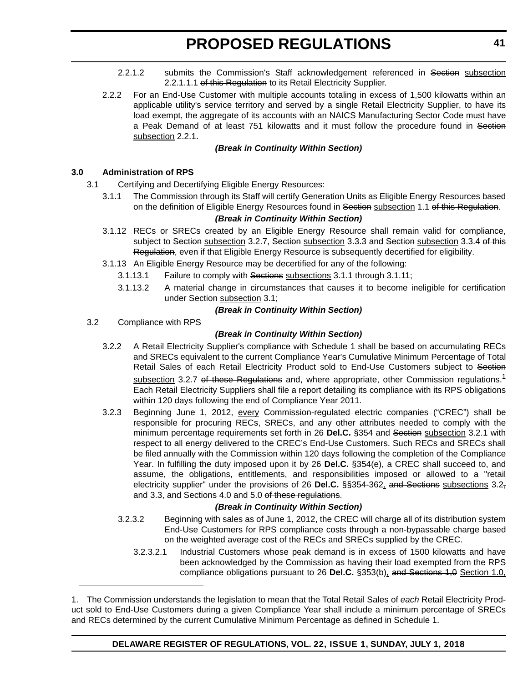- 2.2.1.2 submits the Commission's Staff acknowledgement referenced in Section subsection 2.2.1.1.1 of this Regulation to its Retail Electricity Supplier.
- 2.2.2 For an End-Use Customer with multiple accounts totaling in excess of 1,500 kilowatts within an applicable utility's service territory and served by a single Retail Electricity Supplier, to have its load exempt, the aggregate of its accounts with an NAICS Manufacturing Sector Code must have a Peak Demand of at least 751 kilowatts and it must follow the procedure found in Section subsection 2.2.1.

## *(Break in Continuity Within Section)*

## **3.0 Administration of RPS**

- 3.1 Certifying and Decertifying Eligible Energy Resources:
	- 3.1.1 The Commission through its Staff will certify Generation Units as Eligible Energy Resources based on the definition of Eligible Energy Resources found in Section subsection 1.1 of this Regulation.

## *(Break in Continuity Within Section)*

- 3.1.12 RECs or SRECs created by an Eligible Energy Resource shall remain valid for compliance, subject to Section subsection 3.2.7, Section subsection 3.3.3 and Section subsection 3.3.4 of this Regulation, even if that Eligible Energy Resource is subsequently decertified for eligibility.
- 3.1.13 An Eligible Energy Resource may be decertified for any of the following:
	- 3.1.13.1 Failure to comply with Sections subsections 3.1.1 through 3.1.11;
	- 3.1.13.2 A material change in circumstances that causes it to become ineligible for certification under Section subsection 3.1;

## *(Break in Continuity Within Section)*

3.2 Compliance with RPS

## *(Break in Continuity Within Section)*

- 3.2.2 A Retail Electricity Supplier's compliance with Schedule 1 shall be based on accumulating RECs and SRECs equivalent to the current Compliance Year's Cumulative Minimum Percentage of Total Retail Sales of each Retail Electricity Product sold to End-Use Customers subject to Section subsection 3.2.7 of these Regulations and, where appropriate, other Commission regulations.<sup>1</sup> Each Retail Electricity Suppliers shall file a report detailing its compliance with its RPS obligations within 120 days following the end of Compliance Year 2011.
- 3.2.3 Beginning June 1, 2012, every Commission-regulated electric companies ("CREC") shall be responsible for procuring RECs, SRECs, and any other attributes needed to comply with the minimum percentage requirements set forth in 26 **Del.C.** §354 and Section subsection 3.2.1 with respect to all energy delivered to the CREC's End-Use Customers. Such RECs and SRECs shall be filed annually with the Commission within 120 days following the completion of the Compliance Year. In fulfilling the duty imposed upon it by 26 **Del.C.** §354(e), a CREC shall succeed to, and assume, the obligations, entitlements, and responsibilities imposed or allowed to a "retail electricity supplier" under the provisions of 26 **Del.C.** §§354-362, and Sections subsections 3.2, and 3.3, and Sections 4.0 and 5.0 of these regulations.

## *(Break in Continuity Within Section)*

- 3.2.3.2 Beginning with sales as of June 1, 2012, the CREC will charge all of its distribution system End-Use Customers for RPS compliance costs through a non-bypassable charge based on the weighted average cost of the RECs and SRECs supplied by the CREC.
	- 3.2.3.2.1 Industrial Customers whose peak demand is in excess of 1500 kilowatts and have been acknowledged by the Commission as having their load exempted from the RPS compliance obligations pursuant to 26 Del.C. §353(b), and Sections 1,0 Section 1.0,

<sup>1.</sup> The Commission understands the legislation to mean that the Total Retail Sales of *each* Retail Electricity Product sold to End-Use Customers during a given Compliance Year shall include a minimum percentage of SRECs and RECs determined by the current Cumulative Minimum Percentage as defined in Schedule 1.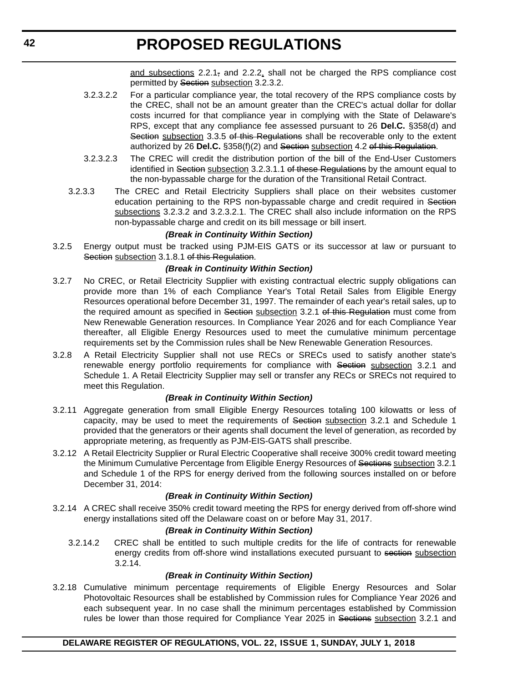and subsections  $2.2.1<sub>z</sub>$  and  $2.2.2$ , shall not be charged the RPS compliance cost permitted by Section subsection 3.2.3.2.

- 3.2.3.2.2 For a particular compliance year, the total recovery of the RPS compliance costs by the CREC, shall not be an amount greater than the CREC's actual dollar for dollar costs incurred for that compliance year in complying with the State of Delaware's RPS, except that any compliance fee assessed pursuant to 26 **Del.C.** §358(d) and Section subsection 3.3.5 of this Regulations shall be recoverable only to the extent authorized by 26 Del.C. §358(f)(2) and Section subsection 4.2 of this Regulation.
- 3.2.3.2.3 The CREC will credit the distribution portion of the bill of the End-User Customers identified in Section subsection 3.2.3.1.1 of these Regulations by the amount equal to the non-bypassable charge for the duration of the Transitional Retail Contract.
- 3.2.3.3 The CREC and Retail Electricity Suppliers shall place on their websites customer education pertaining to the RPS non-bypassable charge and credit required in Section subsections 3.2.3.2 and 3.2.3.2.1. The CREC shall also include information on the RPS non-bypassable charge and credit on its bill message or bill insert.

## *(Break in Continuity Within Section)*

3.2.5 Energy output must be tracked using PJM-EIS GATS or its successor at law or pursuant to Section subsection 3.1.8.1 of this Regulation.

## *(Break in Continuity Within Section)*

- 3.2.7 No CREC, or Retail Electricity Supplier with existing contractual electric supply obligations can provide more than 1% of each Compliance Year's Total Retail Sales from Eligible Energy Resources operational before December 31, 1997. The remainder of each year's retail sales, up to the required amount as specified in Section subsection 3.2.1 of this Regulation must come from New Renewable Generation resources. In Compliance Year 2026 and for each Compliance Year thereafter, all Eligible Energy Resources used to meet the cumulative minimum percentage requirements set by the Commission rules shall be New Renewable Generation Resources.
- 3.2.8 A Retail Electricity Supplier shall not use RECs or SRECs used to satisfy another state's renewable energy portfolio requirements for compliance with Section subsection 3.2.1 and Schedule 1. A Retail Electricity Supplier may sell or transfer any RECs or SRECs not required to meet this Regulation.

## *(Break in Continuity Within Section)*

- 3.2.11 Aggregate generation from small Eligible Energy Resources totaling 100 kilowatts or less of capacity, may be used to meet the requirements of Section subsection 3.2.1 and Schedule 1 provided that the generators or their agents shall document the level of generation, as recorded by appropriate metering, as frequently as PJM-EIS-GATS shall prescribe.
- 3.2.12 A Retail Electricity Supplier or Rural Electric Cooperative shall receive 300% credit toward meeting the Minimum Cumulative Percentage from Eligible Energy Resources of Sections subsection 3.2.1 and Schedule 1 of the RPS for energy derived from the following sources installed on or before December 31, 2014:

#### *(Break in Continuity Within Section)*

3.2.14 A CREC shall receive 350% credit toward meeting the RPS for energy derived from off-shore wind energy installations sited off the Delaware coast on or before May 31, 2017.

## *(Break in Continuity Within Section)*

3.2.14.2 CREC shall be entitled to such multiple credits for the life of contracts for renewable energy credits from off-shore wind installations executed pursuant to section subsection 3.2.14.

## *(Break in Continuity Within Section)*

3.2.18 Cumulative minimum percentage requirements of Eligible Energy Resources and Solar Photovoltaic Resources shall be established by Commission rules for Compliance Year 2026 and each subsequent year. In no case shall the minimum percentages established by Commission rules be lower than those required for Compliance Year 2025 in Sections subsection 3.2.1 and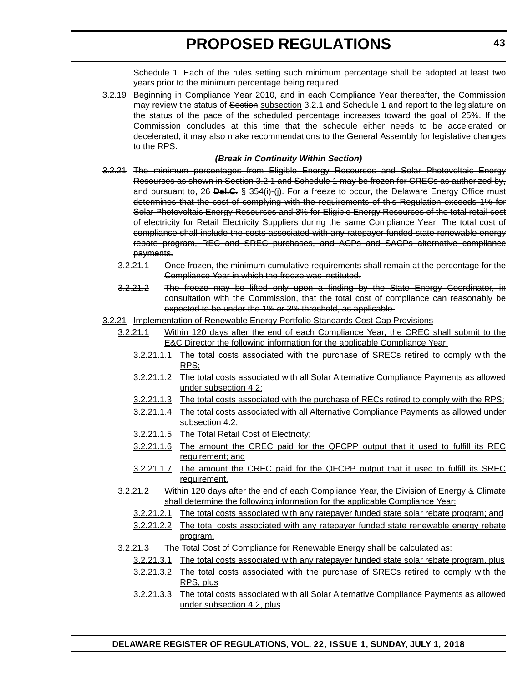Schedule 1. Each of the rules setting such minimum percentage shall be adopted at least two years prior to the minimum percentage being required.

3.2.19 Beginning in Compliance Year 2010, and in each Compliance Year thereafter, the Commission may review the status of Section subsection 3.2.1 and Schedule 1 and report to the legislature on the status of the pace of the scheduled percentage increases toward the goal of 25%. If the Commission concludes at this time that the schedule either needs to be accelerated or decelerated, it may also make recommendations to the General Assembly for legislative changes to the RPS.

## *(Break in Continuity Within Section)*

- 3.2.21 The minimum percentages from Eligible Energy Resources and Solar Photovoltaic Energy Resources as shown in Section 3.2.1 and Schedule 1 may be frozen for CRECs as authorized by, and pursuant to, 26 **Del.C.** § 354(i)-(j). For a freeze to occur, the Delaware Energy Office must determines that the cost of complying with the requirements of this Regulation exceeds 1% for Solar Photovoltaic Energy Resources and 3% for Eligible Energy Resources of the total retail cost of electricity for Retail Electricity Suppliers during the same Compliance Year. The total cost of compliance shall include the costs associated with any ratepayer funded state renewable energy rebate program, REC and SREC purchases, and ACPs and SACPs alternative compliance payments.
	- 3.2.21.1 Once frozen, the minimum cumulative requirements shall remain at the percentage for the Compliance Year in which the freeze was instituted.
	- 3.2.21.2 The freeze may be lifted only upon a finding by the State Energy Coordinator, in consultation with the Commission, that the total cost of compliance can reasonably be expected to be under the 1% or 3% threshold, as applicable.
- 3.2.21 Implementation of Renewable Energy Portfolio Standards Cost Cap Provisions
	- 3.2.21.1 Within 120 days after the end of each Compliance Year, the CREC shall submit to the E&C Director the following information for the applicable Compliance Year:
		- 3.2.21.1.1 The total costs associated with the purchase of SRECs retired to comply with the RPS;
		- 3.2.21.1.2 The total costs associated with all Solar Alternative Compliance Payments as allowed under subsection 4.2;
		- 3.2.21.1.3 The total costs associated with the purchase of RECs retired to comply with the RPS;
		- 3.2.21.1.4 The total costs associated with all Alternative Compliance Payments as allowed under subsection 4.2;
		- 3.2.21.1.5 The Total Retail Cost of Electricity;
		- 3.2.21.1.6 The amount the CREC paid for the QFCPP output that it used to fulfill its REC requirement; and
		- 3.2.21.1.7 The amount the CREC paid for the QFCPP output that it used to fulfill its SREC requirement.
	- 3.2.21.2 Within 120 days after the end of each Compliance Year, the Division of Energy & Climate shall determine the following information for the applicable Compliance Year:
		- 3.2.21.2.1 The total costs associated with any ratepayer funded state solar rebate program; and
		- 3.2.21.2.2 The total costs associated with any ratepayer funded state renewable energy rebate program.
	- 3.2.21.3 The Total Cost of Compliance for Renewable Energy shall be calculated as:
		- 3.2.21.3.1 The total costs associated with any ratepayer funded state solar rebate program, plus
		- 3.2.21.3.2 The total costs associated with the purchase of SRECs retired to comply with the RPS, plus
		- 3.2.21.3.3 The total costs associated with all Solar Alternative Compliance Payments as allowed under subsection 4.2, plus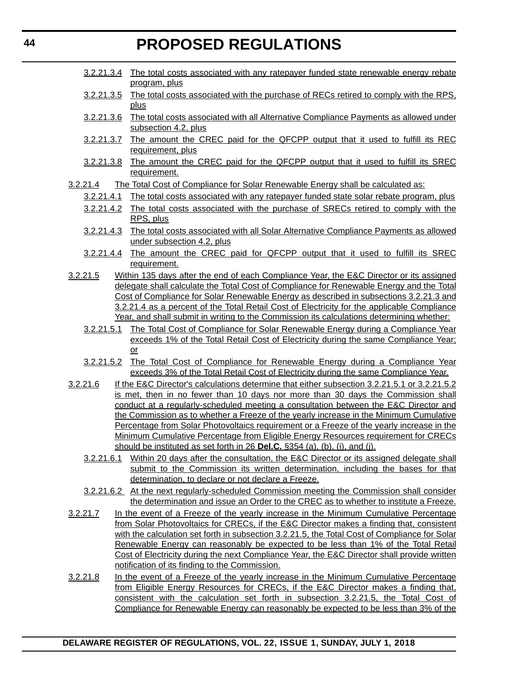- 3.2.21.3.4 The total costs associated with any ratepayer funded state renewable energy rebate program, plus
- 3.2.21.3.5 The total costs associated with the purchase of RECs retired to comply with the RPS, plus
- 3.2.21.3.6 The total costs associated with all Alternative Compliance Payments as allowed under subsection 4.2, plus
- 3.2.21.3.7 The amount the CREC paid for the QFCPP output that it used to fulfill its REC requirement, plus
- 3.2.21.3.8 The amount the CREC paid for the QFCPP output that it used to fulfill its SREC requirement.
- 3.2.21.4 The Total Cost of Compliance for Solar Renewable Energy shall be calculated as:
	- 3.2.21.4.1 The total costs associated with any ratepayer funded state solar rebate program, plus
	- 3.2.21.4.2 The total costs associated with the purchase of SRECs retired to comply with the RPS, plus
	- 3.2.21.4.3 The total costs associated with all Solar Alternative Compliance Payments as allowed under subsection 4.2, plus
	- 3.2.21.4.4 The amount the CREC paid for QFCPP output that it used to fulfill its SREC requirement.
- 3.2.21.5 Within 135 days after the end of each Compliance Year, the E&C Director or its assigned delegate shall calculate the Total Cost of Compliance for Renewable Energy and the Total Cost of Compliance for Solar Renewable Energy as described in subsections 3.2.21.3 and 3.2.21.4 as a percent of the Total Retail Cost of Electricity for the applicable Compliance Year, and shall submit in writing to the Commission its calculations determining whether:
	- 3.2.21.5.1 The Total Cost of Compliance for Solar Renewable Energy during a Compliance Year exceeds 1% of the Total Retail Cost of Electricity during the same Compliance Year; or
	- 3.2.21.5.2 The Total Cost of Compliance for Renewable Energy during a Compliance Year exceeds 3% of the Total Retail Cost of Electricity during the same Compliance Year.
- 3.2.21.6 If the E&C Director's calculations determine that either subsection 3.2.21.5.1 or 3.2.21.5.2 is met, then in no fewer than 10 days nor more than 30 days the Commission shall conduct at a regularly-scheduled meeting a consultation between the E&C Director and the Commission as to whether a Freeze of the yearly increase in the Minimum Cumulative Percentage from Solar Photovoltaics requirement or a Freeze of the yearly increase in the Minimum Cumulative Percentage from Eligible Energy Resources requirement for CRECs should be instituted as set forth in 26 **Del.C.** §354 (a), (b), (i), and (j).
	- 3.2.21.6.1 Within 20 days after the consultation, the E&C Director or its assigned delegate shall submit to the Commission its written determination, including the bases for that determination, to declare or not declare a Freeze.
	- 3.2.21.6.2 At the next regularly-scheduled Commission meeting the Commission shall consider the determination and issue an Order to the CREC as to whether to institute a Freeze.
- 3.2.21.7 In the event of a Freeze of the yearly increase in the Minimum Cumulative Percentage from Solar Photovoltaics for CRECs, if the E&C Director makes a finding that, consistent with the calculation set forth in subsection 3.2.21.5, the Total Cost of Compliance for Solar Renewable Energy can reasonably be expected to be less than 1% of the Total Retail Cost of Electricity during the next Compliance Year, the E&C Director shall provide written notification of its finding to the Commission.
- 3.2.21.8 In the event of a Freeze of the yearly increase in the Minimum Cumulative Percentage from Eligible Energy Resources for CRECs, if the E&C Director makes a finding that, consistent with the calculation set forth in subsection 3.2.21.5, the Total Cost of Compliance for Renewable Energy can reasonably be expected to be less than 3% of the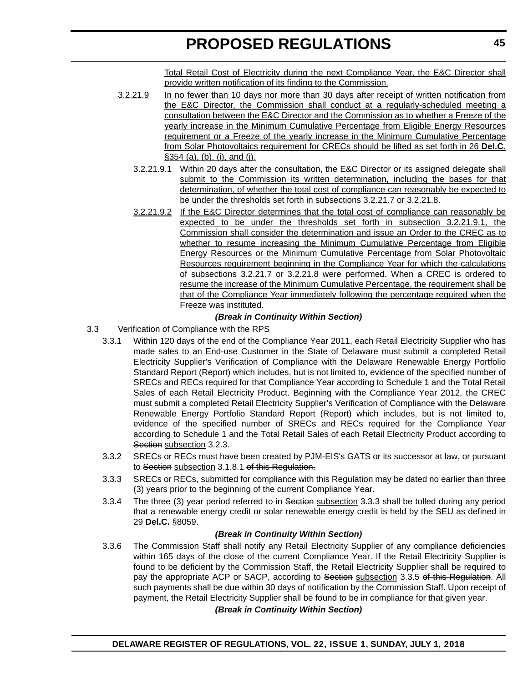Total Retail Cost of Electricity during the next Compliance Year, the E&C Director shall provide written notification of its finding to the Commission.

- 3.2.21.9 In no fewer than 10 days nor more than 30 days after receipt of written notification from the E&C Director, the Commission shall conduct at a regularly-scheduled meeting a consultation between the E&C Director and the Commission as to whether a Freeze of the yearly increase in the Minimum Cumulative Percentage from Eligible Energy Resources requirement or a Freeze of the yearly increase in the Minimum Cumulative Percentage from Solar Photovoltaics requirement for CRECs should be lifted as set forth in 26 **Del.C.** §354 (a), (b), (i), and (j).
	- 3.2.21.9.1 Within 20 days after the consultation, the E&C Director or its assigned delegate shall submit to the Commission its written determination, including the bases for that determination, of whether the total cost of compliance can reasonably be expected to be under the thresholds set forth in subsections 3.2.21.7 or 3.2.21.8.
	- 3.2.21.9.2 If the E&C Director determines that the total cost of compliance can reasonably be expected to be under the thresholds set forth in subsection 3.2.21.9.1, the Commission shall consider the determination and issue an Order to the CREC as to whether to resume increasing the Minimum Cumulative Percentage from Eligible Energy Resources or the Minimum Cumulative Percentage from Solar Photovoltaic Resources requirement beginning in the Compliance Year for which the calculations of subsections 3.2.21.7 or 3.2.21.8 were performed. When a CREC is ordered to resume the increase of the Minimum Cumulative Percentage, the requirement shall be that of the Compliance Year immediately following the percentage required when the Freeze was instituted.

## *(Break in Continuity Within Section)*

- 3.3 Verification of Compliance with the RPS
	- 3.3.1 Within 120 days of the end of the Compliance Year 2011, each Retail Electricity Supplier who has made sales to an End-use Customer in the State of Delaware must submit a completed Retail Electricity Supplier's Verification of Compliance with the Delaware Renewable Energy Portfolio Standard Report (Report) which includes, but is not limited to, evidence of the specified number of SRECs and RECs required for that Compliance Year according to Schedule 1 and the Total Retail Sales of each Retail Electricity Product. Beginning with the Compliance Year 2012, the CREC must submit a completed Retail Electricity Supplier's Verification of Compliance with the Delaware Renewable Energy Portfolio Standard Report (Report) which includes, but is not limited to, evidence of the specified number of SRECs and RECs required for the Compliance Year according to Schedule 1 and the Total Retail Sales of each Retail Electricity Product according to Section subsection 3.2.3.
	- 3.3.2 SRECs or RECs must have been created by PJM-EIS's GATS or its successor at law, or pursuant to Section subsection 3.1.8.1 of this Regulation.
	- 3.3.3 SRECs or RECs, submitted for compliance with this Regulation may be dated no earlier than three (3) years prior to the beginning of the current Compliance Year.
	- 3.3.4 The three (3) year period referred to in Section subsection 3.3.3 shall be tolled during any period that a renewable energy credit or solar renewable energy credit is held by the SEU as defined in 29 **Del.C.** §8059.

## *(Break in Continuity Within Section)*

3.3.6 The Commission Staff shall notify any Retail Electricity Supplier of any compliance deficiencies within 165 days of the close of the current Compliance Year. If the Retail Electricity Supplier is found to be deficient by the Commission Staff, the Retail Electricity Supplier shall be required to pay the appropriate ACP or SACP, according to Section subsection 3.3.5 of this Regulation. All such payments shall be due within 30 days of notification by the Commission Staff. Upon receipt of payment, the Retail Electricity Supplier shall be found to be in compliance for that given year.

## *(Break in Continuity Within Section)*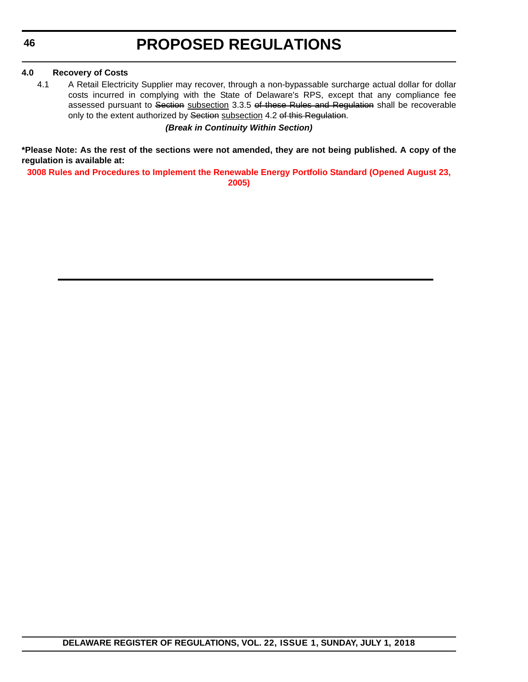## **4.0 Recovery of Costs**

4.1 A Retail Electricity Supplier may recover, through a non-bypassable surcharge actual dollar for dollar costs incurred in complying with the State of Delaware's RPS, except that any compliance fee assessed pursuant to Section subsection 3.3.5 of these Rules and Regulation shall be recoverable only to the extent authorized by Section subsection 4.2 of this Regulation.

*(Break in Continuity Within Section)*

**\*Please Note: As the rest of the sections were not amended, they are not being published. A copy of the regulation is available at:**

**[3008 Rules and Procedures to Implement the Renewable Energy Portfolio Standard \(Opened August 23,](http://regulations.delaware.gov/register/july2018/proposed/22 DE Reg 37 07-01-18.htm)  2005)**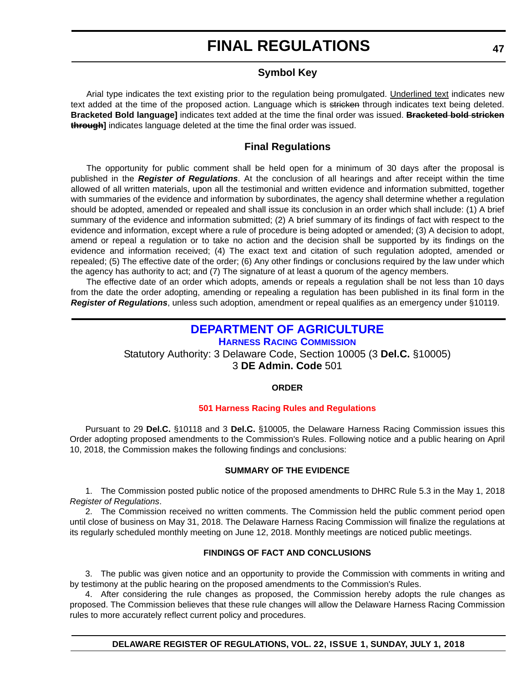## **Symbol Key**

Arial type indicates the text existing prior to the regulation being promulgated. Underlined text indicates new text added at the time of the proposed action. Language which is stricken through indicates text being deleted. **Bracketed Bold language]** indicates text added at the time the final order was issued. **Bracketed bold stricken through]** indicates language deleted at the time the final order was issued.

## **Final Regulations**

The opportunity for public comment shall be held open for a minimum of 30 days after the proposal is published in the *Register of Regulations*. At the conclusion of all hearings and after receipt within the time allowed of all written materials, upon all the testimonial and written evidence and information submitted, together with summaries of the evidence and information by subordinates, the agency shall determine whether a regulation should be adopted, amended or repealed and shall issue its conclusion in an order which shall include: (1) A brief summary of the evidence and information submitted; (2) A brief summary of its findings of fact with respect to the evidence and information, except where a rule of procedure is being adopted or amended; (3) A decision to adopt, amend or repeal a regulation or to take no action and the decision shall be supported by its findings on the evidence and information received; (4) The exact text and citation of such regulation adopted, amended or repealed; (5) The effective date of the order; (6) Any other findings or conclusions required by the law under which the agency has authority to act; and (7) The signature of at least a quorum of the agency members.

The effective date of an order which adopts, amends or repeals a regulation shall be not less than 10 days from the date the order adopting, amending or repealing a regulation has been published in its final form in the *Register of Regulations*, unless such adoption, amendment or repeal qualifies as an emergency under §10119.

## **[DEPARTMENT OF AGRICULTURE](https://agriculture.delaware.gov/)**

**[HARNESS RACING COMMISSION](https://agriculture.delaware.gov/harness-racing-commission/)** Statutory Authority: 3 Delaware Code, Section 10005 (3 **Del.C.** §10005) 3 **DE Admin. Code** 501

## **ORDER**

## **[501 Harness Racing Rules and Regulations](#page-3-0)**

Pursuant to 29 **Del.C.** §10118 and 3 **Del.C.** §10005, the Delaware Harness Racing Commission issues this Order adopting proposed amendments to the Commission's Rules. Following notice and a public hearing on April 10, 2018, the Commission makes the following findings and conclusions:

#### **SUMMARY OF THE EVIDENCE**

1. The Commission posted public notice of the proposed amendments to DHRC Rule 5.3 in the May 1, 2018 *Register of Regulations*.

2. The Commission received no written comments. The Commission held the public comment period open until close of business on May 31, 2018. The Delaware Harness Racing Commission will finalize the regulations at its regularly scheduled monthly meeting on June 12, 2018. Monthly meetings are noticed public meetings.

#### **FINDINGS OF FACT AND CONCLUSIONS**

3. The public was given notice and an opportunity to provide the Commission with comments in writing and by testimony at the public hearing on the proposed amendments to the Commission's Rules.

4. After considering the rule changes as proposed, the Commission hereby adopts the rule changes as proposed. The Commission believes that these rule changes will allow the Delaware Harness Racing Commission rules to more accurately reflect current policy and procedures.

**DELAWARE REGISTER OF REGULATIONS, VOL. 22, ISSUE 1, SUNDAY, JULY 1, 2018**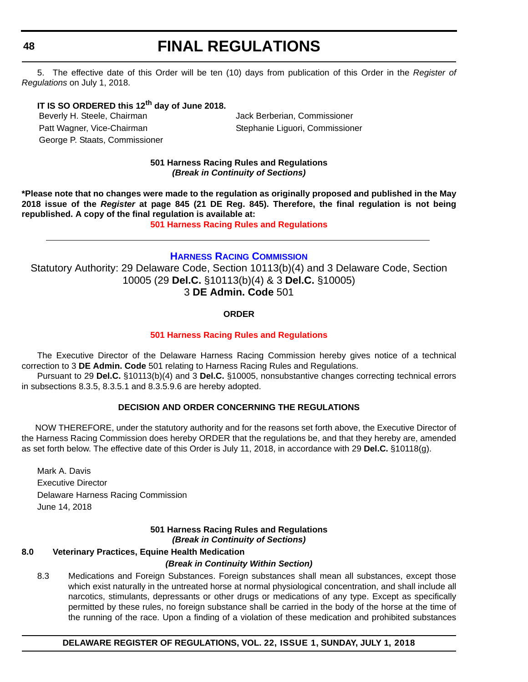5. The effective date of this Order will be ten (10) days from publication of this Order in the *Register of Regulations* on July 1, 2018.

## **IT IS SO ORDERED this 12th day of June 2018.**

Beverly H. Steele, Chairman and Jack Berberian, Commissioner Patt Wagner, Vice-Chairman Stephanie Liguori, Commissioner George P. Staats, Commissioner

## **501 Harness Racing Rules and Regulations** *(Break in Continuity of Sections)*

**\*Please note that no changes were made to the regulation as originally proposed and published in the May 2018 issue of the** *Register* **at page 845 (21 DE Reg. 845). Therefore, the final regulation is not being republished. A copy of the final regulation is available at:**

**[501 Harness Racing Rules and Regulations](http://regulations.delaware.gov/register/july2018/final/22 DE Reg 47 07-01-18.htm)** 

## **[HARNESS RACING COMMISSION](https://agriculture.delaware.gov/harness-racing-commission/)**

Statutory Authority: 29 Delaware Code, Section 10113(b)(4) and 3 Delaware Code, Section 10005 (29 **Del.C.** §10113(b)(4) & 3 **Del.C.** §10005) 3 **DE Admin. Code** 501

## **ORDER**

## **[501 Harness Racing Rules and Regulations](#page-3-0)**

The Executive Director of the Delaware Harness Racing Commission hereby gives notice of a technical correction to 3 **DE Admin. Code** 501 relating to Harness Racing Rules and Regulations.

Pursuant to 29 **Del.C.** §10113(b)(4) and 3 **Del.C.** §10005, nonsubstantive changes correcting technical errors in subsections 8.3.5, 8.3.5.1 and 8.3.5.9.6 are hereby adopted.

## **DECISION AND ORDER CONCERNING THE REGULATIONS**

 NOW THEREFORE, under the statutory authority and for the reasons set forth above, the Executive Director of the Harness Racing Commission does hereby ORDER that the regulations be, and that they hereby are, amended as set forth below. The effective date of this Order is July 11, 2018, in accordance with 29 **Del.C.** §10118(g).

Mark A. Davis Executive Director Delaware Harness Racing Commission June 14, 2018

## **501 Harness Racing Rules and Regulations** *(Break in Continuity of Sections)*

## **8.0 Veterinary Practices, Equine Health Medication**

#### *(Break in Continuity Within Section)*

8.3 Medications and Foreign Substances. Foreign substances shall mean all substances, except those which exist naturally in the untreated horse at normal physiological concentration, and shall include all narcotics, stimulants, depressants or other drugs or medications of any type. Except as specifically permitted by these rules, no foreign substance shall be carried in the body of the horse at the time of the running of the race. Upon a finding of a violation of these medication and prohibited substances

**DELAWARE REGISTER OF REGULATIONS, VOL. 22, ISSUE 1, SUNDAY, JULY 1, 2018**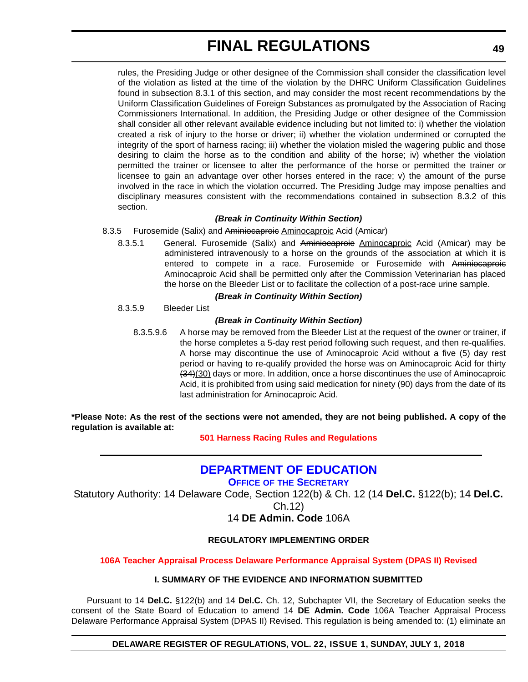rules, the Presiding Judge or other designee of the Commission shall consider the classification level of the violation as listed at the time of the violation by the DHRC Uniform Classification Guidelines found in subsection 8.3.1 of this section, and may consider the most recent recommendations by the Uniform Classification Guidelines of Foreign Substances as promulgated by the Association of Racing Commissioners International. In addition, the Presiding Judge or other designee of the Commission shall consider all other relevant available evidence including but not limited to: i) whether the violation created a risk of injury to the horse or driver; ii) whether the violation undermined or corrupted the integrity of the sport of harness racing; iii) whether the violation misled the wagering public and those desiring to claim the horse as to the condition and ability of the horse; iv) whether the violation permitted the trainer or licensee to alter the performance of the horse or permitted the trainer or licensee to gain an advantage over other horses entered in the race; v) the amount of the purse involved in the race in which the violation occurred. The Presiding Judge may impose penalties and disciplinary measures consistent with the recommendations contained in subsection 8.3.2 of this section.

## *(Break in Continuity Within Section)*

8.3.5 Furosemide (Salix) and Aminiocaproic Aminocaproic Acid (Amicar)

8.3.5.1 General. Furosemide (Salix) and Aminiocaproic Aminocaproic Acid (Amicar) may be administered intravenously to a horse on the grounds of the association at which it is entered to compete in a race. Furosemide or Furosemide with Aminiocaproic Aminocaproic Acid shall be permitted only after the Commission Veterinarian has placed the horse on the Bleeder List or to facilitate the collection of a post-race urine sample.

## *(Break in Continuity Within Section)*

8.3.5.9 Bleeder List

## *(Break in Continuity Within Section)*

8.3.5.9.6 A horse may be removed from the Bleeder List at the request of the owner or trainer, if the horse completes a 5-day rest period following such request, and then re-qualifies. A horse may discontinue the use of Aminocaproic Acid without a five (5) day rest period or having to re-qualify provided the horse was on Aminocaproic Acid for thirty (34)(30) days or more. In addition, once a horse discontinues the use of Aminocaproic Acid, it is prohibited from using said medication for ninety (90) days from the date of its last administration for Aminocaproic Acid.

**\*Please Note: As the rest of the sections were not amended, they are not being published. A copy of the regulation is available at:**

## **[501 Harness Racing Rules and Regulations](http://regulations.delaware.gov/register/july2018/final/22 DE Reg 48 07-01-18.htm)**

## **[DEPARTMENT OF EDUCATION](https://www.doe.k12.de.us/)**

**OFFICE OF [THE SECRETARY](https://pubapps.doe.k12.de.us/EducationalDirectoryPublic/default.aspx)**

Statutory Authority: 14 Delaware Code, Section 122(b) & Ch. 12 (14 **Del.C.** §122(b); 14 **Del.C.**

Ch.12)

## 14 **DE Admin. Code** 106A

## **REGULATORY IMPLEMENTING ORDER**

## **[106A Teacher Appraisal Process Delaware Performance Appraisal System \(DPAS II\) Revised](#page-3-0)**

## **I. SUMMARY OF THE EVIDENCE AND INFORMATION SUBMITTED**

Pursuant to 14 **Del.C.** §122(b) and 14 **Del.C.** Ch. 12, Subchapter VII, the Secretary of Education seeks the consent of the State Board of Education to amend 14 **DE Admin. Code** 106A Teacher Appraisal Process Delaware Performance Appraisal System (DPAS II) Revised. This regulation is being amended to: (1) eliminate an

#### **DELAWARE REGISTER OF REGULATIONS, VOL. 22, ISSUE 1, SUNDAY, JULY 1, 2018**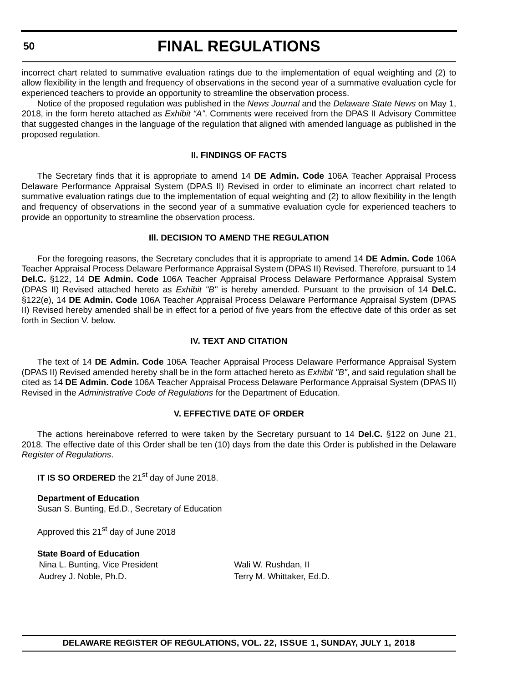incorrect chart related to summative evaluation ratings due to the implementation of equal weighting and (2) to allow flexibility in the length and frequency of observations in the second year of a summative evaluation cycle for experienced teachers to provide an opportunity to streamline the observation process.

Notice of the proposed regulation was published in the *News Journal* and the *Delaware State News* on May 1, 2018, in the form hereto attached as *Exhibit "A"*. Comments were received from the DPAS II Advisory Committee that suggested changes in the language of the regulation that aligned with amended language as published in the proposed regulation.

#### **II. FINDINGS OF FACTS**

The Secretary finds that it is appropriate to amend 14 **DE Admin. Code** 106A Teacher Appraisal Process Delaware Performance Appraisal System (DPAS II) Revised in order to eliminate an incorrect chart related to summative evaluation ratings due to the implementation of equal weighting and (2) to allow flexibility in the length and frequency of observations in the second year of a summative evaluation cycle for experienced teachers to provide an opportunity to streamline the observation process.

## **Ill. DECISION TO AMEND THE REGULATION**

For the foregoing reasons, the Secretary concludes that it is appropriate to amend 14 **DE Admin. Code** 106A Teacher Appraisal Process Delaware Performance Appraisal System (DPAS II) Revised. Therefore, pursuant to 14 **Del.C.** §122, 14 **DE Admin. Code** 106A Teacher Appraisal Process Delaware Performance Appraisal System (DPAS II) Revised attached hereto as *Exhibit "B"* is hereby amended. Pursuant to the provision of 14 **Del.C.** §122(e), 14 **DE Admin. Code** 106A Teacher Appraisal Process Delaware Performance Appraisal System (DPAS II) Revised hereby amended shall be in effect for a period of five years from the effective date of this order as set forth in Section V. below.

## **IV. TEXT AND CITATION**

The text of 14 **DE Admin. Code** 106A Teacher Appraisal Process Delaware Performance Appraisal System (DPAS II) Revised amended hereby shall be in the form attached hereto as *Exhibit "B"*, and said regulation shall be cited as 14 **DE Admin. Code** 106A Teacher Appraisal Process Delaware Performance Appraisal System (DPAS II) Revised in the *Administrative Code of Regulations* for the Department of Education.

#### **V. EFFECTIVE DATE OF ORDER**

The actions hereinabove referred to were taken by the Secretary pursuant to 14 **Del.C.** §122 on June 21, 2018. The effective date of this Order shall be ten (10) days from the date this Order is published in the Delaware *Register of Regulations*.

**IT IS SO ORDERED** the 21<sup>st</sup> day of June 2018.

**Department of Education** Susan S. Bunting, Ed.D., Secretary of Education

Approved this 21<sup>st</sup> day of June 2018

**State Board of Education** Nina L. Bunting, Vice President Wali W. Rushdan, II Audrey J. Noble, Ph.D. The Contract of Terry M. Whittaker, Ed.D.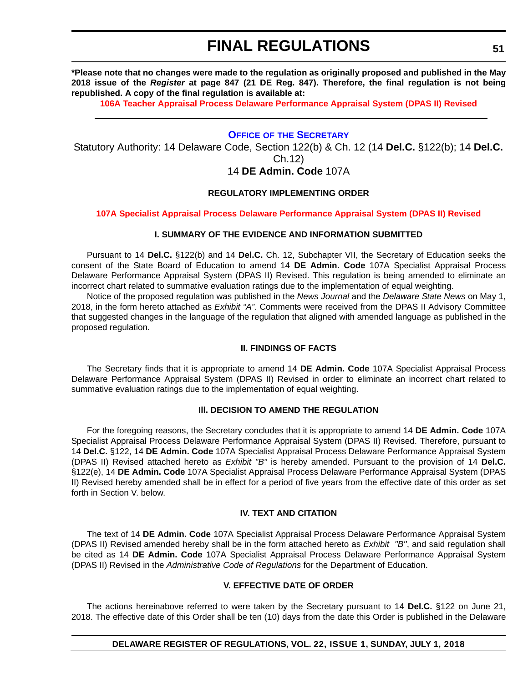**\*Please note that no changes were made to the regulation as originally proposed and published in the May 2018 issue of the** *Register* **at page 847 (21 DE Reg. 847). Therefore, the final regulation is not being republished. A copy of the final regulation is available at:**

**[106A Teacher Appraisal Process Delaware Performance Appraisal System \(DPAS II\) Revised](http://regulations.delaware.gov/register/july2018/final/22 DE Reg 49 07-01-18.htm)** 

## **OFFICE OF [THE SECRETARY](https://www.doe.k12.de.us/domain/9)**

Statutory Authority: 14 Delaware Code, Section 122(b) & Ch. 12 (14 **Del.C.** §122(b); 14 **Del.C.** Ch.12) 14 **DE Admin. Code** 107A

#### **REGULATORY IMPLEMENTING ORDER**

#### **[107A Specialist Appraisal Process Delaware Performance Appraisal System \(DPAS II\) Revised](#page-4-0)**

#### **I. SUMMARY OF THE EVIDENCE AND INFORMATION SUBMITTED**

Pursuant to 14 **Del.C.** §122(b) and 14 **Del.C.** Ch. 12, Subchapter VII, the Secretary of Education seeks the consent of the State Board of Education to amend 14 **DE Admin. Code** 107A Specialist Appraisal Process Delaware Performance Appraisal System (DPAS II) Revised. This regulation is being amended to eliminate an incorrect chart related to summative evaluation ratings due to the implementation of equal weighting.

Notice of the proposed regulation was published in the *News Journal* and the *Delaware State News* on May 1, 2018, in the form hereto attached as *Exhibit "A"*. Comments were received from the DPAS II Advisory Committee that suggested changes in the language of the regulation that aligned with amended language as published in the proposed regulation.

#### **II. FINDINGS OF FACTS**

The Secretary finds that it is appropriate to amend 14 **DE Admin. Code** 107A Specialist Appraisal Process Delaware Performance Appraisal System (DPAS II) Revised in order to eliminate an incorrect chart related to summative evaluation ratings due to the implementation of equal weighting.

#### **Ill. DECISION TO AMEND THE REGULATION**

For the foregoing reasons, the Secretary concludes that it is appropriate to amend 14 **DE Admin. Code** 107A Specialist Appraisal Process Delaware Performance Appraisal System (DPAS II) Revised. Therefore, pursuant to 14 **Del.C.** §122, 14 **DE Admin. Code** 107A Specialist Appraisal Process Delaware Performance Appraisal System (DPAS II) Revised attached hereto as *Exhibit "B"* is hereby amended. Pursuant to the provision of 14 **Del.C.** §122(e), 14 **DE Admin. Code** 107A Specialist Appraisal Process Delaware Performance Appraisal System (DPAS II) Revised hereby amended shall be in effect for a period of five years from the effective date of this order as set forth in Section V. below.

### **IV. TEXT AND CITATION**

The text of 14 **DE Admin. Code** 107A Specialist Appraisal Process Delaware Performance Appraisal System (DPAS II) Revised amended hereby shall be in the form attached hereto as *Exhibit "B''*, and said regulation shall be cited as 14 **DE Admin. Code** 107A Specialist Appraisal Process Delaware Performance Appraisal System (DPAS II) Revised in the *Administrative Code of Regulations* for the Department of Education.

#### **V. EFFECTIVE DATE OF ORDER**

The actions hereinabove referred to were taken by the Secretary pursuant to 14 **Del.C.** §122 on June 21, 2018. The effective date of this Order shall be ten (10) days from the date this Order is published in the Delaware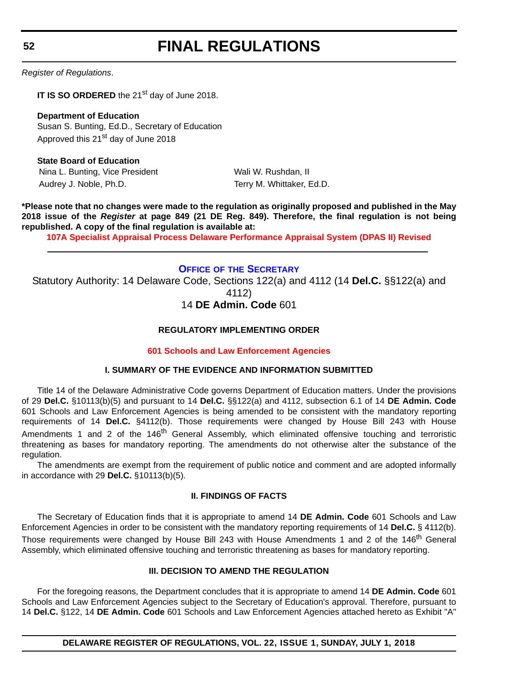**52**

# **FINAL REGULATIONS**

*Register of Regulations*.

**IT IS SO ORDERED** the 21<sup>st</sup> day of June 2018.

**Department of Education** Susan S. Bunting, Ed.D., Secretary of Education Approved this 21<sup>st</sup> day of June 2018

**State Board of Education** Nina L. Bunting, Vice President Wali W. Rushdan, II Audrey J. Noble, Ph.D. The Contract of Terry M. Whittaker, Ed.D.

**\*Please note that no changes were made to the regulation as originally proposed and published in the May 2018 issue of the** *Register* **at page 849 (21 DE Reg. 849). Therefore, the final regulation is not being republished. A copy of the final regulation is available at:**

**[107A Specialist Appraisal Process Delaware Performance Appraisal System \(DPAS II\) Revised](http://regulations.delaware.gov/register/july2018/final/22 DE Reg 51 07-01-18.htm)** 

## **OFFICE OF [THE SECRETARY](https://www.doe.k12.de.us/domain/9)**

Statutory Authority: 14 Delaware Code, Sections 122(a) and 4112 (14 **Del.C.** §§122(a) and 4112)

## 14 **DE Admin. Code** 601

## **REGULATORY IMPLEMENTING ORDER**

## **[601 Schools and Law Enforcement Agencies](#page-4-0)**

## **I. SUMMARY OF THE EVIDENCE AND INFORMATION SUBMITTED**

Title 14 of the Delaware Administrative Code governs Department of Education matters. Under the provisions of 29 **Del.C.** §10113(b)(5) and pursuant to 14 **Del.C.** §§122(a) and 4112, subsection 6.1 of 14 **DE Admin. Code** 601 Schools and Law Enforcement Agencies is being amended to be consistent with the mandatory reporting requirements of 14 **Del.C.** §4112(b). Those requirements were changed by House Bill 243 with House Amendments 1 and 2 of the 146<sup>th</sup> General Assembly, which eliminated offensive touching and terroristic threatening as bases for mandatory reporting. The amendments do not otherwise alter the substance of the regulation.

The amendments are exempt from the requirement of public notice and comment and are adopted informally in accordance with 29 **Del.C.** §10113(b)(5).

## **II. FINDINGS OF FACTS**

The Secretary of Education finds that it is appropriate to amend 14 **DE Admin. Code** 601 Schools and Law Enforcement Agencies in order to be consistent with the mandatory reporting requirements of 14 **Del.C.** § 4112(b). Those requirements were changed by House Bill 243 with House Amendments 1 and 2 of the 146<sup>th</sup> General Assembly, which eliminated offensive touching and terroristic threatening as bases for mandatory reporting.

## **III. DECISION TO AMEND THE REGULATION**

For the foregoing reasons, the Department concludes that it is appropriate to amend 14 **DE Admin. Code** 601 Schools and Law Enforcement Agencies subject to the Secretary of Education's approval. Therefore, pursuant to 14 **Del.C.** §122, 14 **DE Admin. Code** 601 Schools and Law Enforcement Agencies attached hereto as Exhibit "A"

**DELAWARE REGISTER OF REGULATIONS, VOL. 22, ISSUE 1, SUNDAY, JULY 1, 2018**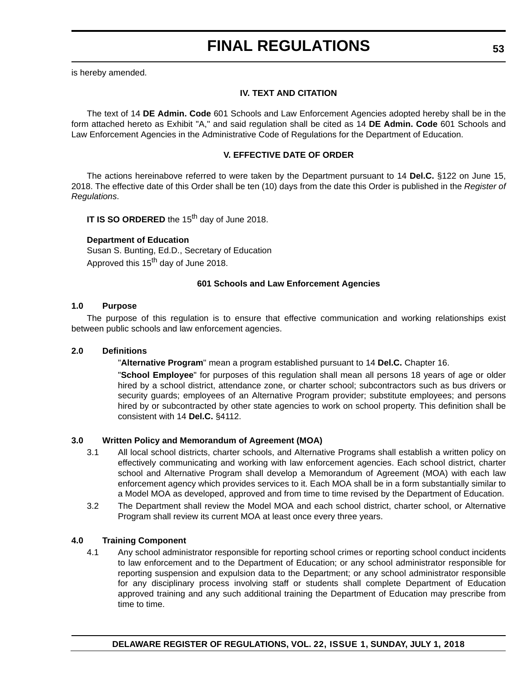is hereby amended.

## **IV. TEXT AND CITATION**

The text of 14 **DE Admin. Code** 601 Schools and Law Enforcement Agencies adopted hereby shall be in the form attached hereto as Exhibit "A," and said regulation shall be cited as 14 **DE Admin. Code** 601 Schools and Law Enforcement Agencies in the Administrative Code of Regulations for the Department of Education.

## **V. EFFECTIVE DATE OF ORDER**

The actions hereinabove referred to were taken by the Department pursuant to 14 **Del.C.** §122 on June 15, 2018. The effective date of this Order shall be ten (10) days from the date this Order is published in the *Register of Regulations*.

**IT IS SO ORDERED** the 15<sup>th</sup> day of June 2018.

## **Department of Education**

Susan S. Bunting, Ed.D., Secretary of Education Approved this 15<sup>th</sup> day of June 2018.

## **601 Schools and Law Enforcement Agencies**

## **1.0 Purpose**

The purpose of this regulation is to ensure that effective communication and working relationships exist between public schools and law enforcement agencies.

## **2.0 Definitions**

"**Alternative Program**" mean a program established pursuant to 14 **Del.C.** Chapter 16.

"**School Employee**" for purposes of this regulation shall mean all persons 18 years of age or older hired by a school district, attendance zone, or charter school; subcontractors such as bus drivers or security guards; employees of an Alternative Program provider; substitute employees; and persons hired by or subcontracted by other state agencies to work on school property. This definition shall be consistent with 14 **Del.C.** §4112.

## **3.0 Written Policy and Memorandum of Agreement (MOA)**

- 3.1 All local school districts, charter schools, and Alternative Programs shall establish a written policy on effectively communicating and working with law enforcement agencies. Each school district, charter school and Alternative Program shall develop a Memorandum of Agreement (MOA) with each law enforcement agency which provides services to it. Each MOA shall be in a form substantially similar to a Model MOA as developed, approved and from time to time revised by the Department of Education.
- 3.2 The Department shall review the Model MOA and each school district, charter school, or Alternative Program shall review its current MOA at least once every three years.

## **4.0 Training Component**

4.1 Any school administrator responsible for reporting school crimes or reporting school conduct incidents to law enforcement and to the Department of Education; or any school administrator responsible for reporting suspension and expulsion data to the Department; or any school administrator responsible for any disciplinary process involving staff or students shall complete Department of Education approved training and any such additional training the Department of Education may prescribe from time to time.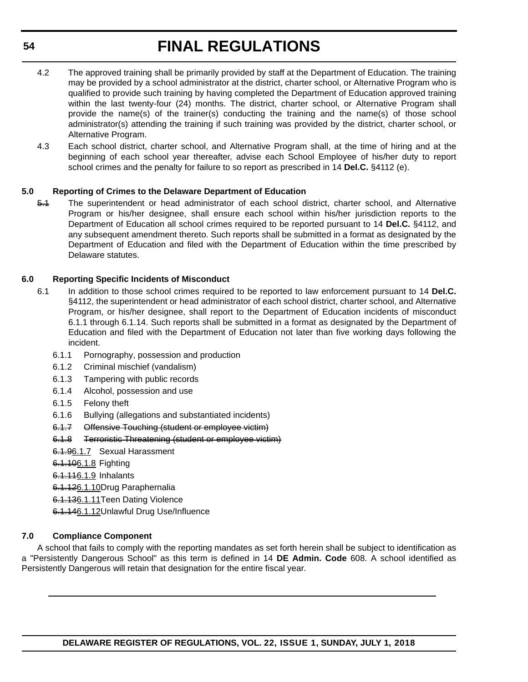- 4.2 The approved training shall be primarily provided by staff at the Department of Education. The training may be provided by a school administrator at the district, charter school, or Alternative Program who is qualified to provide such training by having completed the Department of Education approved training within the last twenty-four (24) months. The district, charter school, or Alternative Program shall provide the name(s) of the trainer(s) conducting the training and the name(s) of those school administrator(s) attending the training if such training was provided by the district, charter school, or Alternative Program.
- 4.3 Each school district, charter school, and Alternative Program shall, at the time of hiring and at the beginning of each school year thereafter, advise each School Employee of his/her duty to report school crimes and the penalty for failure to so report as prescribed in 14 **Del.C.** §4112 (e).

## **5.0 Reporting of Crimes to the Delaware Department of Education**

5.1 The superintendent or head administrator of each school district, charter school, and Alternative Program or his/her designee, shall ensure each school within his/her jurisdiction reports to the Department of Education all school crimes required to be reported pursuant to 14 **Del.C.** §4112, and any subsequent amendment thereto. Such reports shall be submitted in a format as designated by the Department of Education and filed with the Department of Education within the time prescribed by Delaware statutes.

## **6.0 Reporting Specific Incidents of Misconduct**

- 6.1 In addition to those school crimes required to be reported to law enforcement pursuant to 14 **Del.C.** §4112, the superintendent or head administrator of each school district, charter school, and Alternative Program, or his/her designee, shall report to the Department of Education incidents of misconduct 6.1.1 through 6.1.14. Such reports shall be submitted in a format as designated by the Department of Education and filed with the Department of Education not later than five working days following the incident.
	- 6.1.1 Pornography, possession and production
	- 6.1.2 Criminal mischief (vandalism)
	- 6.1.3 Tampering with public records
	- 6.1.4 Alcohol, possession and use
	- 6.1.5 Felony theft
	- 6.1.6 Bullying (allegations and substantiated incidents)
	- 6.1.7 Offensive Touching (student or employee victim)
	- 6.1.8 Terroristic Threatening (student or employee victim)
	- 6.1.96.1.7 Sexual Harassment
	- 6.1.106.1.8 Fighting
	- 6.1.116.1.9 Inhalants
	- 6.1.126.1.10Drug Paraphernalia
	- 6.1.136.1.11Teen Dating Violence
	- 6.1.146.1.12Unlawful Drug Use/Influence

## **7.0 Compliance Component**

A school that fails to comply with the reporting mandates as set forth herein shall be subject to identification as a "Persistently Dangerous School" as this term is defined in 14 **DE Admin. Code** 608. A school identified as Persistently Dangerous will retain that designation for the entire fiscal year.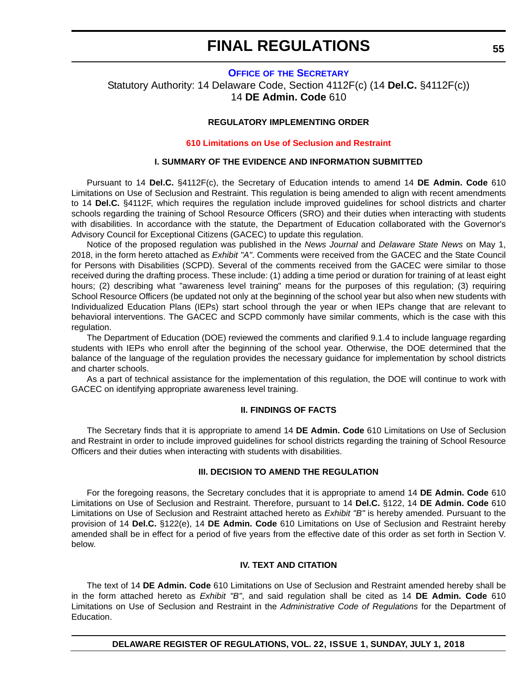### **OFFICE OF [THE SECRETARY](https://www.doe.k12.de.us/domain/9)**

Statutory Authority: 14 Delaware Code, Section 4112F(c) (14 **Del.C.** §4112F(c)) 14 **DE Admin. Code** 610

## **REGULATORY IMPLEMENTING ORDER**

#### **[610 Limitations on Use of Seclusion and Restraint](#page-4-0)**

#### **I. SUMMARY OF THE EVIDENCE AND INFORMATION SUBMITTED**

Pursuant to 14 **Del.C.** §4112F(c), the Secretary of Education intends to amend 14 **DE Admin. Code** 610 Limitations on Use of Seclusion and Restraint. This regulation is being amended to align with recent amendments to 14 **Del.C.** §4112F, which requires the regulation include improved guidelines for school districts and charter schools regarding the training of School Resource Officers (SRO) and their duties when interacting with students with disabilities. In accordance with the statute, the Department of Education collaborated with the Governor's Advisory Council for Exceptional Citizens (GACEC) to update this regulation.

Notice of the proposed regulation was published in the *News Journal* and *Delaware State News* on May 1, 2018, in the form hereto attached as *Exhibit "A"*. Comments were received from the GACEC and the State Council for Persons with Disabilities (SCPD). Several of the comments received from the GACEC were similar to those received during the drafting process. These include: (1) adding a time period or duration for training of at least eight hours; (2) describing what "awareness level training" means for the purposes of this regulation; (3) requiring School Resource Officers (be updated not only at the beginning of the school year but also when new students with Individualized Education Plans (IEPs) start school through the year or when IEPs change that are relevant to behavioral interventions. The GACEC and SCPD commonly have similar comments, which is the case with this regulation.

The Department of Education (DOE) reviewed the comments and clarified 9.1.4 to include language regarding students with IEPs who enroll after the beginning of the school year. Otherwise, the DOE determined that the balance of the language of the regulation provides the necessary guidance for implementation by school districts and charter schools.

As a part of technical assistance for the implementation of this regulation, the DOE will continue to work with GACEC on identifying appropriate awareness level training.

## **II. FINDINGS OF FACTS**

The Secretary finds that it is appropriate to amend 14 **DE Admin. Code** 610 Limitations on Use of Seclusion and Restraint in order to include improved guidelines for school districts regarding the training of School Resource Officers and their duties when interacting with students with disabilities.

#### **III. DECISION TO AMEND THE REGULATION**

For the foregoing reasons, the Secretary concludes that it is appropriate to amend 14 **DE Admin. Code** 610 Limitations on Use of Seclusion and Restraint. Therefore, pursuant to 14 **Del.C.** §122, 14 **DE Admin. Code** 610 Limitations on Use of Seclusion and Restraint attached hereto as *Exhibit "B"* is hereby amended. Pursuant to the provision of 14 **Del.C.** §122(e), 14 **DE Admin. Code** 610 Limitations on Use of Seclusion and Restraint hereby amended shall be in effect for a period of five years from the effective date of this order as set forth in Section V. below.

## **IV. TEXT AND CITATION**

The text of 14 **DE Admin. Code** 610 Limitations on Use of Seclusion and Restraint amended hereby shall be in the form attached hereto as *Exhibit "B"*, and said regulation shall be cited as 14 **DE Admin. Code** 610 Limitations on Use of Seclusion and Restraint in the *Administrative Code of Regulations* for the Department of Education.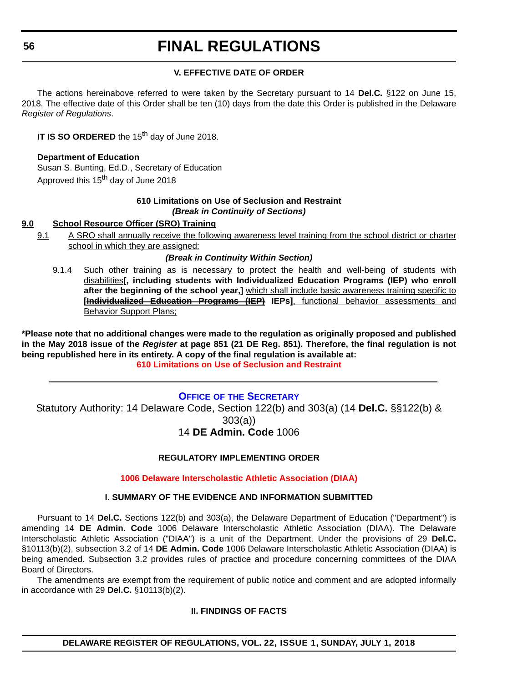## **V. EFFECTIVE DATE OF ORDER**

The actions hereinabove referred to were taken by the Secretary pursuant to 14 **Del.C.** §122 on June 15, 2018. The effective date of this Order shall be ten (10) days from the date this Order is published in the Delaware *Register of Regulations*.

**IT IS SO ORDERED** the 15<sup>th</sup> day of June 2018.

**Department of Education** Susan S. Bunting, Ed.D., Secretary of Education Approved this 15<sup>th</sup> day of June 2018

## **610 Limitations on Use of Seclusion and Restraint** *(Break in Continuity of Sections)*

## **9.0 School Resource Officer (SRO) Training**

9.1 A SRO shall annually receive the following awareness level training from the school district or charter school in which they are assigned:

## *(Break in Continuity Within Section)*

9.1.4 Such other training as is necessary to protect the health and well-being of students with disabilities**[, including students with Individualized Education Programs (IEP) who enroll after the beginning of the school year,]** which shall include basic awareness training specific to **[Individualized Education Programs (IEP) IEPs]**, functional behavior assessments and Behavior Support Plans;

**\*Please note that no additional changes were made to the regulation as originally proposed and published in the May 2018 issue of the** *Register* **at page 851 (21 DE Reg. 851). Therefore, the final regulation is not being republished here in its entirety. A copy of the final regulation is available at: [610 Limitations on Use of Seclusion and Restraint](http://regulations.delaware.gov/register/july2018/final/22 DE Reg 55 07-01-18.htm)** 

## **OFFICE OF [THE SECRETARY](https://www.doe.k12.de.us/domain/9)**

Statutory Authority: 14 Delaware Code, Section 122(b) and 303(a) (14 **Del.C.** §§122(b) & 303(a))

## 14 **DE Admin. Code** 1006

## **REGULATORY IMPLEMENTING ORDER**

## **[1006 Delaware Interscholastic Athletic Association \(DIAA\)](#page-4-0)**

## **I. SUMMARY OF THE EVIDENCE AND INFORMATION SUBMITTED**

Pursuant to 14 **Del.C.** Sections 122(b) and 303(a), the Delaware Department of Education ("Department") is amending 14 **DE Admin. Code** 1006 Delaware Interscholastic Athletic Association (DIAA). The Delaware Interscholastic Athletic Association ("DIAA") is a unit of the Department. Under the provisions of 29 **Del.C.** §10113(b)(2), subsection 3.2 of 14 **DE Admin. Code** 1006 Delaware Interscholastic Athletic Association (DIAA) is being amended. Subsection 3.2 provides rules of practice and procedure concerning committees of the DIAA Board of Directors.

The amendments are exempt from the requirement of public notice and comment and are adopted informally in accordance with 29 **Del.C.** §10113(b)(2).

## **II. FINDINGS OF FACTS**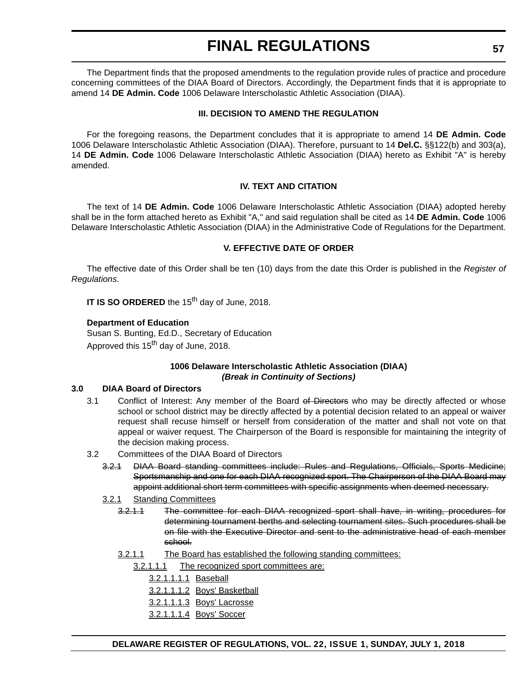The Department finds that the proposed amendments to the regulation provide rules of practice and procedure concerning committees of the DIAA Board of Directors. Accordingly, the Department finds that it is appropriate to amend 14 **DE Admin. Code** 1006 Delaware Interscholastic Athletic Association (DIAA).

## **III. DECISION TO AMEND THE REGULATION**

For the foregoing reasons, the Department concludes that it is appropriate to amend 14 **DE Admin. Code** 1006 Delaware Interscholastic Athletic Association (DIAA). Therefore, pursuant to 14 **Del.C.** §§122(b) and 303(a), 14 **DE Admin. Code** 1006 Delaware Interscholastic Athletic Association (DIAA) hereto as Exhibit "A" is hereby amended.

## **IV. TEXT AND CITATION**

The text of 14 **DE Admin. Code** 1006 Delaware Interscholastic Athletic Association (DIAA) adopted hereby shall be in the form attached hereto as Exhibit "A," and said regulation shall be cited as 14 **DE Admin. Code** 1006 Delaware Interscholastic Athletic Association (DIAA) in the Administrative Code of Regulations for the Department.

## **V. EFFECTIVE DATE OF ORDER**

The effective date of this Order shall be ten (10) days from the date this Order is published in the *Register of Regulations*.

**IT IS SO ORDERED** the 15<sup>th</sup> day of June, 2018.

## **Department of Education**

Susan S. Bunting, Ed.D., Secretary of Education Approved this 15<sup>th</sup> day of June, 2018.

## **1006 Delaware Interscholastic Athletic Association (DIAA)** *(Break in Continuity of Sections)*

#### **3.0 DIAA Board of Directors**

- 3.1 Conflict of Interest: Any member of the Board of Directors who may be directly affected or whose school or school district may be directly affected by a potential decision related to an appeal or waiver request shall recuse himself or herself from consideration of the matter and shall not vote on that appeal or waiver request. The Chairperson of the Board is responsible for maintaining the integrity of the decision making process.
- 3.2 Committees of the DIAA Board of Directors
	- 3.2.1 DIAA Board standing committees include: Rules and Regulations, Officials, Sports Medicine; Sportsmanship and one for each DIAA recognized sport. The Chairperson of the DIAA Board may appoint additional short term committees with specific assignments when deemed necessary.
	- 3.2.1 Standing Committees
		- 3.2.1.1 The committee for each DIAA recognized sport shall have, in writing, procedures for determining tournament berths and selecting tournament sites. Such procedures shall be on file with the Executive Director and sent to the administrative head of each member school.
		- 3.2.1.1 The Board has established the following standing committees:
			- 3.2.1.1.1 The recognized sport committees are:
				- 3.2.1.1.1.1 Baseball
				- 3.2.1.1.1.2 Boys' Basketball
				- 3.2.1.1.1.3 Boys' Lacrosse
				- 3.2.1.1.1.4 Boys' Soccer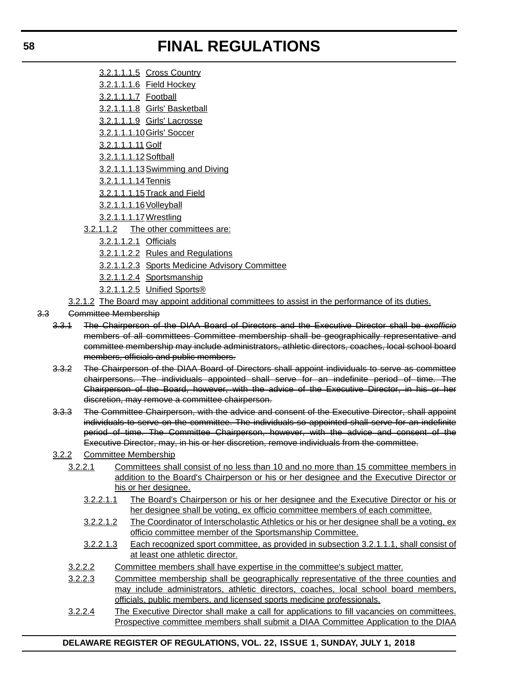- 3.2.1.1.1.5 Cross Country
- 3.2.1.1.1.6 Field Hockey
- 3.2.1.1.1.7 Football
- 3.2.1.1.1.8 Girls' Basketball
- 3.2.1.1.1.9 Girls' Lacrosse
- 3.2.1.1.1.10Girls' Soccer
- 3.2.1.1.1.11 Golf
- 3.2.1.1.1.12Softball
- 3.2.1.1.1.13Swimming and Diving
- 3.2.1.1.1.14Tennis
- 3.2.1.1.1.15Track and Field
- 3.2.1.1.1.16Volleyball
- 3.2.1.1.1.17Wrestling
- 3.2.1.1.2 The other committees are:
	- 3.2.1.1.2.1 Officials
	- 3.2.1.1.2.2 Rules and Regulations
	- 3.2.1.1.2.3 Sports Medicine Advisory Committee
	- 3.2.1.1.2.4 Sportsmanship
	- 3.2.1.1.2.5 Unified Sports®
- 3.2.1.2 The Board may appoint additional committees to assist in the performance of its duties.
- 3.3 Committee Membership
	- 3.3.1 The Chairperson of the DIAA Board of Directors and the Executive Director shall be *exofficio* members of all committees Committee membership shall be geographically representative and committee membership may include administrators, athletic directors, coaches, local school board members, officials and public members.
	- 3.3.2 The Chairperson of the DIAA Board of Directors shall appoint individuals to serve as committee chairpersons. The individuals appointed shall serve for an indefinite period of time. The Chairperson of the Board, however, with the advice of the Executive Director, in his or her discretion, may remove a committee chairperson.
	- 3.3.3 The Committee Chairperson, with the advice and consent of the Executive Director, shall appoint individuals to serve on the committee. The individuals so appointed shall serve for an indefinite period of time. The Committee Chairperson, however, with the advice and consent of the Executive Director, may, in his or her discretion, remove individuals from the committee.
	- 3.2.2 Committee Membership
		- 3.2.2.1 Committees shall consist of no less than 10 and no more than 15 committee members in addition to the Board's Chairperson or his or her designee and the Executive Director or his or her designee.
			- 3.2.2.1.1 The Board's Chairperson or his or her designee and the Executive Director or his or her designee shall be voting, ex officio committee members of each committee.
			- 3.2.2.1.2 The Coordinator of Interscholastic Athletics or his or her designee shall be a voting, ex officio committee member of the Sportsmanship Committee.
			- 3.2.2.1.3 Each recognized sport committee, as provided in subsection 3.2.1.1.1, shall consist of at least one athletic director.
		- 3.2.2.2 Committee members shall have expertise in the committee's subject matter.
		- 3.2.2.3 Committee membership shall be geographically representative of the three counties and may include administrators, athletic directors, coaches, local school board members, officials, public members, and licensed sports medicine professionals.
		- 3.2.2.4 The Executive Director shall make a call for applications to fill vacancies on committees. Prospective committee members shall submit a DIAA Committee Application to the DIAA

## **DELAWARE REGISTER OF REGULATIONS, VOL. 22, ISSUE 1, SUNDAY, JULY 1, 2018**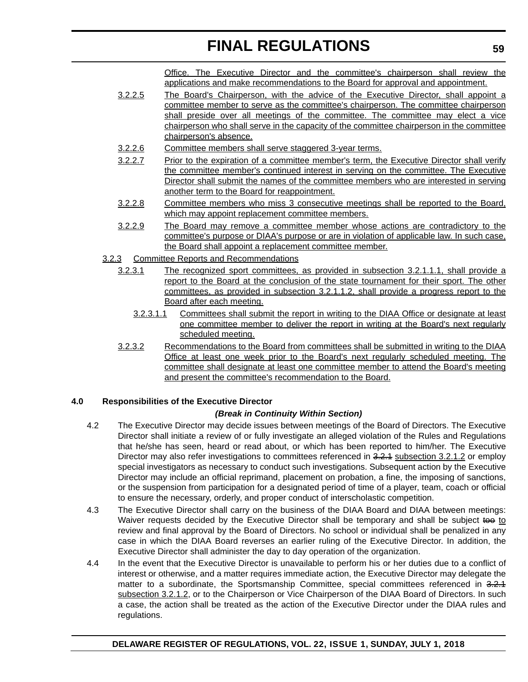Office. The Executive Director and the committee's chairperson shall review the applications and make recommendations to the Board for approval and appointment.

- 3.2.2.5 The Board's Chairperson, with the advice of the Executive Director, shall appoint a committee member to serve as the committee's chairperson. The committee chairperson shall preside over all meetings of the committee. The committee may elect a vice chairperson who shall serve in the capacity of the committee chairperson in the committee chairperson's absence.
- 3.2.2.6 Committee members shall serve staggered 3-year terms.
- 3.2.2.7 Prior to the expiration of a committee member's term, the Executive Director shall verify the committee member's continued interest in serving on the committee. The Executive Director shall submit the names of the committee members who are interested in serving another term to the Board for reappointment.
- 3.2.2.8 Committee members who miss 3 consecutive meetings shall be reported to the Board, which may appoint replacement committee members.
- 3.2.2.9 The Board may remove a committee member whose actions are contradictory to the committee's purpose or DIAA's purpose or are in violation of applicable law. In such case, the Board shall appoint a replacement committee member.
- 3.2.3 Committee Reports and Recommendations
	- 3.2.3.1 The recognized sport committees, as provided in subsection 3.2.1.1.1, shall provide a report to the Board at the conclusion of the state tournament for their sport. The other committees, as provided in subsection 3.2.1.1.2, shall provide a progress report to the Board after each meeting.
		- 3.2.3.1.1 Committees shall submit the report in writing to the DIAA Office or designate at least one committee member to deliver the report in writing at the Board's next regularly scheduled meeting.
	- 3.2.3.2 Recommendations to the Board from committees shall be submitted in writing to the DIAA Office at least one week prior to the Board's next regularly scheduled meeting. The committee shall designate at least one committee member to attend the Board's meeting and present the committee's recommendation to the Board.

## **4.0 Responsibilities of the Executive Director**

#### *(Break in Continuity Within Section)*

- 4.2 The Executive Director may decide issues between meetings of the Board of Directors. The Executive Director shall initiate a review of or fully investigate an alleged violation of the Rules and Regulations that he/she has seen, heard or read about, or which has been reported to him/her. The Executive Director may also refer investigations to committees referenced in 3.2.4 subsection 3.2.1.2 or employ special investigators as necessary to conduct such investigations. Subsequent action by the Executive Director may include an official reprimand, placement on probation, a fine, the imposing of sanctions, or the suspension from participation for a designated period of time of a player, team, coach or official to ensure the necessary, orderly, and proper conduct of interscholastic competition.
- 4.3 The Executive Director shall carry on the business of the DIAA Board and DIAA between meetings: Waiver requests decided by the Executive Director shall be temporary and shall be subject too to review and final approval by the Board of Directors. No school or individual shall be penalized in any case in which the DIAA Board reverses an earlier ruling of the Executive Director. In addition, the Executive Director shall administer the day to day operation of the organization.
- 4.4 In the event that the Executive Director is unavailable to perform his or her duties due to a conflict of interest or otherwise, and a matter requires immediate action, the Executive Director may delegate the matter to a subordinate, the Sportsmanship Committee, special committees referenced in 3.2.1 subsection 3.2.1.2, or to the Chairperson or Vice Chairperson of the DIAA Board of Directors. In such a case, the action shall be treated as the action of the Executive Director under the DIAA rules and regulations.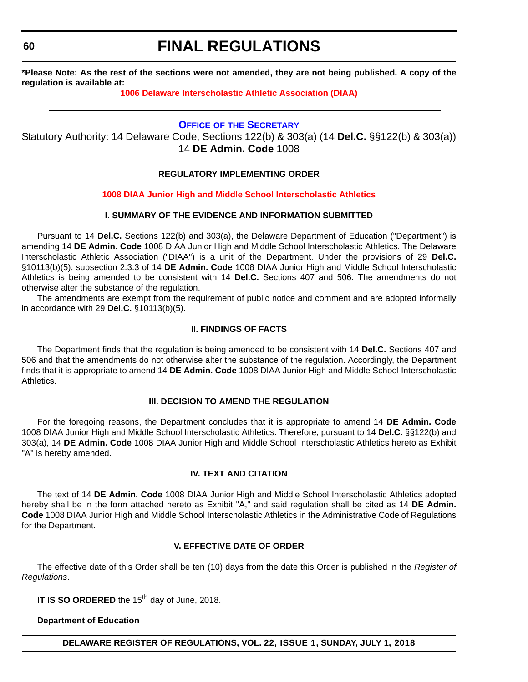**60**

## **FINAL REGULATIONS**

**\*Please Note: As the rest of the sections were not amended, they are not being published. A copy of the regulation is available at:**

## **[1006 Delaware Interscholastic Athletic Association \(DIAA\)](http://regulations.delaware.gov/register/july2018/final/22 DE Reg 56 07-01-18.htm)**

## **OFFICE OF [THE SECRETARY](https://www.doe.k12.de.us/domain/9)**

Statutory Authority: 14 Delaware Code, Sections 122(b) & 303(a) (14 **Del.C.** §§122(b) & 303(a)) 14 **DE Admin. Code** 1008

## **REGULATORY IMPLEMENTING ORDER**

## **[1008 DIAA Junior High and Middle School Interscholastic Athletics](#page-4-0)**

## **I. SUMMARY OF THE EVIDENCE AND INFORMATION SUBMITTED**

Pursuant to 14 Del.C. Sections 122(b) and 303(a), the Delaware Department of Education ("Department") is amending 14 **DE Admin. Code** 1008 DIAA Junior High and Middle School Interscholastic Athletics. The Delaware Interscholastic Athletic Association ("DIAA") is a unit of the Department. Under the provisions of 29 **Del.C.** §10113(b)(5), subsection 2.3.3 of 14 **DE Admin. Code** 1008 DIAA Junior High and Middle School Interscholastic Athletics is being amended to be consistent with 14 **Del.C.** Sections 407 and 506. The amendments do not otherwise alter the substance of the regulation.

The amendments are exempt from the requirement of public notice and comment and are adopted informally in accordance with 29 **Del.C.** §10113(b)(5).

## **II. FINDINGS OF FACTS**

The Department finds that the regulation is being amended to be consistent with 14 **Del.C.** Sections 407 and 506 and that the amendments do not otherwise alter the substance of the regulation. Accordingly, the Department finds that it is appropriate to amend 14 **DE Admin. Code** 1008 DIAA Junior High and Middle School Interscholastic Athletics.

#### **III. DECISION TO AMEND THE REGULATION**

For the foregoing reasons, the Department concludes that it is appropriate to amend 14 **DE Admin. Code** 1008 DIAA Junior High and Middle School Interscholastic Athletics. Therefore, pursuant to 14 **Del.C.** §§122(b) and 303(a), 14 **DE Admin. Code** 1008 DIAA Junior High and Middle School Interscholastic Athletics hereto as Exhibit "A" is hereby amended.

## **IV. TEXT AND CITATION**

The text of 14 **DE Admin. Code** 1008 DIAA Junior High and Middle School Interscholastic Athletics adopted hereby shall be in the form attached hereto as Exhibit "A," and said regulation shall be cited as 14 **DE Admin. Code** 1008 DIAA Junior High and Middle School Interscholastic Athletics in the Administrative Code of Regulations for the Department.

## **V. EFFECTIVE DATE OF ORDER**

The effective date of this Order shall be ten (10) days from the date this Order is published in the *Register of Regulations*.

**IT IS SO ORDERED** the 15<sup>th</sup> day of June, 2018.

#### **Department of Education**

**DELAWARE REGISTER OF REGULATIONS, VOL. 22, ISSUE 1, SUNDAY, JULY 1, 2018**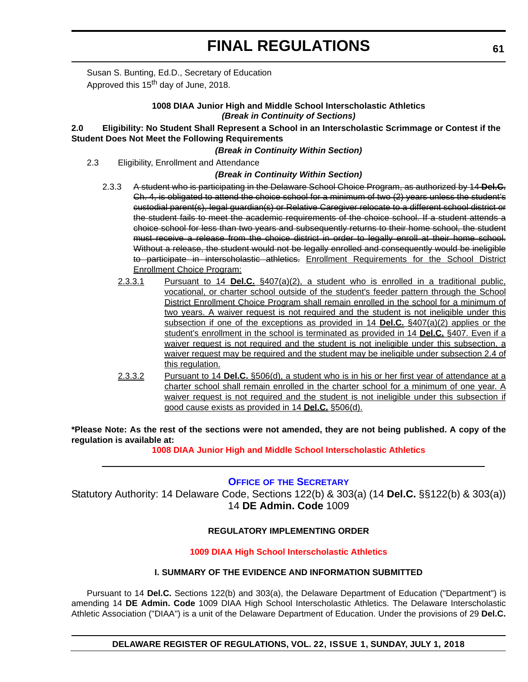Susan S. Bunting, Ed.D., Secretary of Education Approved this 15<sup>th</sup> day of June, 2018.

## **1008 DIAA Junior High and Middle School Interscholastic Athletics** *(Break in Continuity of Sections)*

## **2.0 Eligibility: No Student Shall Represent a School in an Interscholastic Scrimmage or Contest if the Student Does Not Meet the Following Requirements**

## *(Break in Continuity Within Section)*

2.3 Eligibility, Enrollment and Attendance

## *(Break in Continuity Within Section)*

- 2.3.3 A student who is participating in the Delaware School Choice Program, as authorized by 14 **Del.C.** Ch. 4, is obligated to attend the choice school for a minimum of two (2) years unless the student's custodial parent(s), legal guardian(s) or Relative Caregiver relocate to a different school district or the student fails to meet the academic requirements of the choice school. If a student attends a choice school for less than two years and subsequently returns to their home school, the student must receive a release from the choice district in order to legally enroll at their home school. Without a release, the student would not be legally enrolled and consequently would be ineligible to participate in interscholastic athletics. Enrollment Requirements for the School District Enrollment Choice Program:
	- 2.3.3.1 Pursuant to 14 **Del.C.** §407(a)(2), a student who is enrolled in a traditional public, vocational, or charter school outside of the student's feeder pattern through the School District Enrollment Choice Program shall remain enrolled in the school for a minimum of two years. A waiver request is not required and the student is not ineligible under this subsection if one of the exceptions as provided in 14 **Del.C.** §407(a)(2) applies or the student's enrollment in the school is terminated as provided in 14 **Del.C.** §407. Even if a waiver request is not required and the student is not ineligible under this subsection, a waiver request may be required and the student may be ineligible under subsection 2.4 of this regulation.
	- 2.3.3.2 Pursuant to 14 **Del.C.** §506(d), a student who is in his or her first year of attendance at a charter school shall remain enrolled in the charter school for a minimum of one year. A waiver request is not required and the student is not ineligible under this subsection if good cause exists as provided in 14 **Del.C.** §506(d).

**\*Please Note: As the rest of the sections were not amended, they are not being published. A copy of the regulation is available at:**

**[1008 DIAA Junior High and Middle School Interscholastic Athletics](http://regulations.delaware.gov/register/july2018/final/22 DE Reg 60 07-01-18.htm)** 

## **OFFICE OF [THE SECRETARY](https://www.doe.k12.de.us/domain/9)**

Statutory Authority: 14 Delaware Code, Sections 122(b) & 303(a) (14 **Del.C.** §§122(b) & 303(a)) 14 **DE Admin. Code** 1009

## **REGULATORY IMPLEMENTING ORDER**

## **[1009 DIAA High School Interscholastic Athletics](#page-4-0)**

#### **I. SUMMARY OF THE EVIDENCE AND INFORMATION SUBMITTED**

Pursuant to 14 **Del.C.** Sections 122(b) and 303(a), the Delaware Department of Education ("Department") is amending 14 **DE Admin. Code** 1009 DIAA High School Interscholastic Athletics. The Delaware Interscholastic Athletic Association ("DIAA") is a unit of the Delaware Department of Education. Under the provisions of 29 **Del.C.**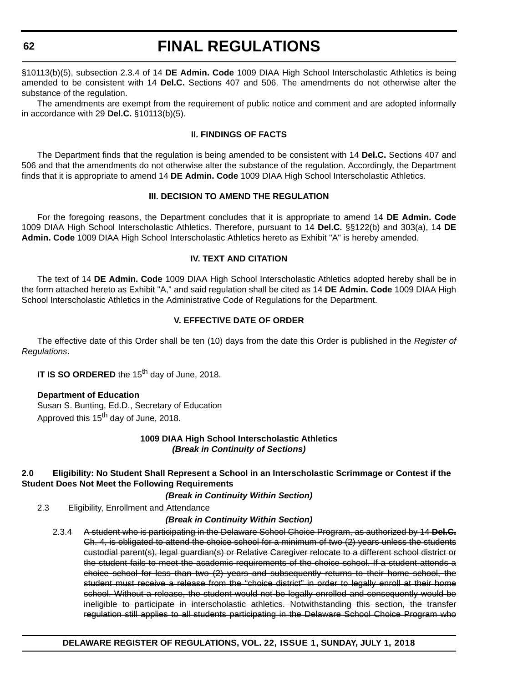**62**

## **FINAL REGULATIONS**

§10113(b)(5), subsection 2.3.4 of 14 **DE Admin. Code** 1009 DIAA High School Interscholastic Athletics is being amended to be consistent with 14 **Del.C.** Sections 407 and 506. The amendments do not otherwise alter the substance of the regulation.

The amendments are exempt from the requirement of public notice and comment and are adopted informally in accordance with 29 **Del.C.** §10113(b)(5).

## **II. FINDINGS OF FACTS**

The Department finds that the regulation is being amended to be consistent with 14 **Del.C.** Sections 407 and 506 and that the amendments do not otherwise alter the substance of the regulation. Accordingly, the Department finds that it is appropriate to amend 14 **DE Admin. Code** 1009 DIAA High School Interscholastic Athletics.

## **III. DECISION TO AMEND THE REGULATION**

For the foregoing reasons, the Department concludes that it is appropriate to amend 14 **DE Admin. Code** 1009 DIAA High School Interscholastic Athletics. Therefore, pursuant to 14 **Del.C.** §§122(b) and 303(a), 14 **DE Admin. Code** 1009 DIAA High School Interscholastic Athletics hereto as Exhibit "A" is hereby amended.

## **IV. TEXT AND CITATION**

The text of 14 **DE Admin. Code** 1009 DIAA High School Interscholastic Athletics adopted hereby shall be in the form attached hereto as Exhibit "A," and said regulation shall be cited as 14 **DE Admin. Code** 1009 DIAA High School Interscholastic Athletics in the Administrative Code of Regulations for the Department.

## **V. EFFECTIVE DATE OF ORDER**

The effective date of this Order shall be ten (10) days from the date this Order is published in the *Register of Regulations*.

**IT IS SO ORDERED** the 15<sup>th</sup> day of June, 2018.

## **Department of Education**

Susan S. Bunting, Ed.D., Secretary of Education Approved this 15<sup>th</sup> day of June, 2018.

## **1009 DIAA High School Interscholastic Athletics** *(Break in Continuity of Sections)*

## **2.0 Eligibility: No Student Shall Represent a School in an Interscholastic Scrimmage or Contest if the Student Does Not Meet the Following Requirements**

#### *(Break in Continuity Within Section)*

2.3 Eligibility, Enrollment and Attendance

## *(Break in Continuity Within Section)*

2.3.4 A student who is participating in the Delaware School Choice Program, as authorized by 14 **Del.C.** Ch. 4, is obligated to attend the choice school for a minimum of two (2) years unless the students custodial parent(s), legal guardian(s) or Relative Caregiver relocate to a different school district or the student fails to meet the academic requirements of the choice school. If a student attends a choice school for less than two (2) years and subsequently returns to their home school, the student must receive a release from the "choice district" in order to legally enroll at their home school. Without a release, the student would not be legally enrolled and consequently would be ineligible to participate in interscholastic athletics. Notwithstanding this section, the transfer regulation still applies to all students participating in the Delaware School Choice Program who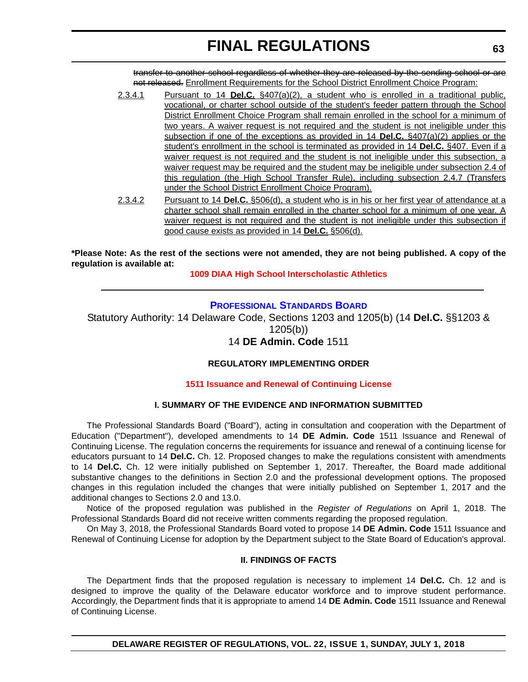transfer to another school regardless of whether they are released by the sending school or are not released. Enrollment Requirements for the School District Enrollment Choice Program:

- 2.3.4.1 Pursuant to 14 **Del.C.** §407(a)(2), a student who is enrolled in a traditional public, vocational, or charter school outside of the student's feeder pattern through the School District Enrollment Choice Program shall remain enrolled in the school for a minimum of two years. A waiver request is not required and the student is not ineligible under this subsection if one of the exceptions as provided in 14 **Del.C.** §407(a)(2) applies or the student's enrollment in the school is terminated as provided in 14 **Del.C.** §407. Even if a waiver request is not required and the student is not ineligible under this subsection, a waiver request may be required and the student may be ineligible under subsection 2.4 of this regulation (the High School Transfer Rule), including subsection 2.4.7 (Transfers under the School District Enrollment Choice Program).
- 2.3.4.2 Pursuant to 14 **Del.C.** §506(d), a student who is in his or her first year of attendance at a charter school shall remain enrolled in the charter school for a minimum of one year. A waiver request is not required and the student is not ineligible under this subsection if good cause exists as provided in 14 **Del.C.** §506(d).

**\*Please Note: As the rest of the sections were not amended, they are not being published. A copy of the regulation is available at:**

**[1009 DIAA High School Interscholastic Athletics](http://regulations.delaware.gov/register/july2018/final/22 DE Reg 61 07-01-18.htm)** 

## **[PROFESSIONAL STANDARDS BOARD](https://pubapps.doe.k12.de.us/EducationalDirectoryPublic/pages/DDOE/WorkGroupStaff.aspx?page=branches&WGID=75&BID=1)**

Statutory Authority: 14 Delaware Code, Sections 1203 and 1205(b) (14 **Del.C.** §§1203 & 1205(b)) 14 **DE Admin. Code** 1511

## **REGULATORY IMPLEMENTING ORDER**

## **[1511 Issuance and Renewal of Continuing License](#page-4-0)**

## **I. SUMMARY OF THE EVIDENCE AND INFORMATION SUBMITTED**

The Professional Standards Board ("Board"), acting in consultation and cooperation with the Department of Education ("Department"), developed amendments to 14 **DE Admin. Code** 1511 Issuance and Renewal of Continuing License. The regulation concerns the requirements for issuance and renewal of a continuing license for educators pursuant to 14 **Del.C.** Ch. 12. Proposed changes to make the regulations consistent with amendments to 14 **Del.C.** Ch. 12 were initially published on September 1, 2017. Thereafter, the Board made additional substantive changes to the definitions in Section 2.0 and the professional development options. The proposed changes in this regulation included the changes that were initially published on September 1, 2017 and the additional changes to Sections 2.0 and 13.0.

Notice of the proposed regulation was published in the *Register of Regulations* on April 1, 2018. The Professional Standards Board did not receive written comments regarding the proposed regulation.

On May 3, 2018, the Professional Standards Board voted to propose 14 **DE Admin. Code** 1511 Issuance and Renewal of Continuing License for adoption by the Department subject to the State Board of Education's approval.

## **II. FINDINGS OF FACTS**

The Department finds that the proposed regulation is necessary to implement 14 **Del.C.** Ch. 12 and is designed to improve the quality of the Delaware educator workforce and to improve student performance. Accordingly, the Department finds that it is appropriate to amend 14 **DE Admin. Code** 1511 Issuance and Renewal of Continuing License.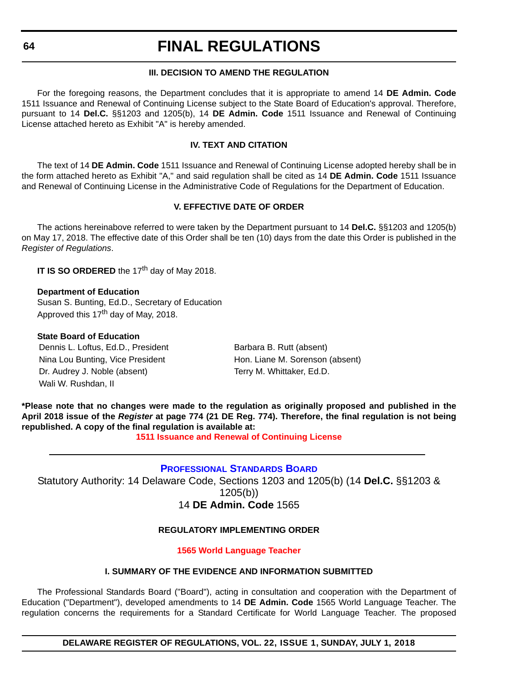## **III. DECISION TO AMEND THE REGULATION**

For the foregoing reasons, the Department concludes that it is appropriate to amend 14 **DE Admin. Code** 1511 Issuance and Renewal of Continuing License subject to the State Board of Education's approval. Therefore, pursuant to 14 **Del.C.** §§1203 and 1205(b), 14 **DE Admin. Code** 1511 Issuance and Renewal of Continuing License attached hereto as Exhibit "A" is hereby amended.

## **IV. TEXT AND CITATION**

The text of 14 **DE Admin. Code** 1511 Issuance and Renewal of Continuing License adopted hereby shall be in the form attached hereto as Exhibit "A," and said regulation shall be cited as 14 **DE Admin. Code** 1511 Issuance and Renewal of Continuing License in the Administrative Code of Regulations for the Department of Education.

## **V. EFFECTIVE DATE OF ORDER**

The actions hereinabove referred to were taken by the Department pursuant to 14 **Del.C.** §§1203 and 1205(b) on May 17, 2018. The effective date of this Order shall be ten (10) days from the date this Order is published in the *Register of Regulations*.

**IT IS SO ORDERED** the 17<sup>th</sup> day of May 2018.

#### **Department of Education**

Susan S. Bunting, Ed.D., Secretary of Education Approved this 17<sup>th</sup> day of May, 2018.

#### **State Board of Education**

Dennis L. Loftus, Ed.D., President Barbara B. Rutt (absent) Nina Lou Bunting, Vice President Hon. Liane M. Sorenson (absent) Dr. Audrey J. Noble (absent) Terry M. Whittaker, Ed.D. Wali W. Rushdan, II

**\*Please note that no changes were made to the regulation as originally proposed and published in the April 2018 issue of the** *Register* **at page 774 (21 DE Reg. 774). Therefore, the final regulation is not being republished. A copy of the final regulation is available at:**

**[1511 Issuance and Renewal of Continuing License](http://regulations.delaware.gov/register/july2018/final/22 DE Reg 63 07-01-18.htm)** 

## **[PROFESSIONAL STANDARDS BOARD](https://pubapps.doe.k12.de.us/EducationalDirectoryPublic/pages/DDOE/WorkGroupStaff.aspx?page=branches&WGID=75&BID=1)**

Statutory Authority: 14 Delaware Code, Sections 1203 and 1205(b) (14 **Del.C.** §§1203 & 1205(b)) 14 **DE Admin. Code** 1565

## **REGULATORY IMPLEMENTING ORDER**

#### **[1565 World Language Teacher](#page-4-0)**

#### **I. SUMMARY OF THE EVIDENCE AND INFORMATION SUBMITTED**

The Professional Standards Board ("Board"), acting in consultation and cooperation with the Department of Education ("Department"), developed amendments to 14 **DE Admin. Code** 1565 World Language Teacher. The regulation concerns the requirements for a Standard Certificate for World Language Teacher. The proposed

**DELAWARE REGISTER OF REGULATIONS, VOL. 22, ISSUE 1, SUNDAY, JULY 1, 2018**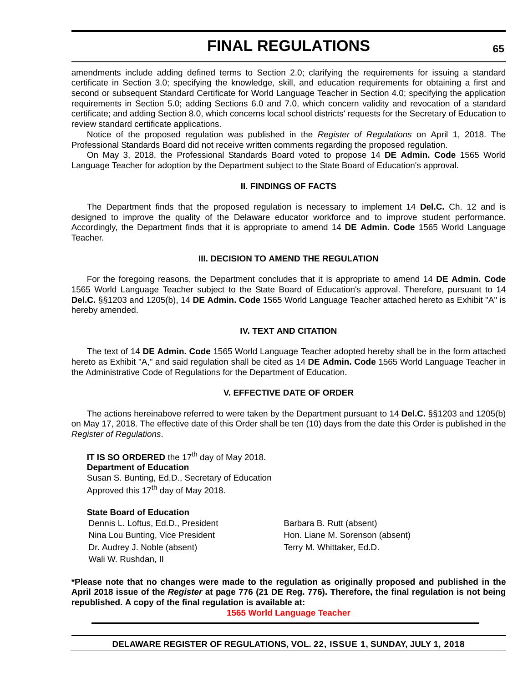amendments include adding defined terms to Section 2.0; clarifying the requirements for issuing a standard certificate in Section 3.0; specifying the knowledge, skill, and education requirements for obtaining a first and second or subsequent Standard Certificate for World Language Teacher in Section 4.0; specifying the application requirements in Section 5.0; adding Sections 6.0 and 7.0, which concern validity and revocation of a standard certificate; and adding Section 8.0, which concerns local school districts' requests for the Secretary of Education to review standard certificate applications.

Notice of the proposed regulation was published in the *Register of Regulations* on April 1, 2018. The Professional Standards Board did not receive written comments regarding the proposed regulation.

On May 3, 2018, the Professional Standards Board voted to propose 14 **DE Admin. Code** 1565 World Language Teacher for adoption by the Department subject to the State Board of Education's approval.

#### **II. FINDINGS OF FACTS**

The Department finds that the proposed regulation is necessary to implement 14 **Del.C.** Ch. 12 and is designed to improve the quality of the Delaware educator workforce and to improve student performance. Accordingly, the Department finds that it is appropriate to amend 14 **DE Admin. Code** 1565 World Language Teacher.

### **III. DECISION TO AMEND THE REGULATION**

For the foregoing reasons, the Department concludes that it is appropriate to amend 14 **DE Admin. Code** 1565 World Language Teacher subject to the State Board of Education's approval. Therefore, pursuant to 14 **Del.C.** §§1203 and 1205(b), 14 **DE Admin. Code** 1565 World Language Teacher attached hereto as Exhibit "A" is hereby amended.

#### **IV. TEXT AND CITATION**

The text of 14 **DE Admin. Code** 1565 World Language Teacher adopted hereby shall be in the form attached hereto as Exhibit "A," and said regulation shall be cited as 14 **DE Admin. Code** 1565 World Language Teacher in the Administrative Code of Regulations for the Department of Education.

## **V. EFFECTIVE DATE OF ORDER**

The actions hereinabove referred to were taken by the Department pursuant to 14 **Del.C.** §§1203 and 1205(b) on May 17, 2018. The effective date of this Order shall be ten (10) days from the date this Order is published in the *Register of Regulations*.

**IT IS SO ORDERED** the 17<sup>th</sup> day of May 2018. **Department of Education** Susan S. Bunting, Ed.D., Secretary of Education Approved this 17<sup>th</sup> day of May 2018.

**State Board of Education** Dennis L. Loftus, Ed.D., President Barbara B. Rutt (absent) Nina Lou Bunting, Vice President Hon. Liane M. Sorenson (absent) Dr. Audrey J. Noble (absent) Terry M. Whittaker, Ed.D. Wali W. Rushdan, II

**\*Please note that no changes were made to the regulation as originally proposed and published in the April 2018 issue of the** *Register* **at page 776 (21 DE Reg. 776). Therefore, the final regulation is not being republished. A copy of the final regulation is available at:**

**[1565 World Language Teacher](http://regulations.delaware.gov/register/july2018/final/22 DE Reg 64 07-01-18.htm)**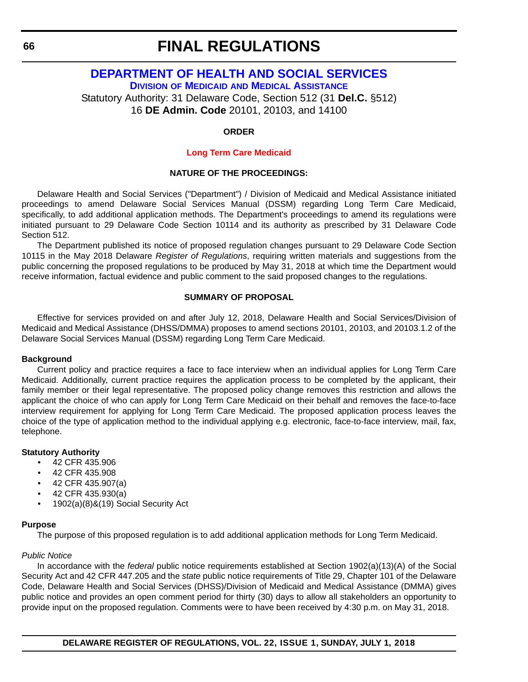## **[DEPARTMENT OF HEALTH AND SOCIAL SERVICES](http://dhss.delaware.gov/dhss/) DIVISION OF MEDICAID [AND MEDICAL ASSISTANCE](http://dhss.delaware.gov/dhss/dmma/)**

Statutory Authority: 31 Delaware Code, Section 512 (31 **Del.C.** §512) 16 **DE Admin. Code** 20101, 20103, and 14100

### **ORDER**

## **[Long Term Care Medicaid](#page-4-0)**

## **NATURE OF THE PROCEEDINGS:**

Delaware Health and Social Services ("Department") / Division of Medicaid and Medical Assistance initiated proceedings to amend Delaware Social Services Manual (DSSM) regarding Long Term Care Medicaid, specifically, to add additional application methods. The Department's proceedings to amend its regulations were initiated pursuant to 29 Delaware Code Section 10114 and its authority as prescribed by 31 Delaware Code Section 512.

The Department published its notice of proposed regulation changes pursuant to 29 Delaware Code Section 10115 in the May 2018 Delaware *Register of Regulations*, requiring written materials and suggestions from the public concerning the proposed regulations to be produced by May 31, 2018 at which time the Department would receive information, factual evidence and public comment to the said proposed changes to the regulations.

#### **SUMMARY OF PROPOSAL**

Effective for services provided on and after July 12, 2018, Delaware Health and Social Services/Division of Medicaid and Medical Assistance (DHSS/DMMA) proposes to amend sections 20101, 20103, and 20103.1.2 of the Delaware Social Services Manual (DSSM) regarding Long Term Care Medicaid.

#### **Background**

Current policy and practice requires a face to face interview when an individual applies for Long Term Care Medicaid. Additionally, current practice requires the application process to be completed by the applicant, their family member or their legal representative. The proposed policy change removes this restriction and allows the applicant the choice of who can apply for Long Term Care Medicaid on their behalf and removes the face-to-face interview requirement for applying for Long Term Care Medicaid. The proposed application process leaves the choice of the type of application method to the individual applying e.g. electronic, face-to-face interview, mail, fax, telephone.

#### **Statutory Authority**

- 42 CFR 435.906
- 42 CFR 435.908
- 42 CFR 435.907(a)
- 42 CFR 435.930(a)
- 1902(a)(8)&(19) Social Security Act

#### **Purpose**

The purpose of this proposed regulation is to add additional application methods for Long Term Medicaid.

## *Public Notice*

In accordance with the *federal* public notice requirements established at Section 1902(a)(13)(A) of the Social Security Act and 42 CFR 447.205 and the *state* public notice requirements of Title 29, Chapter 101 of the Delaware Code, Delaware Health and Social Services (DHSS)/Division of Medicaid and Medical Assistance (DMMA) gives public notice and provides an open comment period for thirty (30) days to allow all stakeholders an opportunity to provide input on the proposed regulation. Comments were to have been received by 4:30 p.m. on May 31, 2018.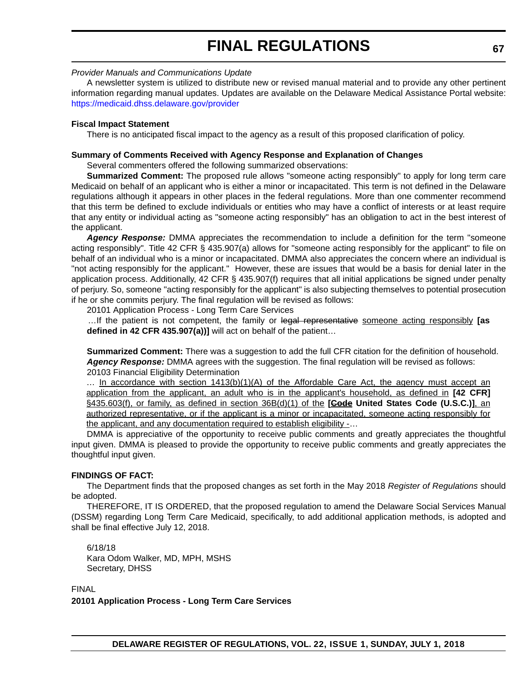## *Provider Manuals and Communications Update*

A newsletter system is utilized to distribute new or revised manual material and to provide any other pertinent information regarding manual updates. Updates are available on the Delaware Medical Assistance Portal website: <https://medicaid.dhss.delaware.gov/provider>

## **Fiscal Impact Statement**

There is no anticipated fiscal impact to the agency as a result of this proposed clarification of policy.

### **Summary of Comments Received with Agency Response and Explanation of Changes**

Several commenters offered the following summarized observations:

**Summarized Comment:** The proposed rule allows "someone acting responsibly" to apply for long term care Medicaid on behalf of an applicant who is either a minor or incapacitated. This term is not defined in the Delaware regulations although it appears in other places in the federal regulations. More than one commenter recommend that this term be defined to exclude individuals or entities who may have a conflict of interests or at least require that any entity or individual acting as "someone acting responsibly" has an obligation to act in the best interest of the applicant.

*Agency Response:* DMMA appreciates the recommendation to include a definition for the term "someone acting responsibly". Title 42 CFR § 435.907(a) allows for "someone acting responsibly for the applicant" to file on behalf of an individual who is a minor or incapacitated. DMMA also appreciates the concern where an individual is "not acting responsibly for the applicant." However, these are issues that would be a basis for denial later in the application process. Additionally, 42 CFR § 435.907(f) requires that all initial applications be signed under penalty of perjury. So, someone "acting responsibly for the applicant" is also subjecting themselves to potential prosecution if he or she commits perjury. The final regulation will be revised as follows:

20101 Application Process - Long Term Care Services

…If the patient is not competent, the family or legal representative someone acting responsibly **[as defined in 42 CFR 435.907(a))]** will act on behalf of the patient…

**Summarized Comment:** There was a suggestion to add the full CFR citation for the definition of household. *Agency Response:* DMMA agrees with the suggestion. The final regulation will be revised as follows: 20103 Financial Eligibility Determination

 $\ldots$  In accordance with section  $1413(b)(1)(A)$  of the Affordable Care Act, the agency must accept an application from the applicant, an adult who is in the applicant's household, as defined in **[42 CFR]** §435.603(f), or family, as defined in section 36B(d)(1) of the **[Gode United States Code (U.S.C.)**], an authorized representative, or if the applicant is a minor or incapacitated, someone acting responsibly for the applicant, and any documentation required to establish eligibility -…

DMMA is appreciative of the opportunity to receive public comments and greatly appreciates the thoughtful input given. DMMA is pleased to provide the opportunity to receive public comments and greatly appreciates the thoughtful input given.

## **FINDINGS OF FACT:**

The Department finds that the proposed changes as set forth in the May 2018 *Register of Regulations* should be adopted.

THEREFORE, IT IS ORDERED, that the proposed regulation to amend the Delaware Social Services Manual (DSSM) regarding Long Term Care Medicaid, specifically, to add additional application methods, is adopted and shall be final effective July 12, 2018.

6/18/18 Kara Odom Walker, MD, MPH, MSHS Secretary, DHSS

FINAL

**20101 Application Process - Long Term Care Services**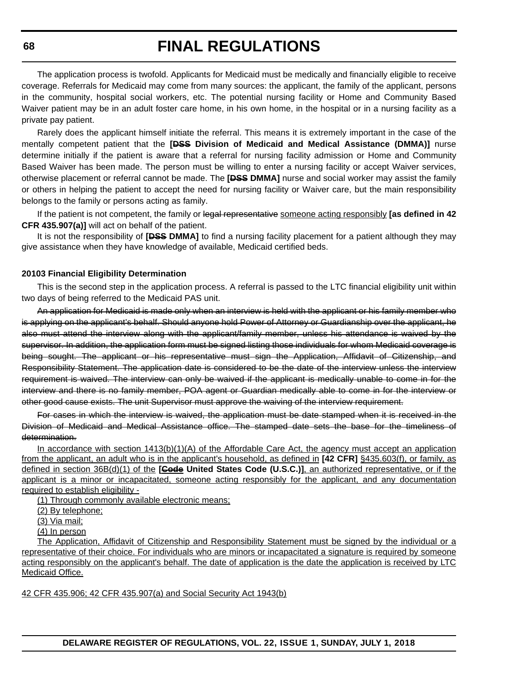The application process is twofold. Applicants for Medicaid must be medically and financially eligible to receive coverage. Referrals for Medicaid may come from many sources: the applicant, the family of the applicant, persons in the community, hospital social workers, etc. The potential nursing facility or Home and Community Based Waiver patient may be in an adult foster care home, in his own home, in the hospital or in a nursing facility as a private pay patient.

Rarely does the applicant himself initiate the referral. This means it is extremely important in the case of the mentally competent patient that the **[DSS Division of Medicaid and Medical Assistance (DMMA)]** nurse determine initially if the patient is aware that a referral for nursing facility admission or Home and Community Based Waiver has been made. The person must be willing to enter a nursing facility or accept Waiver services, otherwise placement or referral cannot be made. The **[DSS DMMA]** nurse and social worker may assist the family or others in helping the patient to accept the need for nursing facility or Waiver care, but the main responsibility belongs to the family or persons acting as family.

If the patient is not competent, the family or legal representative someone acting responsibly **[as defined in 42 CFR 435.907(a)]** will act on behalf of the patient.

It is not the responsibility of **[DSS DMMA]** to find a nursing facility placement for a patient although they may give assistance when they have knowledge of available, Medicaid certified beds.

#### **20103 Financial Eligibility Determination**

This is the second step in the application process. A referral is passed to the LTC financial eligibility unit within two days of being referred to the Medicaid PAS unit.

An application for Medicaid is made only when an interview is held with the applicant or his family member who is applying on the applicant's behalf. Should anyone hold Power of Attorney or Guardianship over the applicant, he also must attend the interview along with the applicant/family member, unless his attendance is waived by the supervisor. In addition, the application form must be signed listing those individuals for whom Medicaid coverage is being sought. The applicant or his representative must sign the Application, Affidavit of Citizenship, and Responsibility Statement. The application date is considered to be the date of the interview unless the interview requirement is waived. The interview can only be waived if the applicant is medically unable to come in for the interview and there is no family member, POA agent or Guardian medically able to come in for the interview or other good cause exists. The unit Supervisor must approve the waiving of the interview requirement.

For cases in which the interview is waived, the application must be date stamped when it is received in the Division of Medicaid and Medical Assistance office. The stamped date sets the base for the timeliness of determination.

In accordance with section 1413(b)(1)(A) of the Affordable Care Act, the agency must accept an application from the applicant, an adult who is in the applicant's household, as defined in **[42 CFR]** §435.603(f), or family, as defined in section 36B(d)(1) of the **[Gode United States Code (U.S.C.)**], an authorized representative, or if the applicant is a minor or incapacitated, someone acting responsibly for the applicant, and any documentation required to establish eligibility -

(1) Through commonly available electronic means;

(2) By telephone;

(3) Via mail;

(4) In person

The Application, Affidavit of Citizenship and Responsibility Statement must be signed by the individual or a representative of their choice. For individuals who are minors or incapacitated a signature is required by someone acting responsibly on the applicant's behalf. The date of application is the date the application is received by LTC Medicaid Office.

42 CFR 435.906; 42 CFR 435.907(a) and Social Security Act 1943(b)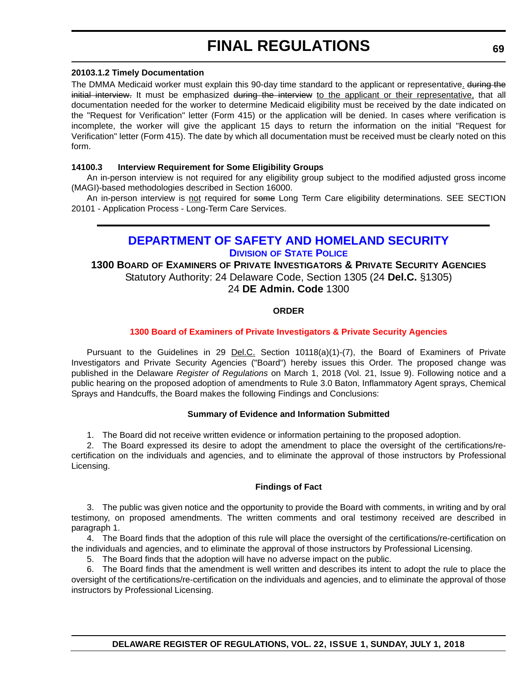### **20103.1.2 Timely Documentation**

The DMMA Medicaid worker must explain this 90-day time standard to the applicant or representative. during the initial interview. It must be emphasized during the interview to the applicant or their representative, that all documentation needed for the worker to determine Medicaid eligibility must be received by the date indicated on the "Request for Verification" letter (Form 415) or the application will be denied. In cases where verification is incomplete, the worker will give the applicant 15 days to return the information on the initial "Request for Verification" letter (Form 415). The date by which all documentation must be received must be clearly noted on this form.

## **14100.3 Interview Requirement for Some Eligibility Groups**

An in-person interview is not required for any eligibility group subject to the modified adjusted gross income (MAGI)-based methodologies described in Section 16000.

An in-person interview is not required for some Long Term Care eligibility determinations. SEE SECTION 20101 - Application Process - Long-Term Care Services.

## **[DEPARTMENT OF SAFETY AND HOMELAND SECURITY](https://dshs.delaware.gov/) DIVISION [OF STATE POLICE](http://dsp.delaware.gov/)**

## **1300 BOARD OF EXAMINERS OF PRIVATE INVESTIGATORS & PRIVATE SECURITY AGENCIES** Statutory Authority: 24 Delaware Code, Section 1305 (24 **Del.C.** §1305) 24 **DE Admin. Code** 1300

## **ORDER**

## **[1300 Board of Examiners of Private Investigators & Private Security Agencies](#page-4-0)**

Pursuant to the Guidelines in 29 Del.C. Section 10118(a)(1)-(7), the Board of Examiners of Private Investigators and Private Security Agencies ("Board") hereby issues this Order. The proposed change was published in the Delaware *Register of Regulations* on March 1, 2018 (Vol. 21, Issue 9). Following notice and a public hearing on the proposed adoption of amendments to Rule 3.0 Baton, Inflammatory Agent sprays, Chemical Sprays and Handcuffs, the Board makes the following Findings and Conclusions:

## **Summary of Evidence and Information Submitted**

1. The Board did not receive written evidence or information pertaining to the proposed adoption.

2. The Board expressed its desire to adopt the amendment to place the oversight of the certifications/recertification on the individuals and agencies, and to eliminate the approval of those instructors by Professional Licensing.

#### **Findings of Fact**

3. The public was given notice and the opportunity to provide the Board with comments, in writing and by oral testimony, on proposed amendments. The written comments and oral testimony received are described in paragraph 1.

4. The Board finds that the adoption of this rule will place the oversight of the certifications/re-certification on the individuals and agencies, and to eliminate the approval of those instructors by Professional Licensing.

5. The Board finds that the adoption will have no adverse impact on the public.

6. The Board finds that the amendment is well written and describes its intent to adopt the rule to place the oversight of the certifications/re-certification on the individuals and agencies, and to eliminate the approval of those instructors by Professional Licensing.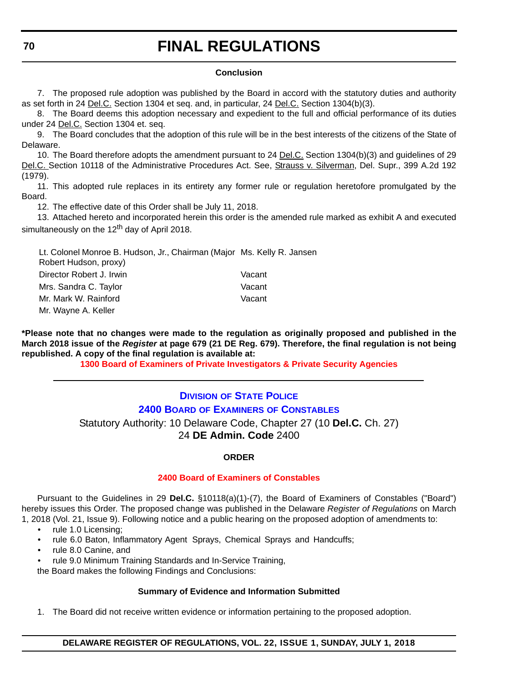## **Conclusion**

7. The proposed rule adoption was published by the Board in accord with the statutory duties and authority as set forth in 24 Del.C. Section 1304 et seq. and, in particular, 24 Del.C. Section 1304(b)(3).

8. The Board deems this adoption necessary and expedient to the full and official performance of its duties under 24 Del.C. Section 1304 et. seq.

9. The Board concludes that the adoption of this rule will be in the best interests of the citizens of the State of Delaware.

10. The Board therefore adopts the amendment pursuant to 24 Del.C. Section 1304(b)(3) and guidelines of 29 Del.C. Section 10118 of the Administrative Procedures Act. See, Strauss v. Silverman, Del. Supr., 399 A.2d 192 (1979).

11. This adopted rule replaces in its entirety any former rule or regulation heretofore promulgated by the Board.

12. The effective date of this Order shall be July 11, 2018.

13. Attached hereto and incorporated herein this order is the amended rule marked as exhibit A and executed simultaneously on the 12<sup>th</sup> day of April 2018.

| Lt. Colonel Monroe B. Hudson, Jr., Chairman (Major Ms. Kelly R. Jansen |        |
|------------------------------------------------------------------------|--------|
| Robert Hudson, proxy)                                                  |        |
| Director Robert J. Irwin                                               | Vacant |
| Mrs. Sandra C. Taylor                                                  | Vacant |
| Mr. Mark W. Rainford                                                   | Vacant |
| Mr. Wayne A. Keller                                                    |        |

**\*Please note that no changes were made to the regulation as originally proposed and published in the March 2018 issue of the** *Register* **at page 679 (21 DE Reg. 679). Therefore, the final regulation is not being republished. A copy of the final regulation is available at:**

**[1300 Board of Examiners of Private Investigators & Private Security Agencies](http://regulations.delaware.gov/register/july2018/final/22 DE Reg 69 07-01-18.htm)** 

## **DIVISION [OF STATE POLICE](http://dsp.delaware.gov/) 2400 BOARD OF EXAMINERS [OF CONSTABLES](http://dsp.delaware.gov/constables.shtml)**

Statutory Authority: 10 Delaware Code, Chapter 27 (10 **Del.C.** Ch. 27)

24 **DE Admin. Code** 2400

## **ORDER**

#### **[2400 Board of Examiners of Constables](#page-4-0)**

Pursuant to the Guidelines in 29 **Del.C.** §10118(a)(1)-(7), the Board of Examiners of Constables ("Board") hereby issues this Order. The proposed change was published in the Delaware *Register of Regulations* on March 1, 2018 (Vol. 21, Issue 9). Following notice and a public hearing on the proposed adoption of amendments to:

- rule 1.0 Licensing;
- rule 6.0 Baton, Inflammatory Agent Sprays, Chemical Sprays and Handcuffs;
- rule 8.0 Canine, and
- rule 9.0 Minimum Training Standards and In-Service Training,

the Board makes the following Findings and Conclusions:

## **Summary of Evidence and Information Submitted**

1. The Board did not receive written evidence or information pertaining to the proposed adoption.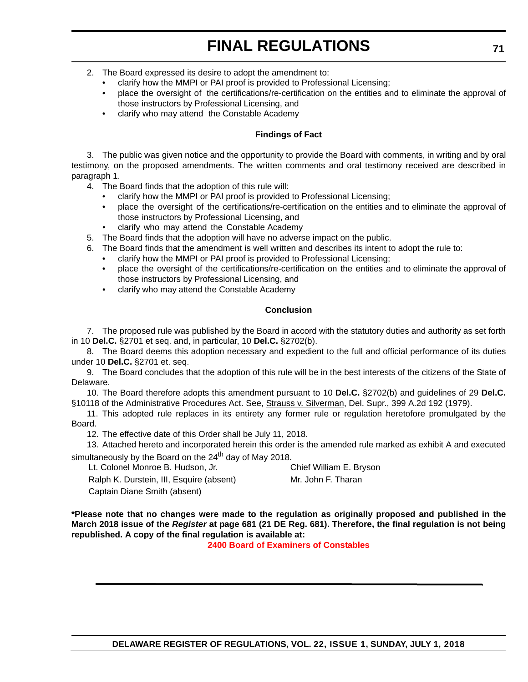- 2. The Board expressed its desire to adopt the amendment to:
	- clarify how the MMPI or PAI proof is provided to Professional Licensing;
	- place the oversight of the certifications/re-certification on the entities and to eliminate the approval of those instructors by Professional Licensing, and
	- clarify who may attend the Constable Academy

### **Findings of Fact**

3. The public was given notice and the opportunity to provide the Board with comments, in writing and by oral testimony, on the proposed amendments. The written comments and oral testimony received are described in paragraph 1.

4. The Board finds that the adoption of this rule will:

- clarify how the MMPI or PAI proof is provided to Professional Licensing;
- place the oversight of the certifications/re-certification on the entities and to eliminate the approval of those instructors by Professional Licensing, and
- clarify who may attend the Constable Academy
- 5. The Board finds that the adoption will have no adverse impact on the public.
- 6. The Board finds that the amendment is well written and describes its intent to adopt the rule to:
	- clarify how the MMPI or PAI proof is provided to Professional Licensing;
	- place the oversight of the certifications/re-certification on the entities and to eliminate the approval of those instructors by Professional Licensing, and
	- clarify who may attend the Constable Academy

## **Conclusion**

7. The proposed rule was published by the Board in accord with the statutory duties and authority as set forth in 10 **Del.C.** §2701 et seq. and, in particular, 10 **Del.C.** §2702(b).

8. The Board deems this adoption necessary and expedient to the full and official performance of its duties under 10 **Del.C.** §2701 et. seq.

9. The Board concludes that the adoption of this rule will be in the best interests of the citizens of the State of Delaware.

10. The Board therefore adopts this amendment pursuant to 10 **Del.C.** §2702(b) and guidelines of 29 **Del.C.** §10118 of the Administrative Procedures Act. See, Strauss v. Silverman, Del. Supr., 399 A.2d 192 (1979).

11. This adopted rule replaces in its entirety any former rule or regulation heretofore promulgated by the Board.

12. The effective date of this Order shall be July 11, 2018.

13. Attached hereto and incorporated herein this order is the amended rule marked as exhibit A and executed simultaneously by the Board on the  $24<sup>th</sup>$  day of May 2018.

Lt. Colonel Monroe B. Hudson, Jr. Chief William E. Bryson

Ralph K. Durstein, III, Esquire (absent) Mr. John F. Tharan Captain Diane Smith (absent)

**\*Please note that no changes were made to the regulation as originally proposed and published in the March 2018 issue of the** *Register* **at page 681 (21 DE Reg. 681). Therefore, the final regulation is not being republished. A copy of the final regulation is available at:**

**[2400 Board of Examiners of Constables](http://regulations.delaware.gov/register/july2018/final/22 DE Reg 70 07-01-18.htm)**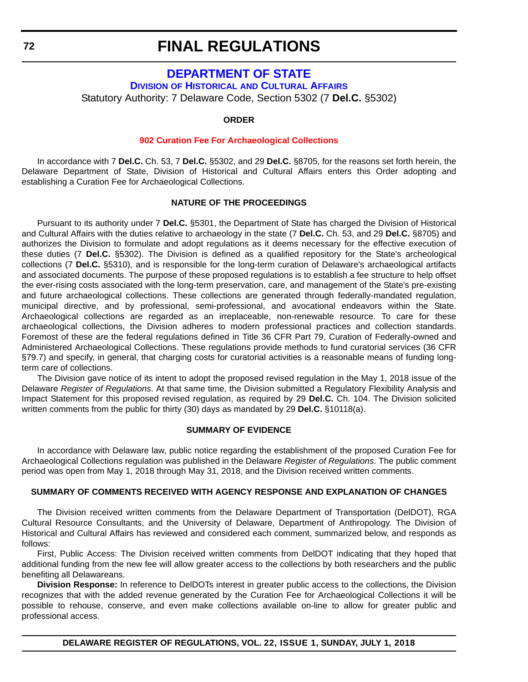## **[DEPARTMENT OF STATE](https://sos.delaware.gov/)**

**DIVISION OF HISTORICAL [AND CULTURAL AFFAIRS](https://history.delaware.gov/)**

Statutory Authority: 7 Delaware Code, Section 5302 (7 **Del.C.** §5302)

### **ORDER**

#### **[902 Curation Fee For Archaeological Collections](#page-4-0)**

In accordance with 7 **Del.C.** Ch. 53, 7 **Del.C.** §5302, and 29 **Del.C.** §8705, for the reasons set forth herein, the Delaware Department of State, Division of Historical and Cultural Affairs enters this Order adopting and establishing a Curation Fee for Archaeological Collections.

#### **NATURE OF THE PROCEEDINGS**

Pursuant to its authority under 7 **Del.C.** §5301, the Department of State has charged the Division of Historical and Cultural Affairs with the duties relative to archaeology in the state (7 **Del.C.** Ch. 53, and 29 **Del.C.** §8705) and authorizes the Division to formulate and adopt regulations as it deems necessary for the effective execution of these duties (7 **Del.C.** §5302). The Division is defined as a qualified repository for the State's archeological collections (7 **Del.C.** §5310), and is responsible for the long-term curation of Delaware's archaeological artifacts and associated documents. The purpose of these proposed regulations is to establish a fee structure to help offset the ever-rising costs associated with the long-term preservation, care, and management of the State's pre-existing and future archaeological collections. These collections are generated through federally-mandated regulation, municipal directive, and by professional, semi-professional, and avocational endeavors within the State. Archaeological collections are regarded as an irreplaceable, non-renewable resource. To care for these archaeological collections, the Division adheres to modern professional practices and collection standards. Foremost of these are the federal regulations defined in Title 36 CFR Part 79, Curation of Federally-owned and Administered Archaeological Collections. These regulations provide methods to fund curatorial services (36 CFR §79.7) and specify, in general, that charging costs for curatorial activities is a reasonable means of funding longterm care of collections.

The Division gave notice of its intent to adopt the proposed revised regulation in the May 1, 2018 issue of the Delaware *Register of Regulations*. At that same time, the Division submitted a Regulatory Flexibility Analysis and Impact Statement for this proposed revised regulation, as required by 29 **Del.C.** Ch. 104. The Division solicited written comments from the public for thirty (30) days as mandated by 29 **Del.C.** §10118(a).

#### **SUMMARY OF EVIDENCE**

In accordance with Delaware law, public notice regarding the establishment of the proposed Curation Fee for Archaeological Collections regulation was published in the Delaware *Register of Regulations*. The public comment period was open from May 1, 2018 through May 31, 2018, and the Division received written comments.

#### **SUMMARY OF COMMENTS RECEIVED WITH AGENCY RESPONSE AND EXPLANATION OF CHANGES**

The Division received written comments from the Delaware Department of Transportation (DelDOT), RGA Cultural Resource Consultants, and the University of Delaware, Department of Anthropology. The Division of Historical and Cultural Affairs has reviewed and considered each comment, summarized below, and responds as follows:

First, Public Access: The Division received written comments from DelDOT indicating that they hoped that additional funding from the new fee will allow greater access to the collections by both researchers and the public benefiting all Delawareans.

**Division Response:** In reference to DelDOTs interest in greater public access to the collections, the Division recognizes that with the added revenue generated by the Curation Fee for Archaeological Collections it will be possible to rehouse, conserve, and even make collections available on-line to allow for greater public and professional access.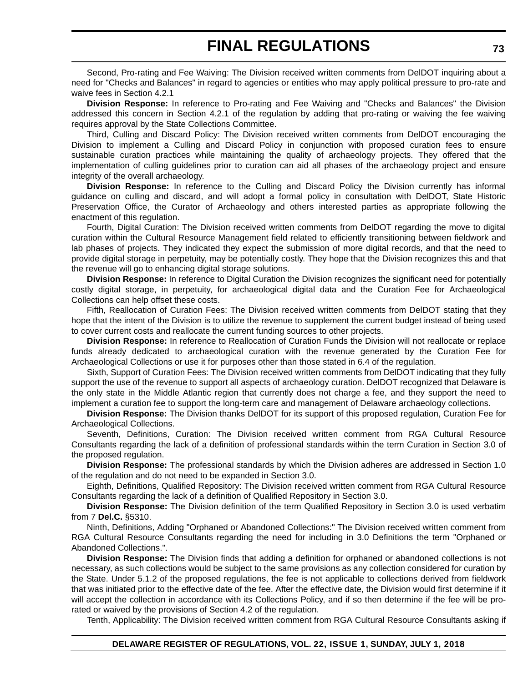Second, Pro-rating and Fee Waiving: The Division received written comments from DelDOT inquiring about a need for "Checks and Balances" in regard to agencies or entities who may apply political pressure to pro-rate and waive fees in Section 4.2.1

**Division Response:** In reference to Pro-rating and Fee Waiving and "Checks and Balances" the Division addressed this concern in Section 4.2.1 of the regulation by adding that pro-rating or waiving the fee waiving requires approval by the State Collections Committee.

Third, Culling and Discard Policy: The Division received written comments from DelDOT encouraging the Division to implement a Culling and Discard Policy in conjunction with proposed curation fees to ensure sustainable curation practices while maintaining the quality of archaeology projects. They offered that the implementation of culling guidelines prior to curation can aid all phases of the archaeology project and ensure integrity of the overall archaeology.

**Division Response:** In reference to the Culling and Discard Policy the Division currently has informal guidance on culling and discard, and will adopt a formal policy in consultation with DelDOT, State Historic Preservation Office, the Curator of Archaeology and others interested parties as appropriate following the enactment of this regulation.

Fourth, Digital Curation: The Division received written comments from DelDOT regarding the move to digital curation within the Cultural Resource Management field related to efficiently transitioning between fieldwork and lab phases of projects. They indicated they expect the submission of more digital records, and that the need to provide digital storage in perpetuity, may be potentially costly. They hope that the Division recognizes this and that the revenue will go to enhancing digital storage solutions.

**Division Response:** In reference to Digital Curation the Division recognizes the significant need for potentially costly digital storage, in perpetuity, for archaeological digital data and the Curation Fee for Archaeological Collections can help offset these costs.

Fifth, Reallocation of Curation Fees: The Division received written comments from DelDOT stating that they hope that the intent of the Division is to utilize the revenue to supplement the current budget instead of being used to cover current costs and reallocate the current funding sources to other projects.

**Division Response:** In reference to Reallocation of Curation Funds the Division will not reallocate or replace funds already dedicated to archaeological curation with the revenue generated by the Curation Fee for Archaeological Collections or use it for purposes other than those stated in 6.4 of the regulation.

Sixth, Support of Curation Fees: The Division received written comments from DelDOT indicating that they fully support the use of the revenue to support all aspects of archaeology curation. DelDOT recognized that Delaware is the only state in the Middle Atlantic region that currently does not charge a fee, and they support the need to implement a curation fee to support the long-term care and management of Delaware archaeology collections.

**Division Response:** The Division thanks DelDOT for its support of this proposed regulation, Curation Fee for Archaeological Collections.

Seventh, Definitions, Curation: The Division received written comment from RGA Cultural Resource Consultants regarding the lack of a definition of professional standards within the term Curation in Section 3.0 of the proposed regulation.

**Division Response:** The professional standards by which the Division adheres are addressed in Section 1.0 of the regulation and do not need to be expanded in Section 3.0.

Eighth, Definitions, Qualified Repository: The Division received written comment from RGA Cultural Resource Consultants regarding the lack of a definition of Qualified Repository in Section 3.0.

**Division Response:** The Division definition of the term Qualified Repository in Section 3.0 is used verbatim from 7 **Del.C.** §5310.

Ninth, Definitions, Adding "Orphaned or Abandoned Collections:" The Division received written comment from RGA Cultural Resource Consultants regarding the need for including in 3.0 Definitions the term "Orphaned or Abandoned Collections.".

**Division Response:** The Division finds that adding a definition for orphaned or abandoned collections is not necessary, as such collections would be subject to the same provisions as any collection considered for curation by the State. Under 5.1.2 of the proposed regulations, the fee is not applicable to collections derived from fieldwork that was initiated prior to the effective date of the fee. After the effective date, the Division would first determine if it will accept the collection in accordance with its Collections Policy, and if so then determine if the fee will be prorated or waived by the provisions of Section 4.2 of the regulation.

Tenth, Applicability: The Division received written comment from RGA Cultural Resource Consultants asking if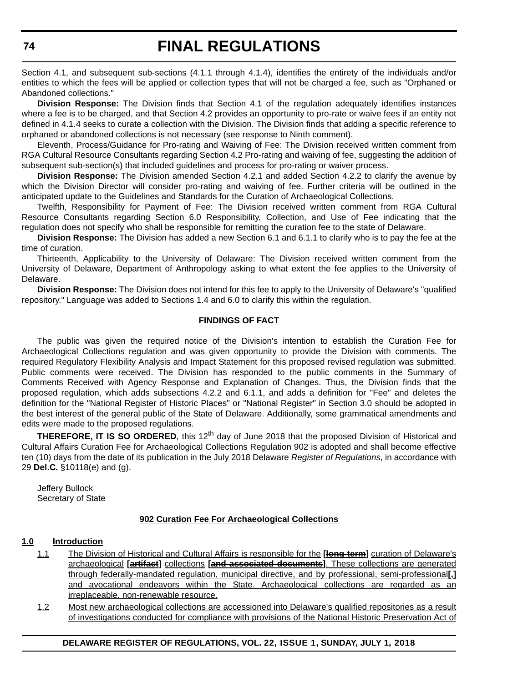Section 4.1, and subsequent sub-sections (4.1.1 through 4.1.4), identifies the entirety of the individuals and/or entities to which the fees will be applied or collection types that will not be charged a fee, such as "Orphaned or Abandoned collections."

**Division Response:** The Division finds that Section 4.1 of the regulation adequately identifies instances where a fee is to be charged, and that Section 4.2 provides an opportunity to pro-rate or waive fees if an entity not defined in 4.1.4 seeks to curate a collection with the Division. The Division finds that adding a specific reference to orphaned or abandoned collections is not necessary (see response to Ninth comment).

Eleventh, Process/Guidance for Pro-rating and Waiving of Fee: The Division received written comment from RGA Cultural Resource Consultants regarding Section 4.2 Pro-rating and waiving of fee, suggesting the addition of subsequent sub-section(s) that included guidelines and process for pro-rating or waiver process.

**Division Response:** The Division amended Section 4.2.1 and added Section 4.2.2 to clarify the avenue by which the Division Director will consider pro-rating and waiving of fee. Further criteria will be outlined in the anticipated update to the Guidelines and Standards for the Curation of Archaeological Collections.

Twelfth, Responsibility for Payment of Fee: The Division received written comment from RGA Cultural Resource Consultants regarding Section 6.0 Responsibility, Collection, and Use of Fee indicating that the regulation does not specify who shall be responsible for remitting the curation fee to the state of Delaware.

**Division Response:** The Division has added a new Section 6.1 and 6.1.1 to clarify who is to pay the fee at the time of curation.

Thirteenth, Applicability to the University of Delaware: The Division received written comment from the University of Delaware, Department of Anthropology asking to what extent the fee applies to the University of Delaware.

**Division Response:** The Division does not intend for this fee to apply to the University of Delaware's "qualified repository." Language was added to Sections 1.4 and 6.0 to clarify this within the regulation.

#### **FINDINGS OF FACT**

The public was given the required notice of the Division's intention to establish the Curation Fee for Archaeological Collections regulation and was given opportunity to provide the Division with comments. The required Regulatory Flexibility Analysis and Impact Statement for this proposed revised regulation was submitted. Public comments were received. The Division has responded to the public comments in the Summary of Comments Received with Agency Response and Explanation of Changes. Thus, the Division finds that the proposed regulation, which adds subsections 4.2.2 and 6.1.1, and adds a definition for "Fee" and deletes the definition for the "National Register of Historic Places" or "National Register" in Section 3.0 should be adopted in the best interest of the general public of the State of Delaware. Additionally, some grammatical amendments and edits were made to the proposed regulations.

**THEREFORE, IT IS SO ORDERED**, this 12<sup>th</sup> day of June 2018 that the proposed Division of Historical and Cultural Affairs Curation Fee for Archaeological Collections Regulation 902 is adopted and shall become effective ten (10) days from the date of its publication in the July 2018 Delaware *Register of Regulations*, in accordance with 29 **Del.C.** §10118(e) and (g).

Jeffery Bullock Secretary of State

#### **902 Curation Fee For Archaeological Collections**

#### **1.0 Introduction**

- 1.1 The Division of Historical and Cultural Affairs is responsible for the **[long-term]** curation of Delaware's archaeological **[artifact]** collections **[and associated documents]**. These collections are generated through federally-mandated regulation, municipal directive, and by professional, semi-professional**[,]** and avocational endeavors within the State. Archaeological collections are regarded as an irreplaceable, non-renewable resource.
- 1.2 Most new archaeological collections are accessioned into Delaware's qualified repositories as a result of investigations conducted for compliance with provisions of the National Historic Preservation Act of

#### **DELAWARE REGISTER OF REGULATIONS, VOL. 22, ISSUE 1, SUNDAY, JULY 1, 2018**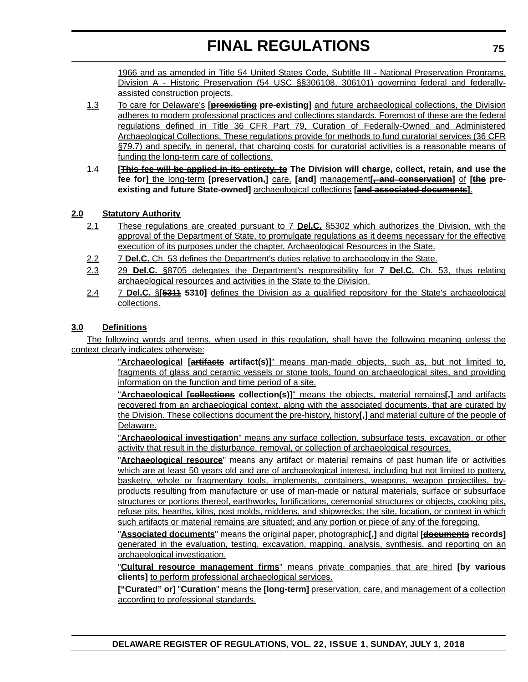1966 and as amended in Title 54 United States Code, Subtitle III - National Preservation Programs, Division A - Historic Preservation (54 USC §§306108, 306101) governing federal and federallyassisted construction projects.

- 1.3 To care for Delaware's **[preexisting pre-existing]** and future archaeological collections, the Division adheres to modern professional practices and collections standards. Foremost of these are the federal regulations defined in Title 36 CFR Part 79, Curation of Federally-Owned and Administered Archaeological Collections. These regulations provide for methods to fund curatorial services (36 CFR §79.7) and specify, in general, that charging costs for curatorial activities is a reasonable means of funding the long-term care of collections.
- 1.4 **[This fee will be applied in its entirety, to The Division will charge, collect, retain, and use the fee for]** the long-term **[preservation,]** care, **[and]** management**[, and conservation]** of **[the preexisting and future State-owned]** archaeological collections **[and associated documents]**.

#### **2.0 Statutory Authority**

- 2.1 These regulations are created pursuant to 7 **Del.C.** §5302 which authorizes the Division, with the approval of the Department of State, to promulgate regulations as it deems necessary for the effective execution of its purposes under the chapter, Archaeological Resources in the State.
- 2.2 7 **Del.C.** Ch. 53 defines the Department's duties relative to archaeology in the State.
- 2.3 29 **Del.C.** §8705 delegates the Department's responsibility for 7 **Del.C.** Ch. 53, thus relating archaeological resources and activities in the State to the Division.
- 2.4 7 **Del.C.** §**[5311 5310]** defines the Division as a qualified repository for the State's archaeological collections.

#### **3.0 Definitions**

The following words and terms, when used in this regulation, shall have the following meaning unless the context clearly indicates otherwise:

> "**Archaeological [artifacts artifact(s)]**" means man-made objects, such as, but not limited to, fragments of glass and ceramic vessels or stone tools, found on archaeological sites, and providing information on the function and time period of a site.

> "**Archaeological [collections collection(s)]**" means the objects, material remains**[,]** and artifacts recovered from an archaeological context, along with the associated documents, that are curated by the Division. These collections document the pre-history, history**[,]** and material culture of the people of Delaware.

> "**Archaeological investigation**" means any surface collection, subsurface tests, excavation, or other activity that result in the disturbance, removal, or collection of archaeological resources.

> "**Archaeological resource**" means any artifact or material remains of past human life or activities which are at least 50 years old and are of archaeological interest, including but not limited to pottery, basketry, whole or fragmentary tools, implements, containers, weapons, weapon projectiles, byproducts resulting from manufacture or use of man-made or natural materials, surface or subsurface structures or portions thereof, earthworks, fortifications, ceremonial structures or objects, cooking pits, refuse pits, hearths, kilns, post molds, middens, and shipwrecks; the site, location, or context in which such artifacts or material remains are situated; and any portion or piece of any of the foregoing.

> "**Associated documents**" means the original paper, photographic**[,]** and digital **[documents records]** generated in the evaluation, testing, excavation, mapping, analysis, synthesis, and reporting on an archaeological investigation.

> "**Cultural resource management firms**" means private companies that are hired **[by various clients]** to perform professional archaeological services.

> **["Curated" or]** "**Curation**" means the **[long-term]** preservation, care, and management of a collection according to professional standards.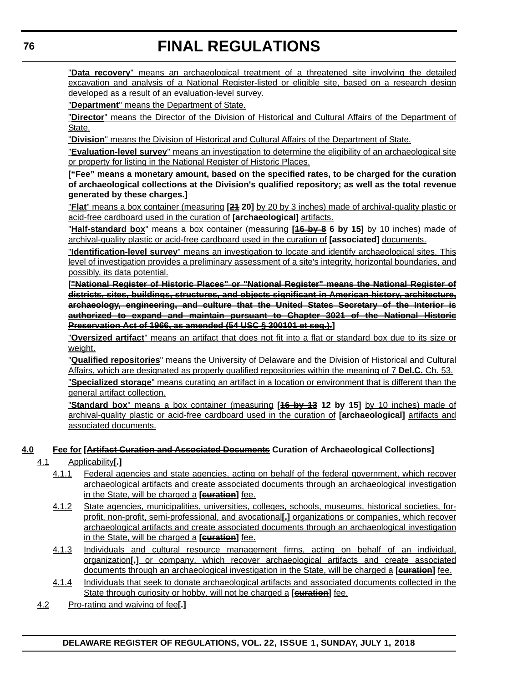"**Data recovery**" means an archaeological treatment of a threatened site involving the detailed excavation and analysis of a National Register-listed or eligible site, based on a research design developed as a result of an evaluation-level survey.

"**Department**" means the Department of State.

"**Director**" means the Director of the Division of Historical and Cultural Affairs of the Department of State.

"**Division**" means the Division of Historical and Cultural Affairs of the Department of State.

"**Evaluation-level survey**" means an investigation to determine the eligibility of an archaeological site or property for listing in the National Register of Historic Places.

**["Fee" means a monetary amount, based on the specified rates, to be charged for the curation of archaeological collections at the Division's qualified repository; as well as the total revenue generated by these charges.]**

"**Flat**" means a box container (measuring **[21 20]** by 20 by 3 inches) made of archival-quality plastic or acid-free cardboard used in the curation of **[archaeological]** artifacts.

"**Half-standard box**" means a box container (measuring **[16 by 8 6 by 15]** by 10 inches) made of archival-quality plastic or acid-free cardboard used in the curation of **[associated]** documents.

"**Identification-level survey**" means an investigation to locate and identify archaeological sites. This level of investigation provides a preliminary assessment of a site's integrity, horizontal boundaries, and possibly, its data potential.

**["National Register of Historic Places" or "National Register" means the National Register of districts, sites, buildings, structures, and objects significant in American history, architecture, archaeology, engineering, and culture that the United States Secretary of the Interior is authorized to expand and maintain pursuant to Chapter 3021 of the National Historic Preservation Act of 1966, as amended (54 USC § 300101 et seq.).]**

"**Oversized artifact**" means an artifact that does not fit into a flat or standard box due to its size or weight.

"**Qualified repositories**" means the University of Delaware and the Division of Historical and Cultural Affairs, which are designated as properly qualified repositories within the meaning of 7 **Del.C.** Ch. 53.

"**Specialized storage**" means curating an artifact in a location or environment that is different than the general artifact collection.

"**Standard box**" means a box container (measuring **[16 by 13 12 by 15]** by 10 inches) made of archival-quality plastic or acid-free cardboard used in the curation of **[archaeological]** artifacts and associated documents.

#### **4.0 Fee for [Artifact Curation and Associated Documents Curation of Archaeological Collections]**

#### 4.1 Applicability**[.]**

- 4.1.1 Federal agencies and state agencies, acting on behalf of the federal government, which recover archaeological artifacts and create associated documents through an archaeological investigation in the State, will be charged a **[curation]** fee.
- 4.1.2 State agencies, municipalities, universities, colleges, schools, museums, historical societies, forprofit, non-profit, semi-professional, and avocational**[,]** organizations or companies, which recover archaeological artifacts and create associated documents through an archaeological investigation in the State, will be charged a **[curation]** fee.
- 4.1.3 Individuals and cultural resource management firms, acting on behalf of an individual, organization**[,]** or company, which recover archaeological artifacts and create associated documents through an archaeological investigation in the State, will be charged a **[curation]** fee.
- 4.1.4 Individuals that seek to donate archaeological artifacts and associated documents collected in the State through curiosity or hobby, will not be charged a **[curation]** fee.
- 4.2 Pro-rating and waiving of fee**[.]**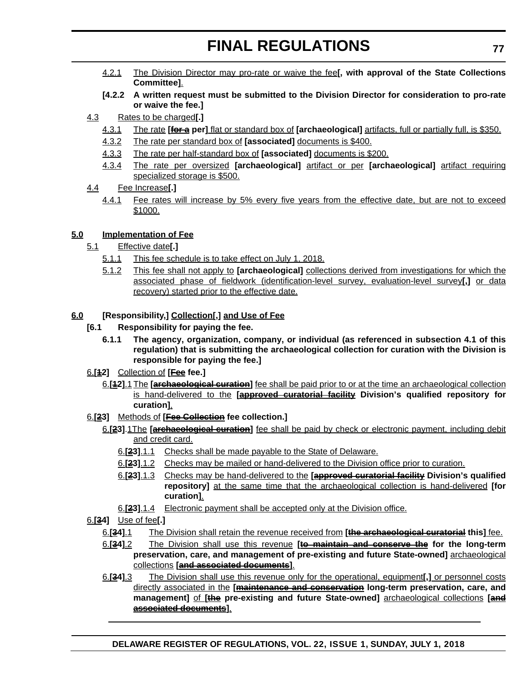- 4.2.1 The Division Director may pro-rate or waive the fee**[, with approval of the State Collections Committee]**.
- **[4.2.2 A written request must be submitted to the Division Director for consideration to pro-rate or waive the fee.]**
- 4.3 Rates to be charged**[.]**
	- 4.3.1 The rate **[for a per]** flat or standard box of **[archaeological]** artifacts, full or partially full, is \$350.
	- 4.3.2 The rate per standard box of **[associated]** documents is \$400.
	- 4.3.3 The rate per half-standard box of **[associated]** documents is \$200.
	- 4.3.4 The rate per oversized **[archaeological]** artifact or per **[archaeological]** artifact requiring specialized storage is \$500.
- 4.4 Fee Increase**[.]**
	- 4.4.1 Fee rates will increase by 5% every five years from the effective date, but are not to exceed \$1000.

#### **5.0 Implementation of Fee**

- 5.1 Effective date**[.]**
	- 5.1.1 This fee schedule is to take effect on July 1, 2018.
	- 5.1.2 This fee shall not apply to **[archaeological]** collections derived from investigations for which the associated phase of fieldwork (identification-level survey, evaluation-level survey**[,]** or data recovery) started prior to the effective date.

#### **6.0 [Responsibility,] Collection[,] and Use of Fee**

- **[6.1 Responsibility for paying the fee.**
	- **6.1.1 The agency, organization, company, or individual (as referenced in subsection 4.1 of this regulation) that is submitting the archaeological collection for curation with the Division is responsible for paying the fee.]**
- 6.**[12]** Collection of **[Fee fee.]**
	- 6.**[12]**.1 The **[archaeological curation]** fee shall be paid prior to or at the time an archaeological collection is hand-delivered to the **[approved curatorial facility Division's qualified repository for curation]**.
- 6.**[23]** Methods of **[Fee Collection fee collection.]**
	- 6.**[23]**.1The **[archaeological curation]** fee shall be paid by check or electronic payment, including debit and credit card.
		- 6.**[23]**.1.1 Checks shall be made payable to the State of Delaware.
		- 6.**[23]**.1.2 Checks may be mailed or hand-delivered to the Division office prior to curation.
		- 6.**[23]**.1.3 Checks may be hand-delivered to the **[approved curatorial facility Division's qualified repository]** at the same time that the archaeological collection is hand-delivered **[for curation]**.
		- 6.**[23]**.1.4 Electronic payment shall be accepted only at the Division office.
- 6.**[34]** Use of fee**[.]**
	- 6.**[34]**.1 The Division shall retain the revenue received from **[the archaeological curatorial this]** fee.
	- 6.**[34]**.2 The Division shall use this revenue **[to maintain and conserve the for the long-term preservation, care, and management of pre-existing and future State-owned]** archaeological collections **[and associated documents]**.
	- 6.**[34]**.3 The Division shall use this revenue only for the operational, equipment**[,]** or personnel costs directly associated in the **[maintenance and conservation long-term preservation, care, and management]** of **[the pre-existing and future State-owned]** archaeological collections **[and associated documents]**.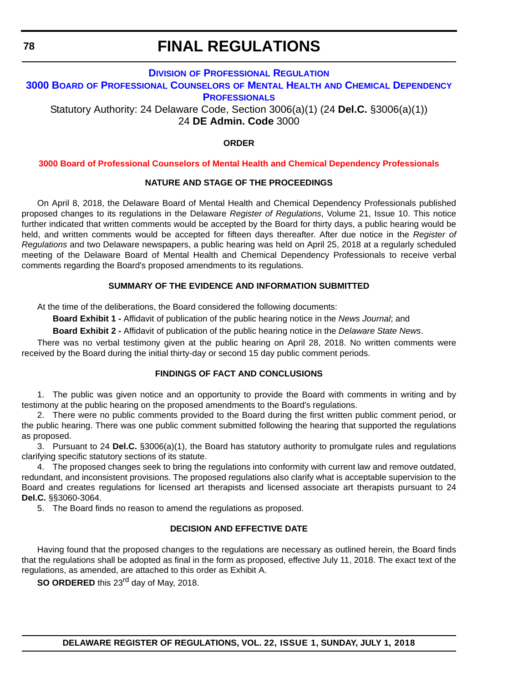#### **DIVISION [OF PROFESSIONAL REGULATION](https://dpr.delaware.gov/) 3000 BOARD [OF PROFESSIONAL COUNSELORS](https://dpr.delaware.gov/boards/profcounselors/) OF MENTAL HEALTH AND CHEMICAL DEPENDENCY PROFESSIONALS**

Statutory Authority: 24 Delaware Code, Section 3006(a)(1) (24 **Del.C.** §3006(a)(1)) 24 **DE Admin. Code** 3000

#### **ORDER**

#### **[3000 Board of Professional Counselors of Mental Health and Chemical Dependency Professionals](#page-4-0)**

#### **NATURE AND STAGE OF THE PROCEEDINGS**

On April 8, 2018, the Delaware Board of Mental Health and Chemical Dependency Professionals published proposed changes to its regulations in the Delaware *Register of Regulations*, Volume 21, Issue 10. This notice further indicated that written comments would be accepted by the Board for thirty days, a public hearing would be held, and written comments would be accepted for fifteen days thereafter. After due notice in the *Register of Regulations* and two Delaware newspapers, a public hearing was held on April 25, 2018 at a regularly scheduled meeting of the Delaware Board of Mental Health and Chemical Dependency Professionals to receive verbal comments regarding the Board's proposed amendments to its regulations.

#### **SUMMARY OF THE EVIDENCE AND INFORMATION SUBMITTED**

At the time of the deliberations, the Board considered the following documents:

**Board Exhibit 1 -** Affidavit of publication of the public hearing notice in the *News Journal*; and

**Board Exhibit 2 -** Affidavit of publication of the public hearing notice in the *Delaware State News*.

There was no verbal testimony given at the public hearing on April 28, 2018. No written comments were received by the Board during the initial thirty-day or second 15 day public comment periods.

#### **FINDINGS OF FACT AND CONCLUSIONS**

1. The public was given notice and an opportunity to provide the Board with comments in writing and by testimony at the public hearing on the proposed amendments to the Board's regulations.

2. There were no public comments provided to the Board during the first written public comment period, or the public hearing. There was one public comment submitted following the hearing that supported the regulations as proposed.

3. Pursuant to 24 **Del.C.** §3006(a)(1), the Board has statutory authority to promulgate rules and regulations clarifying specific statutory sections of its statute.

4. The proposed changes seek to bring the regulations into conformity with current law and remove outdated, redundant, and inconsistent provisions. The proposed regulations also clarify what is acceptable supervision to the Board and creates regulations for licensed art therapists and licensed associate art therapists pursuant to 24 **Del.C.** §§3060-3064.

5. The Board finds no reason to amend the regulations as proposed.

#### **DECISION AND EFFECTIVE DATE**

Having found that the proposed changes to the regulations are necessary as outlined herein, the Board finds that the regulations shall be adopted as final in the form as proposed, effective July 11, 2018. The exact text of the regulations, as amended, are attached to this order as Exhibit A.

**SO ORDERED** this 23<sup>rd</sup> day of May, 2018.

**DELAWARE REGISTER OF REGULATIONS, VOL. 22, ISSUE 1, SUNDAY, JULY 1, 2018**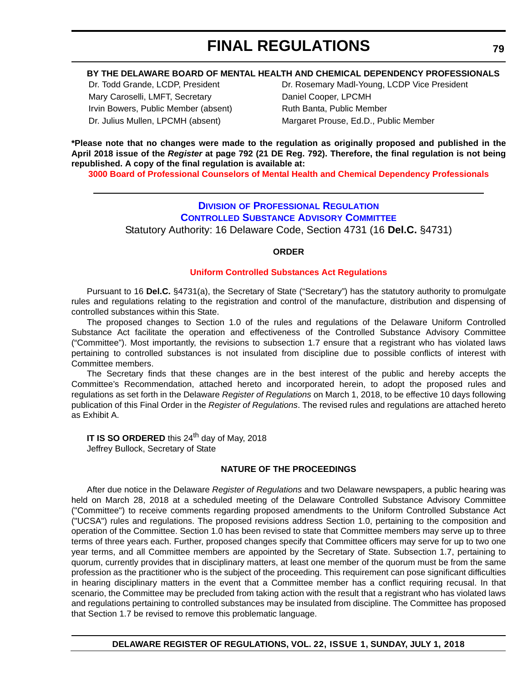#### **BY THE DELAWARE BOARD OF MENTAL HEALTH AND CHEMICAL DEPENDENCY PROFESSIONALS**

Mary Caroselli, LMFT, Secretary Daniel Cooper, LPCMH Irvin Bowers, Public Member (absent) Ruth Banta, Public Member

Dr. Todd Grande, LCDP, President **Dr. Rosemary Madl-Young, LCDP Vice President** Dr. Julius Mullen, LPCMH (absent) Margaret Prouse, Ed.D., Public Member

**\*Please note that no changes were made to the regulation as originally proposed and published in the April 2018 issue of the** *Register* **at page 792 (21 DE Reg. 792). Therefore, the final regulation is not being republished. A copy of the final regulation is available at:**

**[3000 Board of Professional Counselors of Mental Health and Chemical Dependency Professionals](http://regulations.delaware.gov/register/july2018/final/22 DE Reg 78 07-01-18.htm)** 

#### **DIVISION [OF PROFESSIONAL REGULATION](https://dpr.delaware.gov/) [CONTROLLED SUBSTANCE ADVISORY COMMITTEE](https://dpr.delaware.gov/boards/controlledsubstances/)** Statutory Authority: 16 Delaware Code, Section 4731 (16 **Del.C.** §4731)

#### **ORDER**

#### **[Uniform Controlled Substances Act Regulations](#page-4-0)**

Pursuant to 16 **Del.C.** §4731(a), the Secretary of State ("Secretary") has the statutory authority to promulgate rules and regulations relating to the registration and control of the manufacture, distribution and dispensing of controlled substances within this State.

The proposed changes to Section 1.0 of the rules and regulations of the Delaware Uniform Controlled Substance Act facilitate the operation and effectiveness of the Controlled Substance Advisory Committee ("Committee"). Most importantly, the revisions to subsection 1.7 ensure that a registrant who has violated laws pertaining to controlled substances is not insulated from discipline due to possible conflicts of interest with Committee members.

The Secretary finds that these changes are in the best interest of the public and hereby accepts the Committee's Recommendation, attached hereto and incorporated herein, to adopt the proposed rules and regulations as set forth in the Delaware *Register of Regulations* on March 1, 2018, to be effective 10 days following publication of this Final Order in the *Register of Regulations*. The revised rules and regulations are attached hereto as Exhibit A.

**IT IS SO ORDERED** this 24<sup>th</sup> day of May, 2018 Jeffrey Bullock, Secretary of State

#### **NATURE OF THE PROCEEDINGS**

After due notice in the Delaware *Register of Regulations* and two Delaware newspapers, a public hearing was held on March 28, 2018 at a scheduled meeting of the Delaware Controlled Substance Advisory Committee ("Committee") to receive comments regarding proposed amendments to the Uniform Controlled Substance Act ("UCSA") rules and regulations. The proposed revisions address Section 1.0, pertaining to the composition and operation of the Committee. Section 1.0 has been revised to state that Committee members may serve up to three terms of three years each. Further, proposed changes specify that Committee officers may serve for up to two one year terms, and all Committee members are appointed by the Secretary of State. Subsection 1.7, pertaining to quorum, currently provides that in disciplinary matters, at least one member of the quorum must be from the same profession as the practitioner who is the subject of the proceeding. This requirement can pose significant difficulties in hearing disciplinary matters in the event that a Committee member has a conflict requiring recusal. In that scenario, the Committee may be precluded from taking action with the result that a registrant who has violated laws and regulations pertaining to controlled substances may be insulated from discipline. The Committee has proposed that Section 1.7 be revised to remove this problematic language.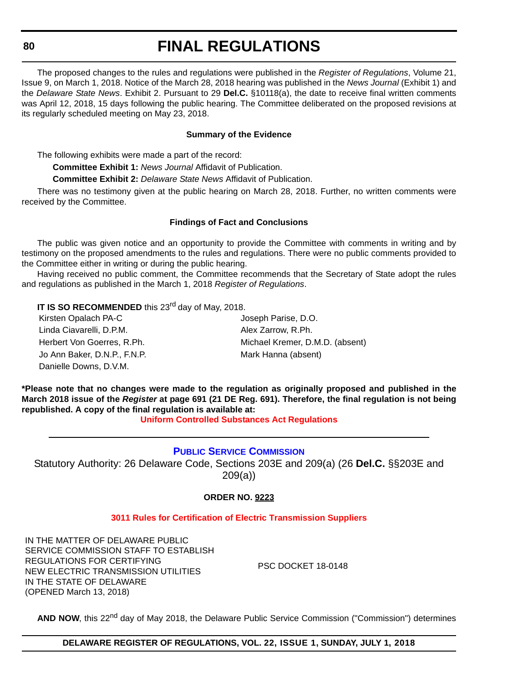The proposed changes to the rules and regulations were published in the *Register of Regulations*, Volume 21, Issue 9, on March 1, 2018. Notice of the March 28, 2018 hearing was published in the *News Journal* (Exhibit 1) and the *Delaware State News*. Exhibit 2. Pursuant to 29 **Del.C.** §10118(a), the date to receive final written comments was April 12, 2018, 15 days following the public hearing. The Committee deliberated on the proposed revisions at its regularly scheduled meeting on May 23, 2018.

#### **Summary of the Evidence**

The following exhibits were made a part of the record:

**Committee Exhibit 1:** *News Journal* Affidavit of Publication.

**Committee Exhibit 2:** *Delaware State News* Affidavit of Publication.

There was no testimony given at the public hearing on March 28, 2018. Further, no written comments were received by the Committee.

#### **Findings of Fact and Conclusions**

The public was given notice and an opportunity to provide the Committee with comments in writing and by testimony on the proposed amendments to the rules and regulations. There were no public comments provided to the Committee either in writing or during the public hearing.

Having received no public comment, the Committee recommends that the Secretary of State adopt the rules and regulations as published in the March 1, 2018 *Register of Regulations*.

**IT IS SO RECOMMENDED** this 23<sup>rd</sup> day of May, 2018.

| Kirsten Opalach PA-C         | Joseph Parise, D.O.             |
|------------------------------|---------------------------------|
| Linda Ciavarelli, D.P.M.     | Alex Zarrow, R.Ph.              |
| Herbert Von Goerres, R.Ph.   | Michael Kremer, D.M.D. (absent) |
| Jo Ann Baker, D.N.P., F.N.P. | Mark Hanna (absent)             |
| Danielle Downs, D.V.M.       |                                 |

**\*Please note that no changes were made to the regulation as originally proposed and published in the March 2018 issue of the** *Register* **at page 691 (21 DE Reg. 691). Therefore, the final regulation is not being republished. A copy of the final regulation is available at:**

**[Uniform Controlled Substances Act Regulations](http://regulations.delaware.gov/register/july2018/final/22 DE Reg 79 07-01-18.htm)** 

#### **[PUBLIC SERVICE COMMISSION](https://depsc.delaware.gov/contact-information/)**

Statutory Authority: 26 Delaware Code, Sections 203E and 209(a) (26 **Del.C.** §§203E and 209(a))

**ORDER NO. 9223**

#### **[3011 Rules for Certification of Electric Transmission Suppliers](#page-4-0)**

IN THE MATTER OF DELAWARE PUBLIC SERVICE COMMISSION STAFF TO ESTABLISH REGULATIONS FOR CERTIFYING NEW ELECTRIC TRANSMISSION UTILITIES IN THE STATE OF DELAWARE (OPENED March 13, 2018)

PSC DOCKET 18-0148

AND NOW, this 22<sup>nd</sup> day of May 2018, the Delaware Public Service Commission ("Commission") determines

**DELAWARE REGISTER OF REGULATIONS, VOL. 22, ISSUE 1, SUNDAY, JULY 1, 2018**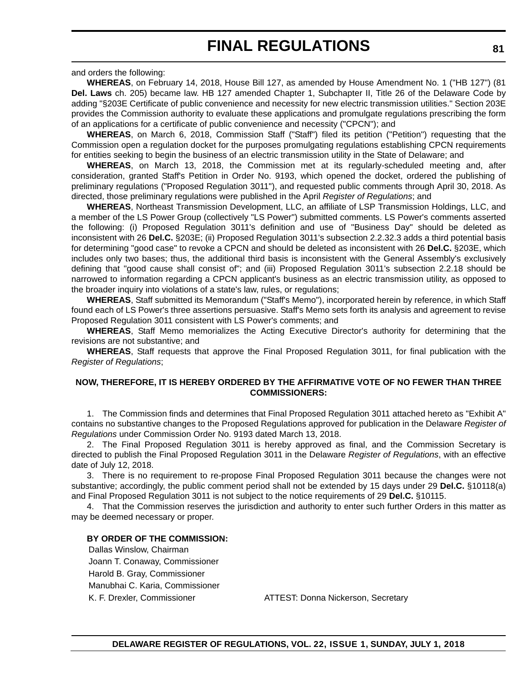and orders the following:

**WHEREAS**, on February 14, 2018, House Bill 127, as amended by House Amendment No. 1 ("HB 127") (81 **Del. Laws** ch. 205) became law. HB 127 amended Chapter 1, Subchapter II, Title 26 of the Delaware Code by adding "§203E Certificate of public convenience and necessity for new electric transmission utilities." Section 203E provides the Commission authority to evaluate these applications and promulgate regulations prescribing the form of an applications for a certificate of public convenience and necessity ("CPCN"); and

**WHEREAS**, on March 6, 2018, Commission Staff ("Staff") filed its petition ("Petition") requesting that the Commission open a regulation docket for the purposes promulgating regulations establishing CPCN requirements for entities seeking to begin the business of an electric transmission utility in the State of Delaware; and

**WHEREAS**, on March 13, 2018, the Commission met at its regularly-scheduled meeting and, after consideration, granted Staff's Petition in Order No. 9193, which opened the docket, ordered the publishing of preliminary regulations ("Proposed Regulation 3011"), and requested public comments through April 30, 2018. As directed, those preliminary regulations were published in the April *Register of Regulations*; and

**WHEREAS**, Northeast Transmission Development, LLC, an affiliate of LSP Transmission Holdings, LLC, and a member of the LS Power Group (collectively "LS Power") submitted comments. LS Power's comments asserted the following: (i) Proposed Regulation 3011's definition and use of "Business Day" should be deleted as inconsistent with 26 **Del.C.** §203E; (ii) Proposed Regulation 3011's subsection 2.2.32.3 adds a third potential basis for determining "good case" to revoke a CPCN and should be deleted as inconsistent with 26 **Del.C.** §203E, which includes only two bases; thus, the additional third basis is inconsistent with the General Assembly's exclusively defining that "good cause shall consist of"; and (iii) Proposed Regulation 3011's subsection 2.2.18 should be narrowed to information regarding a CPCN applicant's business as an electric transmission utility, as opposed to the broader inquiry into violations of a state's law, rules, or regulations;

**WHEREAS**, Staff submitted its Memorandum ("Staff's Memo"), incorporated herein by reference, in which Staff found each of LS Power's three assertions persuasive. Staff's Memo sets forth its analysis and agreement to revise Proposed Regulation 3011 consistent with LS Power's comments; and

**WHEREAS**, Staff Memo memorializes the Acting Executive Director's authority for determining that the revisions are not substantive; and

**WHEREAS**, Staff requests that approve the Final Proposed Regulation 3011, for final publication with the *Register of Regulations*;

#### **NOW, THEREFORE, IT IS HEREBY ORDERED BY THE AFFIRMATIVE VOTE OF NO FEWER THAN THREE COMMISSIONERS:**

1. The Commission finds and determines that Final Proposed Regulation 3011 attached hereto as "Exhibit A" contains no substantive changes to the Proposed Regulations approved for publication in the Delaware *Register of Regulations* under Commission Order No. 9193 dated March 13, 2018.

2. The Final Proposed Regulation 3011 is hereby approved as final, and the Commission Secretary is directed to publish the Final Proposed Regulation 3011 in the Delaware *Register of Regulations*, with an effective date of July 12, 2018.

3. There is no requirement to re-propose Final Proposed Regulation 3011 because the changes were not substantive; accordingly, the public comment period shall not be extended by 15 days under 29 **Del.C.** §10118(a) and Final Proposed Regulation 3011 is not subject to the notice requirements of 29 **Del.C.** §10115.

4. That the Commission reserves the jurisdiction and authority to enter such further Orders in this matter as may be deemed necessary or proper.

#### **BY ORDER OF THE COMMISSION:**

Dallas Winslow, Chairman Joann T. Conaway, Commissioner Harold B. Gray, Commissioner Manubhai C. Karia, Commissioner

K. F. Drexler, Commissioner ATTEST: Donna Nickerson, Secretary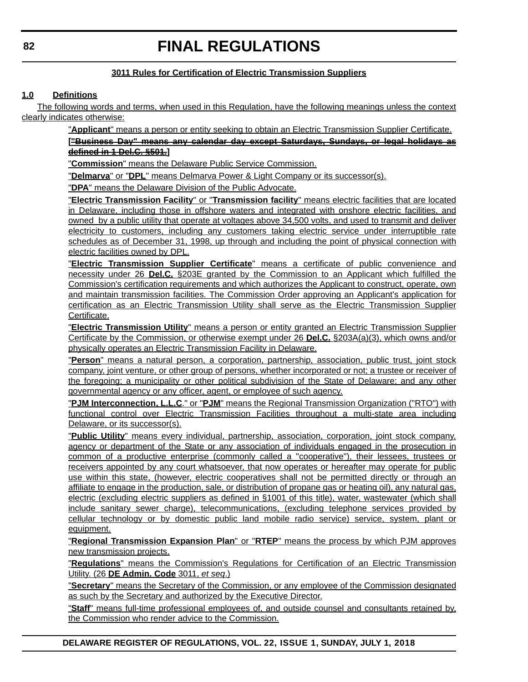#### **3011 Rules for Certification of Electric Transmission Suppliers**

#### **1.0 Definitions**

The following words and terms, when used in this Regulation, have the following meanings unless the context clearly indicates otherwise:

"**Applicant**" means a person or entity seeking to obtain an Electric Transmission Supplier Certificate.

**["Business Day" means any calendar day except Saturdays, Sundays, or legal holidays as defined in 1 Del.C. §501.]**

"**Commission**" means the Delaware Public Service Commission.

"**Delmarva**" or "**DPL**" means Delmarva Power & Light Company or its successor(s).

"**DPA**" means the Delaware Division of the Public Advocate.

"**Electric Transmission Facility**" or "**Transmission facility**" means electric facilities that are located in Delaware, including those in offshore waters and integrated with onshore electric facilities, and owned by a public utility that operate at voltages above 34,500 volts, and used to transmit and deliver electricity to customers, including any customers taking electric service under interruptible rate schedules as of December 31, 1998, up through and including the point of physical connection with electric facilities owned by DPL.

"**Electric Transmission Supplier Certificate**" means a certificate of public convenience and necessity under 26 **Del.C.** §203E granted by the Commission to an Applicant which fulfilled the Commission's certification requirements and which authorizes the Applicant to construct, operate, own and maintain transmission facilities. The Commission Order approving an Applicant's application for certification as an Electric Transmission Utility shall serve as the Electric Transmission Supplier Certificate.

"**Electric Transmission Utility**" means a person or entity granted an Electric Transmission Supplier Certificate by the Commission, or otherwise exempt under 26 **Del.C.** §203A(a)(3), which owns and/or physically operates an Electric Transmission Facility in Delaware.

"**Person**" means a natural person, a corporation, partnership, association, public trust, joint stock company, joint venture, or other group of persons, whether incorporated or not; a trustee or receiver of the foregoing; a municipality or other political subdivision of the State of Delaware; and any other governmental agency or any officer, agent, or employee of such agency.

"**PJM Interconnection, L.L.C**." or "**PJM**" means the Regional Transmission Organization ("RTO") with functional control over Electric Transmission Facilities throughout a multi-state area including Delaware, or its successor(s).

"**Public Utility**" means every individual, partnership, association, corporation, joint stock company, agency or department of the State or any association of individuals engaged in the prosecution in common of a productive enterprise (commonly called a "cooperative"), their lessees, trustees or receivers appointed by any court whatsoever, that now operates or hereafter may operate for public use within this state, (however, electric cooperatives shall not be permitted directly or through an affiliate to engage in the production, sale, or distribution of propane gas or heating oil), any natural gas, electric (excluding electric suppliers as defined in §1001 of this title), water, wastewater (which shall include sanitary sewer charge), telecommunications, (excluding telephone services provided by cellular technology or by domestic public land mobile radio service) service, system, plant or equipment.

"**Regional Transmission Expansion Plan**" or "**RTEP**" means the process by which PJM approves new transmission projects.

"**Regulations**" means the Commission's Regulations for Certification of an Electric Transmission Utility. (26 **DE Admin. Code** 3011, *et seq*.)

"**Secretary**" means the Secretary of the Commission, or any employee of the Commission designated as such by the Secretary and authorized by the Executive Director.

"**Staff**" means full-time professional employees of, and outside counsel and consultants retained by, the Commission who render advice to the Commission.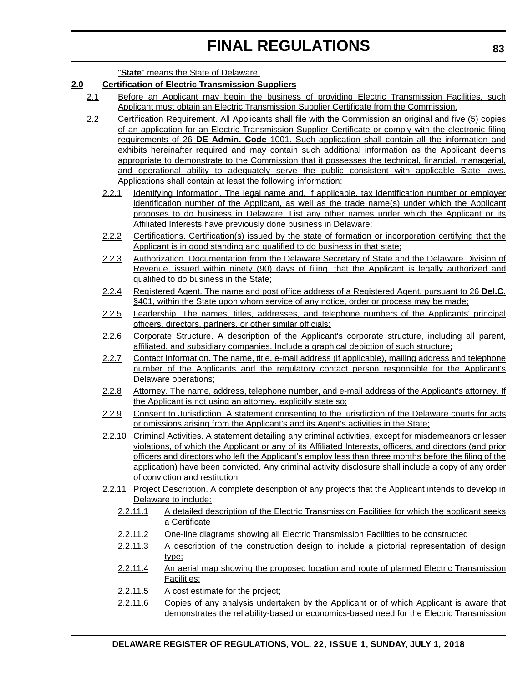"**State**" means the State of Delaware.

#### **2.0 Certification of Electric Transmission Suppliers**

- 2.1 Before an Applicant may begin the business of providing Electric Transmission Facilities, such Applicant must obtain an Electric Transmission Supplier Certificate from the Commission.
- 2.2 Certification Requirement. All Applicants shall file with the Commission an original and five (5) copies of an application for an Electric Transmission Supplier Certificate or comply with the electronic filing requirements of 26 **DE Admin. Code** 1001. Such application shall contain all the information and exhibits hereinafter required and may contain such additional information as the Applicant deems appropriate to demonstrate to the Commission that it possesses the technical, financial, managerial, and operational ability to adequately serve the public consistent with applicable State laws. Applications shall contain at least the following information:
	- 2.2.1 Identifying Information. The legal name and, if applicable, tax identification number or employer identification number of the Applicant, as well as the trade name(s) under which the Applicant proposes to do business in Delaware. List any other names under which the Applicant or its Affiliated Interests have previously done business in Delaware;
	- 2.2.2 Certifications. Certification(s) issued by the state of formation or incorporation certifying that the Applicant is in good standing and qualified to do business in that state;
	- 2.2.3 Authorization. Documentation from the Delaware Secretary of State and the Delaware Division of Revenue, issued within ninety (90) days of filing, that the Applicant is legally authorized and qualified to do business in the State;
	- 2.2.4 Registered Agent. The name and post office address of a Registered Agent, pursuant to 26 **Del.C.** §401, within the State upon whom service of any notice, order or process may be made;
	- 2.2.5 Leadership. The names, titles, addresses, and telephone numbers of the Applicants' principal officers, directors, partners, or other similar officials;
	- 2.2.6 Corporate Structure. A description of the Applicant's corporate structure, including all parent, affiliated, and subsidiary companies. Include a graphical depiction of such structure;
	- 2.2.7 Contact Information. The name, title, e-mail address (if applicable), mailing address and telephone number of the Applicants and the regulatory contact person responsible for the Applicant's Delaware operations;
	- 2.2.8 Attorney. The name, address, telephone number, and e-mail address of the Applicant's attorney. If the Applicant is not using an attorney, explicitly state so;
	- 2.2.9 Consent to Jurisdiction. A statement consenting to the jurisdiction of the Delaware courts for acts or omissions arising from the Applicant's and its Agent's activities in the State;
	- 2.2.10 Criminal Activities. A statement detailing any criminal activities, except for misdemeanors or lesser violations, of which the Applicant or any of its Affiliated Interests, officers, and directors (and prior officers and directors who left the Applicant's employ less than three months before the filing of the application) have been convicted. Any criminal activity disclosure shall include a copy of any order of conviction and restitution.
	- 2.2.11 Project Description. A complete description of any projects that the Applicant intends to develop in Delaware to include:
		- 2.2.11.1 A detailed description of the Electric Transmission Facilities for which the applicant seeks a Certificate
		- 2.2.11.2 One-line diagrams showing all Electric Transmission Facilities to be constructed
		- 2.2.11.3 A description of the construction design to include a pictorial representation of design type;
		- 2.2.11.4 An aerial map showing the proposed location and route of planned Electric Transmission Facilities;
		- 2.2.11.5 A cost estimate for the project;
		- 2.2.11.6 Copies of any analysis undertaken by the Applicant or of which Applicant is aware that demonstrates the reliability-based or economics-based need for the Electric Transmission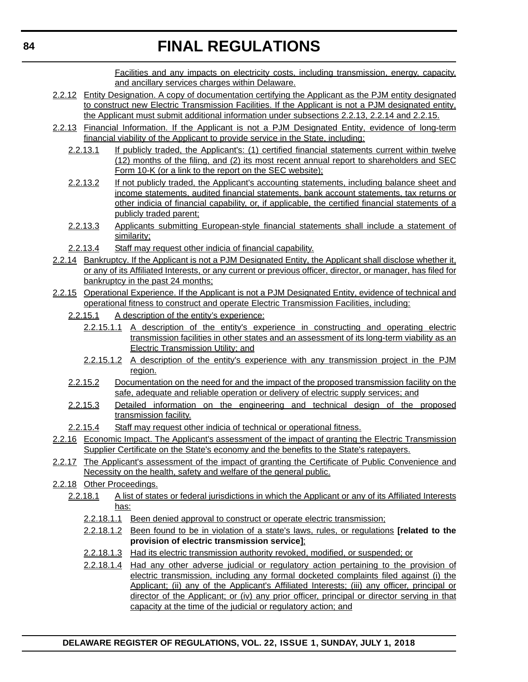Facilities and any impacts on electricity costs, including transmission, energy, capacity, and ancillary services charges within Delaware.

- 2.2.12 Entity Designation. A copy of documentation certifying the Applicant as the PJM entity designated to construct new Electric Transmission Facilities. If the Applicant is not a PJM designated entity, the Applicant must submit additional information under subsections 2.2.13, 2.2.14 and 2.2.15.
- 2.2.13 Financial Information. If the Applicant is not a PJM Designated Entity, evidence of long-term financial viability of the Applicant to provide service in the State, including:
	- 2.2.13.1 If publicly traded, the Applicant's: (1) certified financial statements current within twelve (12) months of the filing, and (2) its most recent annual report to shareholders and SEC Form 10-K (or a link to the report on the SEC website);
	- 2.2.13.2 If not publicly traded, the Applicant's accounting statements, including balance sheet and income statements, audited financial statements, bank account statements, tax returns or other indicia of financial capability, or, if applicable, the certified financial statements of a publicly traded parent;
	- 2.2.13.3 Applicants submitting European-style financial statements shall include a statement of similarity;
	- 2.2.13.4 Staff may request other indicia of financial capability.
- 2.2.14 Bankruptcy. If the Applicant is not a PJM Designated Entity, the Applicant shall disclose whether it, or any of its Affiliated Interests, or any current or previous officer, director, or manager, has filed for bankruptcy in the past 24 months;
- 2.2.15 Operational Experience. If the Applicant is not a PJM Designated Entity, evidence of technical and operational fitness to construct and operate Electric Transmission Facilities, including:
	- 2.2.15.1 A description of the entity's experience:
		- 2.2.15.1.1 A description of the entity's experience in constructing and operating electric transmission facilities in other states and an assessment of its long-term viability as an Electric Transmission Utility; and
		- 2.2.15.1.2 A description of the entity's experience with any transmission project in the PJM region.
	- 2.2.15.2 Documentation on the need for and the impact of the proposed transmission facility on the safe, adequate and reliable operation or delivery of electric supply services; and
	- 2.2.15.3 Detailed information on the engineering and technical design of the proposed transmission facility.
	- 2.2.15.4 Staff may request other indicia of technical or operational fitness.
- 2.2.16 Economic Impact. The Applicant's assessment of the impact of granting the Electric Transmission Supplier Certificate on the State's economy and the benefits to the State's ratepayers.
- 2.2.17 The Applicant's assessment of the impact of granting the Certificate of Public Convenience and Necessity on the health, safety and welfare of the general public.
- 2.2.18 Other Proceedings.
	- 2.2.18.1 A list of states or federal jurisdictions in which the Applicant or any of its Affiliated Interests has:
		- 2.2.18.1.1 Been denied approval to construct or operate electric transmission;
		- 2.2.18.1.2 Been found to be in violation of a state's laws, rules, or regulations **[related to the provision of electric transmission service]**;
		- 2.2.18.1.3 Had its electric transmission authority revoked, modified, or suspended; or
		- 2.2.18.1.4 Had any other adverse judicial or regulatory action pertaining to the provision of electric transmission, including any formal docketed complaints filed against (i) the Applicant; (ii) any of the Applicant's Affiliated Interests; (iii) any officer, principal or director of the Applicant; or (iv) any prior officer, principal or director serving in that capacity at the time of the judicial or regulatory action; and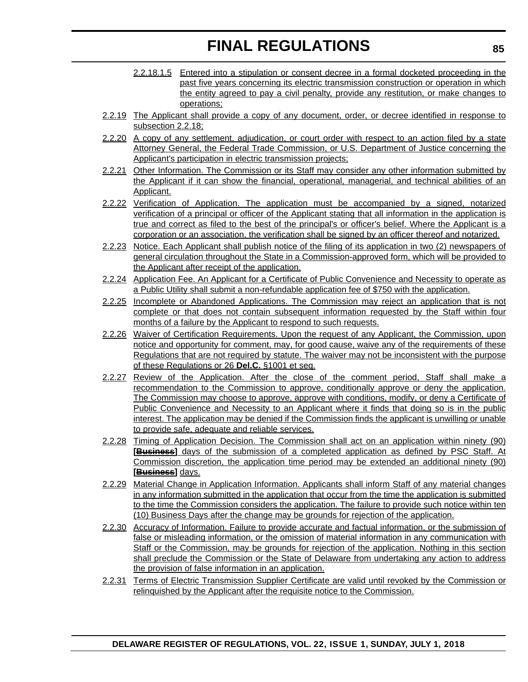- 2.2.18.1.5 Entered into a stipulation or consent decree in a formal docketed proceeding in the past five years concerning its electric transmission construction or operation in which the entity agreed to pay a civil penalty, provide any restitution, or make changes to operations;
- 2.2.19 The Applicant shall provide a copy of any document, order, or decree identified in response to subsection 2.2.18;
- 2.2.20 A copy of any settlement, adjudication, or court order with respect to an action filed by a state Attorney General, the Federal Trade Commission, or U.S. Department of Justice concerning the Applicant's participation in electric transmission projects;
- 2.2.21 Other Information. The Commission or its Staff may consider any other information submitted by the Applicant if it can show the financial, operational, managerial, and technical abilities of an Applicant.
- 2.2.22 Verification of Application. The application must be accompanied by a signed, notarized verification of a principal or officer of the Applicant stating that all information in the application is true and correct as filed to the best of the principal's or officer's belief. Where the Applicant is a corporation or an association, the verification shall be signed by an officer thereof and notarized.
- 2.2.23 Notice. Each Applicant shall publish notice of the filing of its application in two (2) newspapers of general circulation throughout the State in a Commission-approved form, which will be provided to the Applicant after receipt of the application.
- 2.2.24 Application Fee. An Applicant for a Certificate of Public Convenience and Necessity to operate as a Public Utility shall submit a non-refundable application fee of \$750 with the application.
- 2.2.25 Incomplete or Abandoned Applications. The Commission may reject an application that is not complete or that does not contain subsequent information requested by the Staff within four months of a failure by the Applicant to respond to such requests.
- 2.2.26 Waiver of Certification Requirements. Upon the request of any Applicant, the Commission, upon notice and opportunity for comment, may, for good cause, waive any of the requirements of these Regulations that are not required by statute. The waiver may not be inconsistent with the purpose of these Regulations or 26 **Del.C.** §1001 et seq.
- 2.2.27 Review of the Application. After the close of the comment period, Staff shall make a recommendation to the Commission to approve, conditionally approve or deny the application. The Commission may choose to approve, approve with conditions, modify, or deny a Certificate of Public Convenience and Necessity to an Applicant where it finds that doing so is in the public interest. The application may be denied if the Commission finds the applicant is unwilling or unable to provide safe, adequate and reliable services.
- 2.2.28 Timing of Application Decision. The Commission shall act on an application within ninety (90) **[Business]** days of the submission of a completed application as defined by PSC Staff. At Commission discretion, the application time period may be extended an additional ninety (90) **[Business]** days.
- 2.2.29 Material Change in Application Information. Applicants shall inform Staff of any material changes in any information submitted in the application that occur from the time the application is submitted to the time the Commission considers the application. The failure to provide such notice within ten (10) Business Days after the change may be grounds for rejection of the application.
- 2.2.30 Accuracy of Information. Failure to provide accurate and factual information, or the submission of false or misleading information, or the omission of material information in any communication with Staff or the Commission, may be grounds for rejection of the application. Nothing in this section shall preclude the Commission or the State of Delaware from undertaking any action to address the provision of false information in an application.
- 2.2.31 Terms of Electric Transmission Supplier Certificate are valid until revoked by the Commission or relinquished by the Applicant after the requisite notice to the Commission.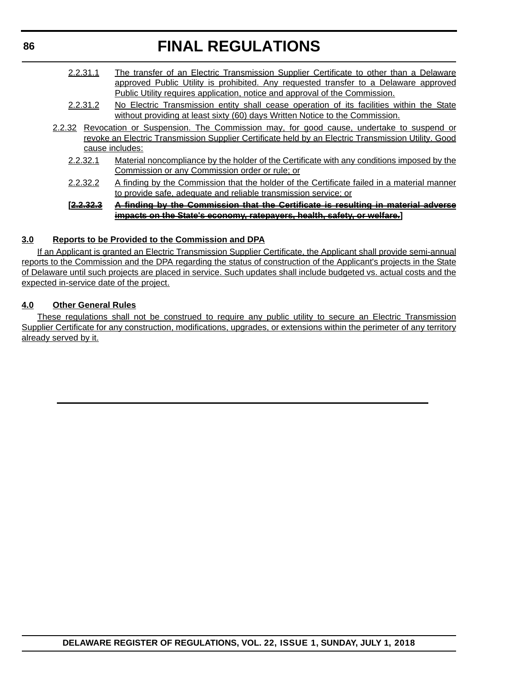- 2.2.31.1 The transfer of an Electric Transmission Supplier Certificate to other than a Delaware approved Public Utility is prohibited. Any requested transfer to a Delaware approved Public Utility requires application, notice and approval of the Commission.
- 2.2.31.2 No Electric Transmission entity shall cease operation of its facilities within the State without providing at least sixty (60) days Written Notice to the Commission.
- 2.2.32 Revocation or Suspension. The Commission may, for good cause, undertake to suspend or revoke an Electric Transmission Supplier Certificate held by an Electric Transmission Utility. Good cause includes:
	- 2.2.32.1 Material noncompliance by the holder of the Certificate with any conditions imposed by the Commission or any Commission order or rule; or
	- 2.2.32.2 A finding by the Commission that the holder of the Certificate failed in a material manner to provide safe, adequate and reliable transmission service; or

#### **[2.2.32.3 A finding by the Commission that the Certificate is resulting in material adverse impacts on the State's economy, ratepayers, health, safety, or welfare.]**

#### **3.0 Reports to be Provided to the Commission and DPA**

If an Applicant is granted an Electric Transmission Supplier Certificate, the Applicant shall provide semi-annual reports to the Commission and the DPA regarding the status of construction of the Applicant's projects in the State of Delaware until such projects are placed in service. Such updates shall include budgeted vs. actual costs and the expected in-service date of the project.

#### **4.0 Other General Rules**

These regulations shall not be construed to require any public utility to secure an Electric Transmission Supplier Certificate for any construction, modifications, upgrades, or extensions within the perimeter of any territory already served by it.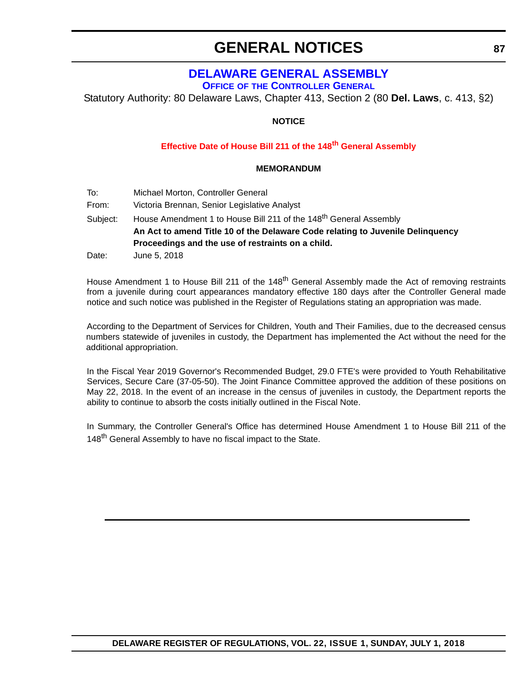### **GENERAL NOTICES**

### **[DELAWARE GENERAL ASSEMBLY](https://legis.delaware.gov/)**

**OFFICE OF [THE CONTROLLER GENERAL](https://legis.delaware.gov/Offices/ControllerGeneral)**

Statutory Authority: 80 Delaware Laws, Chapter 413, Section 2 (80 **Del. Laws**, c. 413, §2)

#### **NOTICE**

#### **[Effective Date of House Bill 211 of the 148](#page-4-0)th General Assembly**

#### **MEMORANDUM**

- To: Michael Morton, Controller General
- From: Victoria Brennan, Senior Legislative Analyst
- Subject: House Amendment 1 to House Bill 211 of the 148<sup>th</sup> General Assembly **An Act to amend Title 10 of the Delaware Code relating to Juvenile Delinquency Proceedings and the use of restraints on a child.**
- Date: June 5, 2018

House Amendment 1 to House Bill 211 of the 148<sup>th</sup> General Assembly made the Act of removing restraints from a juvenile during court appearances mandatory effective 180 days after the Controller General made notice and such notice was published in the Register of Regulations stating an appropriation was made.

According to the Department of Services for Children, Youth and Their Families, due to the decreased census numbers statewide of juveniles in custody, the Department has implemented the Act without the need for the additional appropriation.

In the Fiscal Year 2019 Governor's Recommended Budget, 29.0 FTE's were provided to Youth Rehabilitative Services, Secure Care (37-05-50). The Joint Finance Committee approved the addition of these positions on May 22, 2018. In the event of an increase in the census of juveniles in custody, the Department reports the ability to continue to absorb the costs initially outlined in the Fiscal Note.

In Summary, the Controller General's Office has determined House Amendment 1 to House Bill 211 of the 148<sup>th</sup> General Assembly to have no fiscal impact to the State.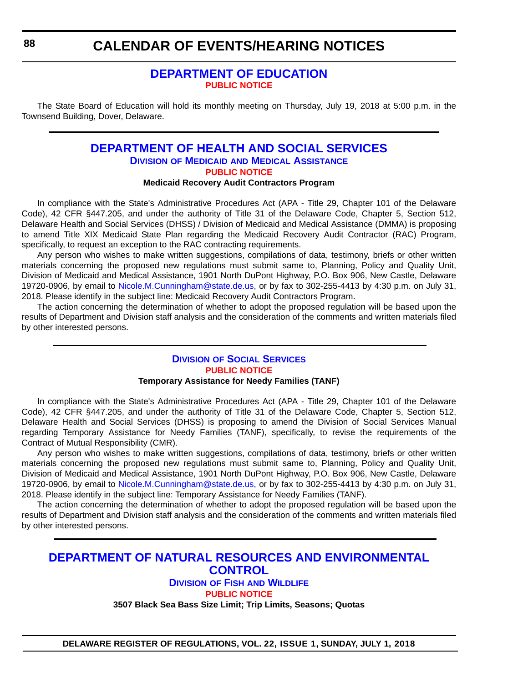#### **[DEPARTMENT OF EDUCATION](https://www.doe.k12.de.us/) [PUBLIC NOTICE](#page-4-0)**

The State Board of Education will hold its monthly meeting on Thursday, July 19, 2018 at 5:00 p.m. in the Townsend Building, Dover, Delaware.

### **[DEPARTMENT OF HEALTH AND SOCIAL SERVICES](http://dhss.delaware.gov/dhss/) DIVISION OF MEDICAID [AND MEDICAL ASSISTANCE](http://dhss.delaware.gov/dhss/dmma/) [PUBLIC NOTICE](#page-4-0)**

**Medicaid Recovery Audit Contractors Program**

In compliance with the State's Administrative Procedures Act (APA - Title 29, Chapter 101 of the Delaware Code), 42 CFR §447.205, and under the authority of Title 31 of the Delaware Code, Chapter 5, Section 512, Delaware Health and Social Services (DHSS) / Division of Medicaid and Medical Assistance (DMMA) is proposing to amend Title XIX Medicaid State Plan regarding the Medicaid Recovery Audit Contractor (RAC) Program, specifically, to request an exception to the RAC contracting requirements.

Any person who wishes to make written suggestions, compilations of data, testimony, briefs or other written materials concerning the proposed new regulations must submit same to, Planning, Policy and Quality Unit, Division of Medicaid and Medical Assistance, 1901 North DuPont Highway, P.O. Box 906, New Castle, Delaware 19720-0906, by email to [Nicole.M.Cunningham@state.de.us](mailto:Nicole.M.Cunningham@state.de.us), or by fax to 302-255-4413 by 4:30 p.m. on July 31, 2018. Please identify in the subject line: Medicaid Recovery Audit Contractors Program.

The action concerning the determination of whether to adopt the proposed regulation will be based upon the results of Department and Division staff analysis and the consideration of the comments and written materials filed by other interested persons.

#### **DIVISION [OF SOCIAL SERVICES](http://dhss.delaware.gov/dhss/dss/) [PUBLIC NOTICE](#page-4-0) Temporary Assistance for Needy Families (TANF)**

In compliance with the State's Administrative Procedures Act (APA - Title 29, Chapter 101 of the Delaware Code), 42 CFR §447.205, and under the authority of Title 31 of the Delaware Code, Chapter 5, Section 512, Delaware Health and Social Services (DHSS) is proposing to amend the Division of Social Services Manual regarding Temporary Assistance for Needy Families (TANF), specifically, to revise the requirements of the Contract of Mutual Responsibility (CMR).

Any person who wishes to make written suggestions, compilations of data, testimony, briefs or other written materials concerning the proposed new regulations must submit same to, Planning, Policy and Quality Unit, Division of Medicaid and Medical Assistance, 1901 North DuPont Highway, P.O. Box 906, New Castle, Delaware 19720-0906, by email to [Nicole.M.Cunningham@state.de.us](mailto:Nicole.M.Cunningham@state.de.us), or by fax to 302-255-4413 by 4:30 p.m. on July 31, 2018. Please identify in the subject line: Temporary Assistance for Needy Families (TANF).

The action concerning the determination of whether to adopt the proposed regulation will be based upon the results of Department and Division staff analysis and the consideration of the comments and written materials filed by other interested persons.

### **[DEPARTMENT OF NATURAL RESOURCES AND ENVIRONMENTAL](https://dnrec.alpha.delaware.gov/)  CONTROL DIVISION OF FISH [AND WILDLIFE](https://dnrec.alpha.delaware.gov/fish-wildlife/)**

**[PUBLIC NOTICE](#page-4-0)**

**3507 Black Sea Bass Size Limit; Trip Limits, Seasons; Quotas**

**DELAWARE REGISTER OF REGULATIONS, VOL. 22, ISSUE 1, SUNDAY, JULY 1, 2018**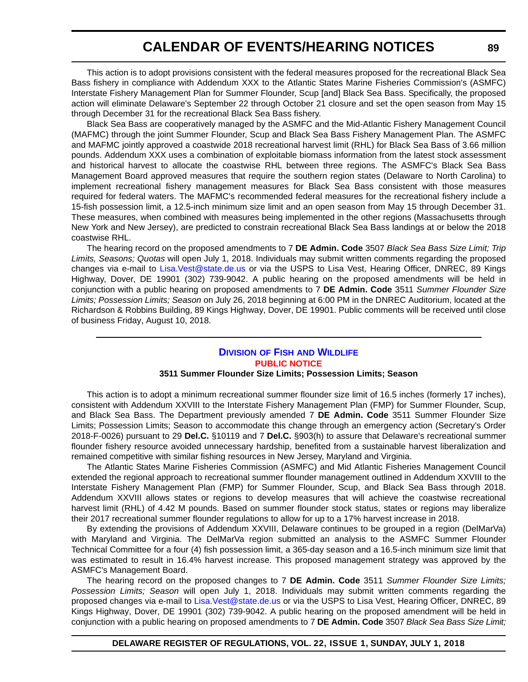This action is to adopt provisions consistent with the federal measures proposed for the recreational Black Sea Bass fishery in compliance with Addendum XXX to the Atlantic States Marine Fisheries Commission's (ASMFC) Interstate Fishery Management Plan for Summer Flounder, Scup [and] Black Sea Bass. Specifically, the proposed action will eliminate Delaware's September 22 through October 21 closure and set the open season from May 15 through December 31 for the recreational Black Sea Bass fishery.

Black Sea Bass are cooperatively managed by the ASMFC and the Mid-Atlantic Fishery Management Council (MAFMC) through the joint Summer Flounder, Scup and Black Sea Bass Fishery Management Plan. The ASMFC and MAFMC jointly approved a coastwide 2018 recreational harvest limit (RHL) for Black Sea Bass of 3.66 million pounds. Addendum XXX uses a combination of exploitable biomass information from the latest stock assessment and historical harvest to allocate the coastwise RHL between three regions. The ASMFC's Black Sea Bass Management Board approved measures that require the southern region states (Delaware to North Carolina) to implement recreational fishery management measures for Black Sea Bass consistent with those measures required for federal waters. The MAFMC's recommended federal measures for the recreational fishery include a 15-fish possession limit, a 12.5-inch minimum size limit and an open season from May 15 through December 31. These measures, when combined with measures being implemented in the other regions (Massachusetts through New York and New Jersey), are predicted to constrain recreational Black Sea Bass landings at or below the 2018 coastwise RHL.

The hearing record on the proposed amendments to 7 **DE Admin. Code** 3507 *Black Sea Bass Size Limit; Trip Limits, Seasons; Quotas* will open July 1, 2018. Individuals may submit written comments regarding the proposed changes via e-mail to [Lisa.Vest@state.de.us](mailto:Lisa.Vest@state.de.us) or via the USPS to Lisa Vest, Hearing Officer, DNREC, 89 Kings Highway, Dover, DE 19901 (302) 739-9042. A public hearing on the proposed amendments will be held in conjunction with a public hearing on proposed amendments to 7 **DE Admin. Code** 3511 *Summer Flounder Size Limits; Possession Limits; Season* on July 26, 2018 beginning at 6:00 PM in the DNREC Auditorium, located at the Richardson & Robbins Building, 89 Kings Highway, Dover, DE 19901. Public comments will be received until close of business Friday, August 10, 2018.

#### **DIVISION OF FISH [AND WILDLIFE](https://dnrec.alpha.delaware.gov/fish-wildlife/) [PUBLIC NOTICE](#page-4-0)**

#### **3511 Summer Flounder Size Limits; Possession Limits; Season**

This action is to adopt a minimum recreational summer flounder size limit of 16.5 inches (formerly 17 inches), consistent with Addendum XXVIII to the Interstate Fishery Management Plan (FMP) for Summer Flounder, Scup, and Black Sea Bass. The Department previously amended 7 **DE Admin. Code** 3511 Summer Flounder Size Limits; Possession Limits; Season to accommodate this change through an emergency action (Secretary's Order 2018-F-0026) pursuant to 29 **Del.C.** §10119 and 7 **Del.C.** §903(h) to assure that Delaware's recreational summer flounder fishery resource avoided unnecessary hardship, benefited from a sustainable harvest liberalization and remained competitive with similar fishing resources in New Jersey, Maryland and Virginia.

The Atlantic States Marine Fisheries Commission (ASMFC) and Mid Atlantic Fisheries Management Council extended the regional approach to recreational summer flounder management outlined in Addendum XXVIII to the Interstate Fishery Management Plan (FMP) for Summer Flounder, Scup, and Black Sea Bass through 2018. Addendum XXVIII allows states or regions to develop measures that will achieve the coastwise recreational harvest limit (RHL) of 4.42 M pounds. Based on summer flounder stock status, states or regions may liberalize their 2017 recreational summer flounder regulations to allow for up to a 17% harvest increase in 2018.

By extending the provisions of Addendum XXVIII, Delaware continues to be grouped in a region (DelMarVa) with Maryland and Virginia. The DelMarVa region submitted an analysis to the ASMFC Summer Flounder Technical Committee for a four (4) fish possession limit, a 365-day season and a 16.5-inch minimum size limit that was estimated to result in 16.4% harvest increase. This proposed management strategy was approved by the ASMFC's Management Board.

The hearing record on the proposed changes to 7 **DE Admin. Code** 3511 *Summer Flounder Size Limits; Possession Limits; Season* will open July 1, 2018. Individuals may submit written comments regarding the proposed changes via e-mail to Lisa. Vest@state.de.us or via the USPS to Lisa Vest, Hearing Officer, DNREC, 89 Kings Highway, Dover, DE 19901 (302) 739-9042. A public hearing on the proposed amendment will be held in conjunction with a public hearing on proposed amendments to 7 **DE Admin. Code** 3507 *Black Sea Bass Size Limit;*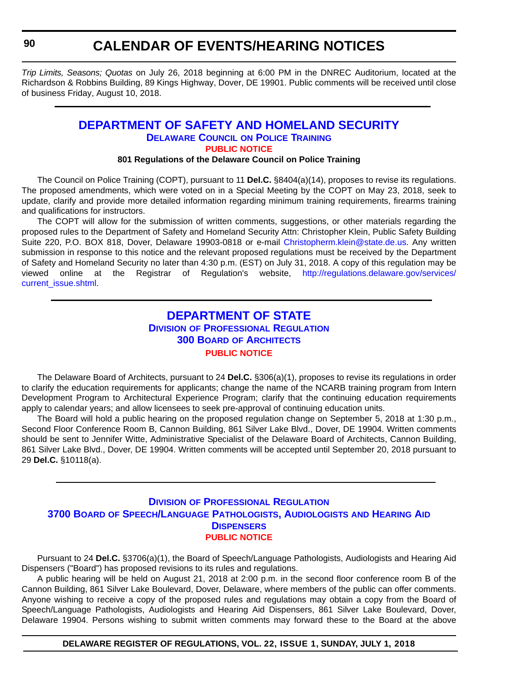*Trip Limits, Seasons; Quotas* on July 26, 2018 beginning at 6:00 PM in the DNREC Auditorium, located at the Richardson & Robbins Building, 89 Kings Highway, Dover, DE 19901. Public comments will be received until close of business Friday, August 10, 2018.

#### **[DEPARTMENT OF SAFETY AND HOMELAND SECURITY](https://dshs.delaware.gov/) [DELAWARE COUNCIL](https://dshs.delaware.gov/) ON POLICE TRAINING [PUBLIC NOTICE](#page-4-0)**

#### **801 Regulations of the Delaware Council on Police Training**

The Council on Police Training (COPT), pursuant to 11 **Del.C.** §8404(a)(14), proposes to revise its regulations. The proposed amendments, which were voted on in a Special Meeting by the COPT on May 23, 2018, seek to update, clarify and provide more detailed information regarding minimum training requirements, firearms training and qualifications for instructors.

The COPT will allow for the submission of written comments, suggestions, or other materials regarding the proposed rules to the Department of Safety and Homeland Security Attn: Christopher Klein, Public Safety Building Suite 220, P.O. BOX 818, Dover, Delaware 19903-0818 or e-mail [Christopherm.klein@state.de.us.](mailto:christopherm.klein@state.de.us) Any written submission in response to this notice and the relevant proposed regulations must be received by the Department of Safety and Homeland Security no later than 4:30 p.m. (EST) on July 31, 2018. A copy of this regulation may be viewed online at the Registrar of Regulation's website, [http://regulations.delaware.gov/services/](http://regulations.delaware.gov/services/current_issue.shtml) [current\\_issue.shtml.](http://regulations.delaware.gov/services/current_issue.shtml)

### **[DEPARTMENT OF STATE](https://sos.delaware.gov/) DIVISION [OF PROFESSIONAL REGULATION](https://dpr.delaware.gov/) 300 BOARD [OF ARCHITECTS](https://dpr.delaware.gov/boards/architects/) [PUBLIC NOTICE](#page-4-0)**

The Delaware Board of Architects, pursuant to 24 **Del.C.** §306(a)(1), proposes to revise its regulations in order to clarify the education requirements for applicants; change the name of the NCARB training program from Intern Development Program to Architectural Experience Program; clarify that the continuing education requirements apply to calendar years; and allow licensees to seek pre-approval of continuing education units.

The Board will hold a public hearing on the proposed regulation change on September 5, 2018 at 1:30 p.m., Second Floor Conference Room B, Cannon Building, 861 Silver Lake Blvd., Dover, DE 19904. Written comments should be sent to Jennifer Witte, Administrative Specialist of the Delaware Board of Architects, Cannon Building, 861 Silver Lake Blvd., Dover, DE 19904. Written comments will be accepted until September 20, 2018 pursuant to 29 **Del.C.** §10118(a).

#### **DIVISION [OF PROFESSIONAL REGULATION](https://dpr.delaware.gov/) 3700 BOARD [OF SPEECH/LANGUAGE PATHOLOGISTS, AUDIOLOGISTS](https://dpr.delaware.gov/boards/speechaudio/) AND HEARING AID DISPENSERS [PUBLIC NOTICE](#page-4-0)**

Pursuant to 24 **Del.C.** §3706(a)(1), the Board of Speech/Language Pathologists, Audiologists and Hearing Aid Dispensers ("Board") has proposed revisions to its rules and regulations.

A public hearing will be held on August 21, 2018 at 2:00 p.m. in the second floor conference room B of the Cannon Building, 861 Silver Lake Boulevard, Dover, Delaware, where members of the public can offer comments. Anyone wishing to receive a copy of the proposed rules and regulations may obtain a copy from the Board of Speech/Language Pathologists, Audiologists and Hearing Aid Dispensers, 861 Silver Lake Boulevard, Dover, Delaware 19904. Persons wishing to submit written comments may forward these to the Board at the above

#### **DELAWARE REGISTER OF REGULATIONS, VOL. 22, ISSUE 1, SUNDAY, JULY 1, 2018**